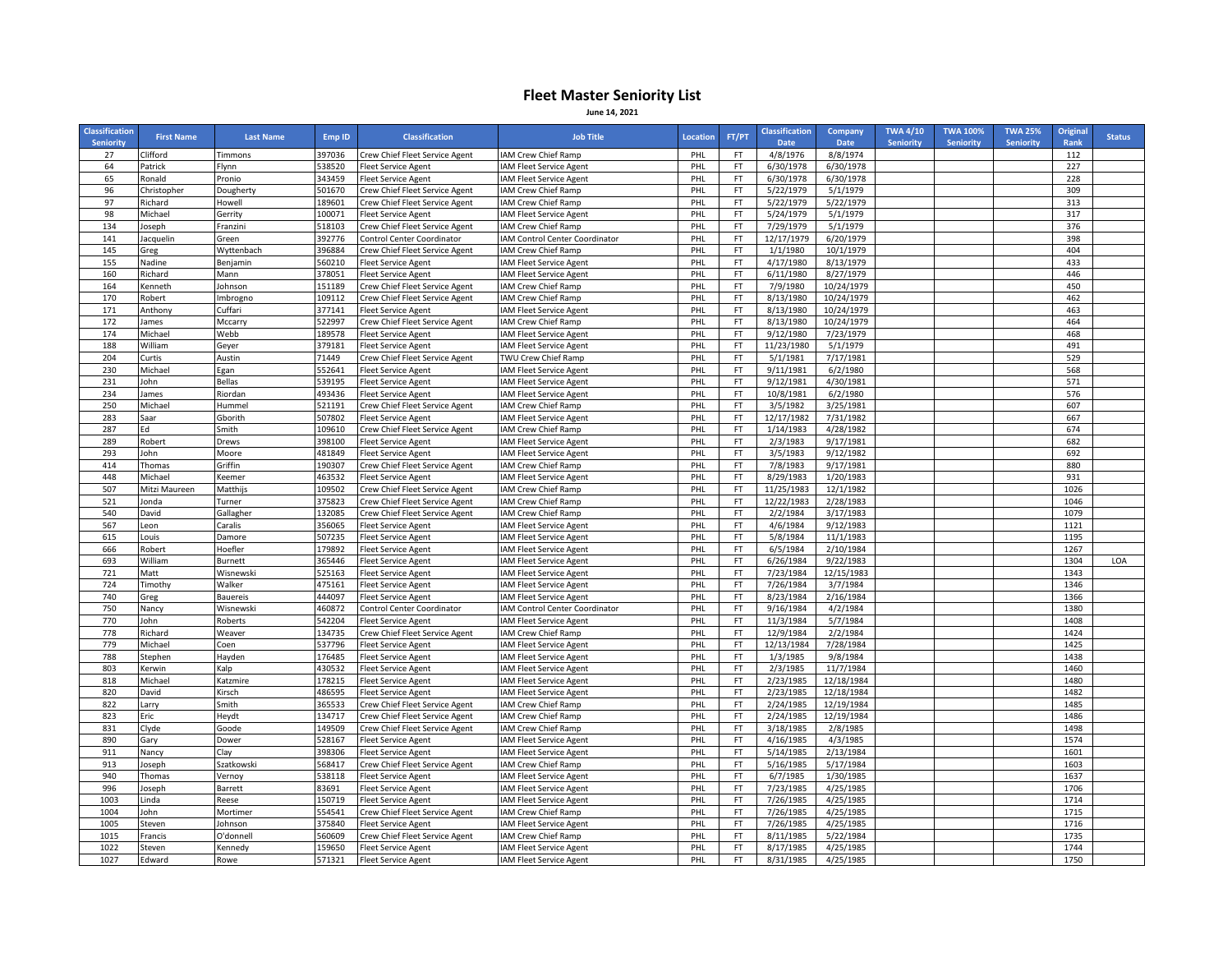## **Fleet Master Seniority List June 14, 2021**

| <b>Classification</b><br><b>Seniority</b> | <b>First Name</b> | <b>Last Name</b>     | Emp ID           | <b>Classification</b>          | <b>Job Title</b>                               | Location   | FT/PT           | <b>Classification</b><br>Date | Company<br><b>Date</b>   | <b>TWA 4/10</b><br><b>Seniority</b> | <b>TWA 100%</b><br><b>Seniority</b> | <b>TWA 25%</b><br><b>Seniority</b> | <b>Original</b><br>Rank | <b>Status</b> |
|-------------------------------------------|-------------------|----------------------|------------------|--------------------------------|------------------------------------------------|------------|-----------------|-------------------------------|--------------------------|-------------------------------------|-------------------------------------|------------------------------------|-------------------------|---------------|
| 27                                        | Clifford          | Timmons              | 397036           | Crew Chief Fleet Service Agent | IAM Crew Chief Ramp                            | PHL        | FT              | 4/8/1976                      | 8/8/1974                 |                                     |                                     |                                    | 112                     |               |
| 64                                        | Patrick           | Flynn                | 538520           | <b>Fleet Service Agent</b>     | IAM Fleet Service Agent                        | PHL        | FT              | 6/30/1978                     | 6/30/1978                |                                     |                                     |                                    | 227                     |               |
| 65                                        | Ronald            | Pronio               | 343459           | <b>Fleet Service Agent</b>     | IAM Fleet Service Agent                        | PHL        | FT              | 6/30/1978                     | 6/30/1978                |                                     |                                     |                                    | 228                     |               |
| 96                                        | Christopher       | Dougherty            | 501670           | Crew Chief Fleet Service Agent | IAM Crew Chief Ramp                            | PHL        | FT              | 5/22/1979                     | 5/1/1979                 |                                     |                                     |                                    | 309                     |               |
| 97                                        | Richard           | Howell               | 189601           | Crew Chief Fleet Service Agent | IAM Crew Chief Ramp                            | PHL        | <b>FT</b>       | 5/22/1979                     | 5/22/1979                |                                     |                                     |                                    | 313                     |               |
| 98                                        | Michael           | Gerrity              | 100071           | <b>Fleet Service Agent</b>     | IAM Fleet Service Agent                        | PHL        | FT              | 5/24/1979                     | 5/1/1979                 |                                     |                                     |                                    | 317                     |               |
| 134                                       | Joseph            | Franzini             | 518103           | Crew Chief Fleet Service Agent | IAM Crew Chief Ramp                            | PHL        | FT              | 7/29/1979                     | 5/1/1979                 |                                     |                                     |                                    | 376                     |               |
| 141                                       | Jacquelin         | Green                | 392776           | Control Center Coordinator     | IAM Control Center Coordinator                 | PHL        | FT              | 12/17/1979                    | 6/20/1979                |                                     |                                     |                                    | 398                     |               |
| 145                                       | Greg              | Wyttenbach           | 396884           | Crew Chief Fleet Service Agent | IAM Crew Chief Ramp                            | PHL        | FT              | 1/1/1980                      | 10/1/1979                |                                     |                                     |                                    | 404                     |               |
| 155                                       | Nadine            | Benjamin             | 560210           | <b>Fleet Service Agent</b>     | IAM Fleet Service Agent                        | PHL        | FT              | 4/17/1980                     | 8/13/1979                |                                     |                                     |                                    | 433                     |               |
| 160                                       | Richard           | Mann                 | 378051           | <b>Fleet Service Agent</b>     | IAM Fleet Service Agent                        | PHL        | FT              | 6/11/1980                     | 8/27/1979                |                                     |                                     |                                    | 446                     |               |
| 164                                       | Kenneth           | Johnson              | 151189           | Crew Chief Fleet Service Agent | IAM Crew Chief Ramp                            | PHL        | FT              | 7/9/1980                      | 10/24/1979               |                                     |                                     |                                    | 450                     |               |
| 170                                       | Robert            | Imbrogno             | 109112           | Crew Chief Fleet Service Agent | IAM Crew Chief Ramp                            | PHL        | FT              | 8/13/1980                     | 10/24/1979               |                                     |                                     |                                    | 462                     |               |
| 171                                       | Anthony           | Cuffari              | 377141           | <b>Fleet Service Agent</b>     | IAM Fleet Service Agent                        | PHL        | FT              | 8/13/1980                     | 10/24/1979               |                                     |                                     |                                    | 463                     |               |
| 172                                       | James             | Mccarry              | 522997           | Crew Chief Fleet Service Agent | IAM Crew Chief Ramp                            | PHL        | FT              | 8/13/1980                     | 10/24/1979               |                                     |                                     |                                    | 464                     |               |
| 174                                       | Michael           | Webb                 | 189578           | <b>Fleet Service Agent</b>     | IAM Fleet Service Agent                        | PHL        | FT              | 9/12/1980                     | 7/23/1979                |                                     |                                     |                                    | 468                     |               |
| 188                                       | William           | Geyer                | 379181           | <b>Fleet Service Agent</b>     | IAM Fleet Service Agent                        | PHL        | FT              | 11/23/1980                    | 5/1/1979                 |                                     |                                     |                                    | 491                     |               |
| 204                                       | Curtis            | Austin               | 71449            | Crew Chief Fleet Service Agent | TWU Crew Chief Ramp                            | PHL        | FT              | 5/1/1981                      | 7/17/1981                |                                     |                                     |                                    | 529                     |               |
| 230                                       | Michael           | Egan                 | 552641           | <b>Fleet Service Agent</b>     | IAM Fleet Service Agent                        | PHL        | FT              | 9/11/1981                     | 6/2/1980                 |                                     |                                     |                                    | 568                     |               |
| 231                                       | John              | <b>Bellas</b>        | 539195           | <b>Fleet Service Agent</b>     | IAM Fleet Service Agent                        | PHL        | FT              | 9/12/1981                     | 4/30/1981                |                                     |                                     |                                    | 571                     |               |
| 234                                       | ames              | Riordan              | 493436           | Fleet Service Agent            | <b>IAM Fleet Service Agent</b>                 | PHL        | FT              | 10/8/1981                     | 6/2/1980                 |                                     |                                     |                                    | 576                     |               |
| 250                                       | Michael           | Hummel               | 521191           | Crew Chief Fleet Service Agent | IAM Crew Chief Ramp                            | PHL        | FT              | 3/5/1982                      | 3/25/1981                |                                     |                                     |                                    | 607                     |               |
| 283                                       | Saar              | Gborith              | 507802           | <b>Fleet Service Agent</b>     | IAM Fleet Service Agent                        | PHL        | FT              | 12/17/1982                    | 7/31/1982                |                                     |                                     |                                    | 667                     |               |
| 287                                       | Ed                | Smith                | 109610           | Crew Chief Fleet Service Agent | IAM Crew Chief Ramp                            | PHL        | FT              | 1/14/1983                     | 4/28/1982                |                                     |                                     |                                    | 674                     |               |
| 289                                       | Robert            | Drews                | 398100           | <b>Fleet Service Agent</b>     | IAM Fleet Service Agent                        | PHL        | FT              | 2/3/1983                      | 9/17/1981                |                                     |                                     |                                    | 682                     |               |
| 293                                       | John              | Moore                | 481849           | <b>Fleet Service Agent</b>     | IAM Fleet Service Agent                        | PHL        | FT.             | 3/5/1983                      | 9/12/1982                |                                     |                                     |                                    | 692                     |               |
| 414                                       | Thomas            | Griffin              | 190307           | Crew Chief Fleet Service Agent | IAM Crew Chief Ramp                            | PHL        | FT              | 7/8/1983                      | 9/17/1981                |                                     |                                     |                                    | 880                     |               |
| 448                                       | Michael           | <b>Keemer</b>        | 463532           | <b>Fleet Service Agent</b>     | IAM Fleet Service Agent                        | PHL        | FT              | 8/29/1983                     | 1/20/1983                |                                     |                                     |                                    | 931                     |               |
| 507                                       | Mitzi Maureen     | Matthijs             | 109502           | Crew Chief Fleet Service Agent | IAM Crew Chief Ramp                            | PHL        | FT              | 11/25/1983                    | 12/1/1982                |                                     |                                     |                                    | 1026                    |               |
| 521                                       | Jonda             | Turner               | 375823           | Crew Chief Fleet Service Agent | IAM Crew Chief Ramp                            | PHL        | FT              | 12/22/1983                    | 2/28/1983                |                                     |                                     |                                    | 1046                    |               |
| 540                                       | David             | Gallagher            | 132085           | Crew Chief Fleet Service Agent | IAM Crew Chief Ramp                            | PHL        | FT.             | 2/2/1984                      | 3/17/1983                |                                     |                                     |                                    | 1079                    |               |
| 567                                       | Leon              | Caralis              | 356065           | <b>Fleet Service Agent</b>     | IAM Fleet Service Agent                        | PHL        | FT              | 4/6/1984                      | 9/12/1983                |                                     |                                     |                                    | 1121                    |               |
| 615                                       | Louis             | Damore               | 507235           | leet Service Agent             | IAM Fleet Service Agent                        | PHL        | FT              | 5/8/1984                      | 11/1/1983                |                                     |                                     |                                    | 1195                    |               |
| 666                                       | Robert            | Hoefler              | 179892           | <b>Fleet Service Agent</b>     | IAM Fleet Service Agent                        | PHL        | FT              | 6/5/1984                      | 2/10/1984                |                                     |                                     |                                    | 1267                    |               |
| 693                                       | William           | Burnett              | 365446           | <b>Fleet Service Agent</b>     | IAM Fleet Service Agent                        | PHL        | FT              | 6/26/1984                     | 9/22/1983                |                                     |                                     |                                    | 1304                    | LOA           |
| 721                                       | Matt              | Wisnewski            | 525163           | <b>Fleet Service Agent</b>     | <b>IAM Fleet Service Agent</b>                 | PHL        | FT.             | 7/23/1984                     | 12/15/1983               |                                     |                                     |                                    | 1343                    |               |
| 724                                       | Timothy           | Walker               | 475161           | <b>Fleet Service Agent</b>     | IAM Fleet Service Agent                        | PHL        | FT              | 7/26/1984                     | 3/7/1984                 |                                     |                                     |                                    | 1346                    |               |
| 740                                       | Greg              | <b>Bauereis</b>      | 444097           | Fleet Service Agent            | IAM Fleet Service Agent                        | PHL        | FT              | 8/23/1984                     | 2/16/1984                |                                     |                                     |                                    | 1366                    |               |
| 750                                       | Nancy             | Wisnewski            | 460872           | Control Center Coordinator     | IAM Control Center Coordinator                 | PHL        | FT              | 9/16/1984                     | 4/2/1984                 |                                     |                                     |                                    | 1380                    |               |
| 770                                       | John              | Roberts              | 542204           | <b>Fleet Service Agent</b>     | IAM Fleet Service Agent                        | PHL        | FT              | 11/3/1984                     | 5/7/1984                 |                                     |                                     |                                    | 1408                    |               |
| 778                                       | Richard           | Weaver               | 134735           | Crew Chief Fleet Service Agent | IAM Crew Chief Ramp                            | PHL        | FT              | 12/9/1984                     | 2/2/1984                 |                                     |                                     |                                    | 1424                    |               |
| 779                                       | Michael           | Coen                 | 537796           | <b>Fleet Service Agent</b>     | IAM Fleet Service Agent                        | PHL        | FT              | 12/13/1984                    | 7/28/1984                |                                     |                                     |                                    | 1425                    |               |
| 788<br>803                                | Stephen           | Hayden               | 176485<br>430532 | <b>Fleet Service Agent</b>     | IAM Fleet Service Agent                        | PHL        | FT              | 1/3/1985<br>2/3/1985          | 9/8/1984<br>11/7/1984    |                                     |                                     |                                    | 1438<br>1460            |               |
|                                           | Kerwin            | Kalp                 | 178215           | Fleet Service Agent            | IAM Fleet Service Agent                        | PHL        | FT<br>FT        | 2/23/1985                     | 12/18/1984               |                                     |                                     |                                    | 1480                    |               |
| 818                                       | Michael           | Katzmire<br>Kirsch   |                  | Fleet Service Agent            | IAM Fleet Service Agent                        | PHL        |                 |                               |                          |                                     |                                     |                                    |                         |               |
| 820                                       | David             |                      | 486595           | <b>Fleet Service Agent</b>     | IAM Fleet Service Agent                        | PHL        | FT              | 2/23/1985                     | 12/18/1984               |                                     |                                     |                                    | 1482                    |               |
| 822<br>823                                | Larry             | Smith                | 365533<br>134717 | Crew Chief Fleet Service Agent | IAM Crew Chief Ramp                            | PHL        | FT<br>FT        | 2/24/1985<br>2/24/1985        | 12/19/1984<br>12/19/1984 |                                     |                                     |                                    | 1485                    |               |
| 831                                       | Eric              | Heydt                | 149509           | Crew Chief Fleet Service Agent | IAM Crew Chief Ramp                            | PHL        | FT              | 3/18/1985                     |                          |                                     |                                     |                                    | 1486                    |               |
|                                           | Clyde             | Goode                | 528167           | Crew Chief Fleet Service Agent | IAM Crew Chief Ramp                            | PHL        | FT              |                               | 2/8/1985                 |                                     |                                     |                                    | 1498<br>1574            |               |
| 890                                       | Gary              | Dower                |                  | <b>Fleet Service Agent</b>     | IAM Fleet Service Agent                        | PHL        |                 | 4/16/1985                     | 4/3/1985                 |                                     |                                     |                                    |                         |               |
| 911                                       | Nancy             | Clay                 | 398306<br>568417 | <b>Fleet Service Agent</b>     | IAM Fleet Service Agent                        | PHL        | FT              | 5/14/1985<br>5/16/1985        | 2/13/1984                |                                     |                                     |                                    | 1601<br>1603            |               |
| 913<br>940                                | Joseph            | Szatkowski           | 538118           | Crew Chief Fleet Service Agent | IAM Crew Chief Ramp                            | PHL        | FT<br><b>FT</b> |                               | 5/17/1984                |                                     |                                     |                                    | 1637                    |               |
| 996                                       | Thomas            | Vernoy               |                  | <b>Fleet Service Agent</b>     | IAM Fleet Service Agent                        | PHL        |                 | 6/7/1985                      | 1/30/1985                |                                     |                                     |                                    |                         |               |
|                                           | Joseph            | Barrett              | 83691            | <b>Fleet Service Agent</b>     | IAM Fleet Service Agent                        | PHL        | FT              | 7/23/1985                     | 4/25/1985                |                                     |                                     |                                    | 1706                    |               |
| 1003                                      | Linda             | Reese                | 150719           | Fleet Service Agent            | IAM Fleet Service Agent                        | PHL        | FT              | 7/26/1985                     | 4/25/1985                |                                     |                                     |                                    | 1714<br>1715            |               |
| 1004<br>1005                              | John              | Mortimer             | 554541<br>375840 | Crew Chief Fleet Service Agent | IAM Crew Chief Ramp                            | PHL<br>PHL | FT<br>FT        | 7/26/1985                     | 4/25/1985<br>4/25/1985   |                                     |                                     |                                    | 1716                    |               |
| 1015                                      | Steven            | Johnson<br>O'donnell | 560609           | <b>Fleet Service Agent</b>     | IAM Fleet Service Agent<br>IAM Crew Chief Ramp | PHL        | FT              | 7/26/1985<br>8/11/1985        |                          |                                     |                                     |                                    | 1735                    |               |
| 1022                                      | Francis<br>Steven | Kennedy              | 159650           | Crew Chief Fleet Service Agent |                                                | PHL        | FT              | 8/17/1985                     | 5/22/1984<br>4/25/1985   |                                     |                                     |                                    | 1744                    |               |
| 1027                                      |                   |                      | 571321           | <b>Fleet Service Agent</b>     | IAM Fleet Service Agent                        | PHL        | FT              | 8/31/1985                     | 4/25/1985                |                                     |                                     |                                    | 1750                    |               |
|                                           | Edward            | Rowe                 |                  | <b>Fleet Service Agent</b>     | <b>IAM Fleet Service Agent</b>                 |            |                 |                               |                          |                                     |                                     |                                    |                         |               |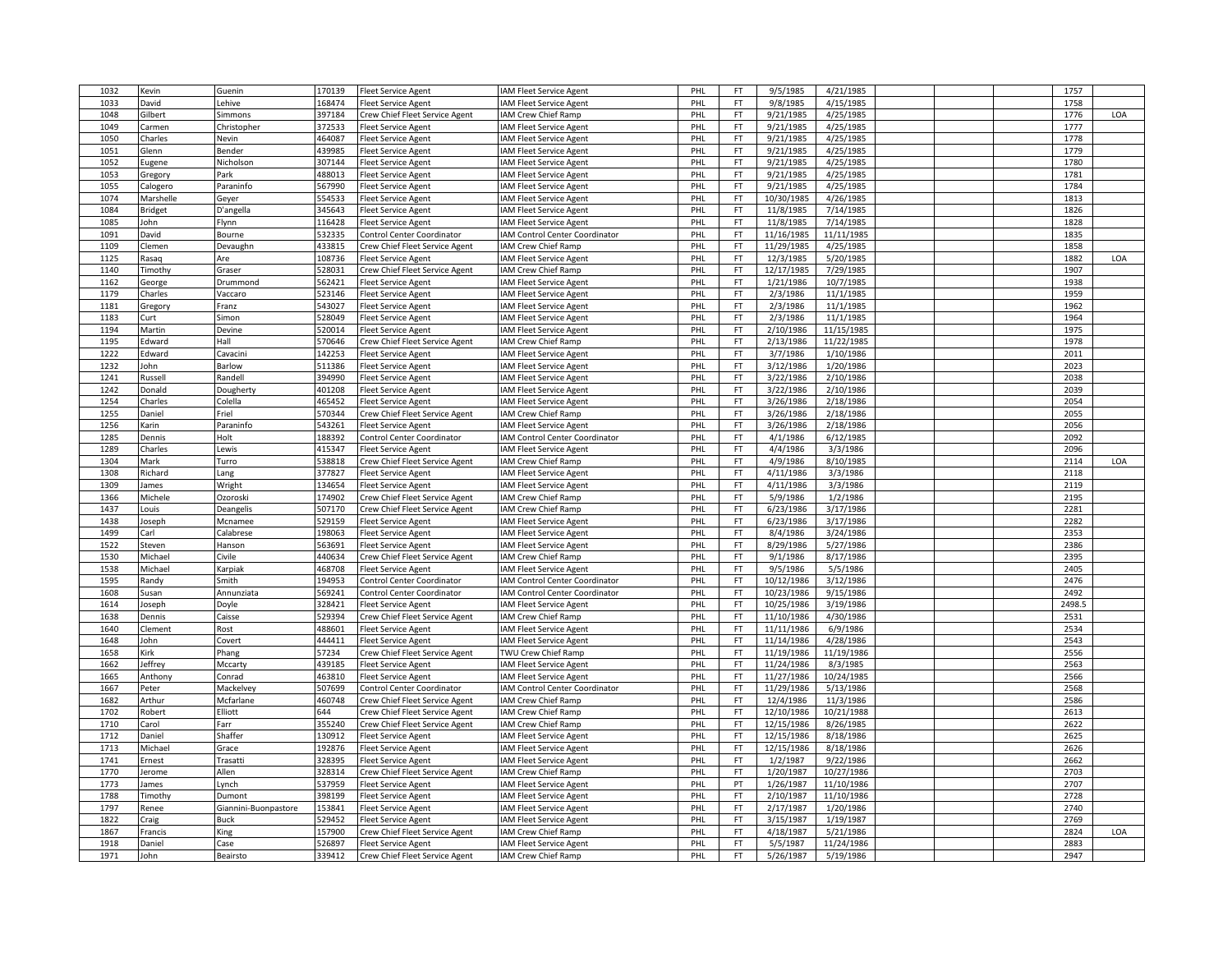| 1032 | Kevin     | Guenin               | 170139 | <b>Fleet Service Agent</b>        | <b>IAM Fleet Service Agent</b>        | PHL | FT              | 9/5/1985                 | 4/21/1985              |  | 1757   |     |
|------|-----------|----------------------|--------|-----------------------------------|---------------------------------------|-----|-----------------|--------------------------|------------------------|--|--------|-----|
| 1033 | David     | Lehive               | 168474 | <b>Fleet Service Agent</b>        | AM Fleet Service Agent                | PHI | FT              | 9/8/1985                 | 4/15/1985              |  | 1758   |     |
| 1048 | Gilbert   | Simmons              | 397184 | Crew Chief Fleet Service Agent    | AM Crew Chief Ramp                    | PHL | <b>FT</b>       | 9/21/1985                | 4/25/1985              |  | 1776   | LOA |
| 1049 | Carmen    | Christopher          | 372533 | <b>Fleet Service Agent</b>        | <b>IAM Fleet Service Agent</b>        | PHI | <b>FT</b>       | 9/21/1985                | 4/25/1985              |  | 1777   |     |
| 1050 | Charles   | Nevin                | 464087 | <b>Fleet Service Agent</b>        | <b>IAM Fleet Service Agent</b>        | PHI | <b>FT</b>       | 9/21/1985                | 4/25/1985              |  | 1778   |     |
| 1051 | Glenn     | Bender               | 439985 | <b>Fleet Service Agent</b>        | AM Fleet Service Agent                | PHL | <b>FT</b>       | 9/21/1985                | 4/25/1985              |  | 1779   |     |
| 1052 | Eugene    | Nicholson            | 307144 | <b>Fleet Service Agent</b>        | AM Fleet Service Agent                | PHL | <b>FT</b>       | 9/21/1985                | 4/25/1985              |  | 1780   |     |
|      |           | Park                 | 488013 |                                   |                                       | PHL | <b>FT</b>       | 9/21/1985                |                        |  | 1781   |     |
| 1053 | Gregory   |                      |        | <b>Fleet Service Agent</b>        | AM Fleet Service Agent                |     |                 |                          | 4/25/1985              |  |        |     |
| 1055 | Calogero  | Paraninfo            | 567990 | <b>Fleet Service Agent</b>        | <b>IAM Fleet Service Agent</b>        | PHI | <b>FT</b>       | 9/21/1985                | 4/25/1985              |  | 1784   |     |
| 1074 | Marshelle | Geyer                | 554533 | <b>Fleet Service Agent</b>        | AM Fleet Service Agent                | PHL | <b>FT</b>       | 10/30/1985               | 4/26/1985              |  | 1813   |     |
| 1084 | Bridget   | D'angella            | 345643 | <b>Fleet Service Agent</b>        | <b>IAM Fleet Service Agent</b>        | PHI | <b>FT</b>       | 11/8/1985                | 7/14/1985              |  | 1826   |     |
| 1085 | John      | Flynn                | 116428 | Fleet Service Agent               | <b>IAM Fleet Service Agent</b>        | PHI | FT              | 11/8/1985                | 7/14/1985              |  | 1828   |     |
| 1091 | David     | Bourne               | 532335 | Control Center Coordinator        | AM Control Center Coordinator         | PHL | <b>FT</b>       | 11/16/1985               | 11/11/1985             |  | 1835   |     |
| 1109 | Clemen    | Devaughn             | 433815 | Crew Chief Fleet Service Agent    | IAM Crew Chief Ramp                   | PHL | <b>FT</b>       | 11/29/1985               | 4/25/1985              |  | 1858   |     |
| 1125 | asaq      | Are                  | 108736 | <b>Fleet Service Agent</b>        | <b>IAM Fleet Service Agent</b>        | PHI | <b>FT</b>       | 12/3/1985                | 5/20/1985              |  | 1882   | LOA |
| 1140 | Timothy   | Graser               | 528031 | Crew Chief Fleet Service Agent    | <b>IAM Crew Chief Ramp</b>            | PHL | <b>FT</b>       | 12/17/1985               | 7/29/1985              |  | 1907   |     |
| 1162 | George    | Drummond             | 562421 | <b>Fleet Service Agent</b>        | <b>IAM Fleet Service Agent</b>        | PHL | <b>FT</b>       | 1/21/1986                | 10/7/1985              |  | 1938   |     |
| 1179 | Charles   | Vaccaro              | 523146 | <b>Fleet Service Agent</b>        | <b>IAM Fleet Service Agent</b>        | PHL | <b>FT</b>       | 2/3/1986                 | 11/1/1985              |  | 1959   |     |
| 1181 | Gregory   | Franz                | 543027 | <b>Fleet Service Agent</b>        | <b>IAM Fleet Service Agent</b>        | PHI | FT              | 2/3/1986                 | 11/1/1985              |  | 1962   |     |
| 1183 | Curt      | Simon                | 528049 | Fleet Service Agent               | AM Fleet Service Agent                | PHL | FT              | 2/3/1986                 | 11/1/1985              |  | 1964   |     |
| 1194 | Martin    | Devine               | 520014 | <b>Fleet Service Agent</b>        | <b>IAM Fleet Service Agent</b>        | PHI | FT              | 2/10/1986                | 11/15/1985             |  | 1975   |     |
| 1195 | Edward    | Hall                 | 570646 | Crew Chief Fleet Service Agent    | IAM Crew Chief Ramp                   | PHI | <b>FT</b>       | 2/13/1986                | 11/22/1985             |  | 1978   |     |
| 1222 | dward     | Cavacini             | 142253 | <b>Fleet Service Agent</b>        | AM Fleet Service Agent                | PHL | <b>FT</b>       | 3/7/1986                 | 1/10/1986              |  | 2011   |     |
| 1232 | John      | Barlow               | 511386 | <b>Fleet Service Agent</b>        | <b>IAM Fleet Service Agent</b>        | PHL | <b>FT</b>       | 3/12/1986                | 1/20/1986              |  | 2023   |     |
| 1241 |           | Randell              | 394990 |                                   |                                       | PHL | <b>FT</b>       | 3/22/1986                | 2/10/1986              |  | 2038   |     |
|      | Russell   |                      |        | Fleet Service Agent               | AM Fleet Service Agent                |     |                 |                          |                        |  |        |     |
| 1242 | Donald    | Dougherty            | 401208 | <b>Fleet Service Agent</b>        | <b>IAM Fleet Service Agent</b>        | PHL | <b>FT</b>       | 3/22/1986                | 2/10/1986              |  | 2039   |     |
| 1254 | Charles   | Colella              | 465452 | <b>Fleet Service Agent</b>        | <b>IAM Fleet Service Agent</b>        | PHL | FT              | 3/26/1986                | 2/18/1986              |  | 2054   |     |
| 1255 | Daniel    | Friel                | 570344 | Crew Chief Fleet Service Agent    | IAM Crew Chief Ramp                   | PHL | <b>FT</b>       | 3/26/1986                | 2/18/1986              |  | 2055   |     |
| 1256 | Karin     | Paraninfo            | 543261 | <b>Fleet Service Agent</b>        | AM Fleet Service Agent                | PHI | FT              | 3/26/1986                | 2/18/1986              |  | 2056   |     |
| 1285 | Dennis    | Holt                 | 188392 | Control Center Coordinator        | <b>IAM Control Center Coordinator</b> | PHL | <b>FT</b>       | 4/1/1986                 | 6/12/1985              |  | 2092   |     |
| 1289 | Charles   | Lewis                | 415347 | <b>Fleet Service Agent</b>        | <b>IAM Fleet Service Agent</b>        | PHI | <b>FT</b>       | 4/4/1986                 | 3/3/1986               |  | 2096   |     |
| 1304 | Mark      | Turro                | 538818 | Crew Chief Fleet Service Agent    | IAM Crew Chief Ramp                   | PHI | <b>FT</b>       | 4/9/1986                 | 8/10/1985              |  | 2114   | LOA |
| 1308 | Richard   | Lang                 | 377827 | <b>Fleet Service Agent</b>        | AM Fleet Service Agent                | PHL | <b>FT</b>       | 4/11/1986                | 3/3/1986               |  | 2118   |     |
| 1309 | ames      | Wright               | 134654 | <b>Fleet Service Agent</b>        | <b>IAM Fleet Service Agent</b>        | PHL | FT              | 4/11/1986                | 3/3/1986               |  | 2119   |     |
| 1366 | Michele   | Ozoroski             | 174902 | Crew Chief Fleet Service Agent    | IAM Crew Chief Ramp                   | PHL | <b>FT</b>       | 5/9/1986                 | 1/2/1986               |  | 2195   |     |
| 1437 | ouis.     | Deangelis            | 507170 | Crew Chief Fleet Service Agent    | <b>IAM Crew Chief Ramp</b>            | PHI | <b>FT</b>       | 6/23/1986                | 3/17/1986              |  | 2281   |     |
| 1438 | oseph     | Mcnamee              | 529159 | Fleet Service Agent               | AM Fleet Service Agent                | PHL | <b>FT</b>       | 6/23/1986                | 3/17/1986              |  | 2282   |     |
| 1499 | Carl      | Calabrese            | 198063 | <b>Fleet Service Agent</b>        | <b>IAM Fleet Service Agent</b>        | PHI | <b>FT</b>       | 8/4/1986                 | 3/24/1986              |  | 2353   |     |
| 1522 | Steven    | Hanson               | 563691 | Fleet Service Agent               | <b>IAM Fleet Service Agent</b>        | PHI | FT              | 8/29/1986                | 5/27/1986              |  | 2386   |     |
| 1530 | Michael   | Civile               | 440634 | Crew Chief Fleet Service Agent    | IAM Crew Chief Ramp                   | PHL | <b>FT</b>       | 9/1/1986                 | 8/17/1986              |  | 2395   |     |
| 1538 | Michael   | Karpiak              | 468708 | <b>Fleet Service Agent</b>        | <b>IAM Fleet Service Agent</b>        | PHL | FT              | 9/5/1986                 | 5/5/1986               |  | 2405   |     |
| 1595 | Randy     | Smith                | 194953 | Control Center Coordinator        | AM Control Center Coordinator         | PHI | <b>FT</b>       | 10/12/1986               | 3/12/1986              |  | 2476   |     |
| 1608 | susan     | Annunziata           | 569241 | <b>Control Center Coordinator</b> | AM Control Center Coordinator         | PHL | <b>FT</b>       | 10/23/1986               | 9/15/1986              |  | 2492   |     |
| 1614 | Joseph    | Doyle                | 328421 | <b>Fleet Service Agent</b>        | <b>IAM Fleet Service Agent</b>        | PHL | <b>FT</b>       | 10/25/1986               | 3/19/1986              |  | 2498.5 |     |
| 1638 | Dennis    | Caisse               | 529394 | Crew Chief Fleet Service Agent    | IAM Crew Chief Ramp                   | PHL | <b>FT</b>       | 11/10/1986               | 4/30/1986              |  | 2531   |     |
| 1640 | Clement   | Rost                 | 488601 | <b>Fleet Service Agent</b>        | <b>IAM Fleet Service Agent</b>        | PHI | <b>FT</b>       | 11/11/1986               | 6/9/1986               |  | 2534   |     |
| 1648 | ohn       | Covert               | 444411 | Fleet Service Agent               | <b>IAM Fleet Service Agent</b>        | PHL | <b>FT</b>       | 11/14/1986               | 4/28/1986              |  | 2543   |     |
|      |           |                      |        |                                   |                                       |     |                 |                          |                        |  |        |     |
| 1658 | Kirk      | Phang                | 57234  | Crew Chief Fleet Service Agent    | <b>TWU Crew Chief Ramp</b>            | PHI | FT<br><b>FT</b> | 11/19/1986<br>11/24/1986 | 11/19/1986<br>8/3/1985 |  | 2556   |     |
| 1662 | leffrey   | Mccarty              | 439185 | <b>Fleet Service Agent</b>        | IAM Fleet Service Agent               | PHI |                 |                          |                        |  | 2563   |     |
| 1665 | Anthony   | Conrad               | 463810 | <b>Fleet Service Agent</b>        | AM Fleet Service Agent                | PHL | <b>FT</b>       | 11/27/1986               | 10/24/1985             |  | 2566   |     |
| 1667 | Peter     | Mackelvey            | 507699 | Control Center Coordinator        | IAM Control Center Coordinator        | PHL | <b>FT</b>       | 11/29/1986               | 5/13/1986              |  | 2568   |     |
| 1682 | Arthur    | Mcfarlane            | 460748 | Crew Chief Fleet Service Agent    | AM Crew Chief Ramp                    | PHL | <b>FT</b>       | 12/4/1986                | 11/3/1986              |  | 2586   |     |
| 1702 | Robert    | Elliott              | 644    | Crew Chief Fleet Service Agent    | IAM Crew Chief Ramp                   | PHL | FT              | 12/10/1986               | 10/21/1988             |  | 2613   |     |
| 1710 | Carol     | Farr                 | 355240 | Crew Chief Fleet Service Agent    | IAM Crew Chief Ramp                   | PHL | <b>FT</b>       | 12/15/1986               | 8/26/1985              |  | 2622   |     |
| 1712 | Daniel    | Shaffer              | 130912 | <b>Fleet Service Agent</b>        | <b>IAM Fleet Service Agent</b>        | PHL | FT              | 12/15/1986               | 8/18/1986              |  | 2625   |     |
| 1713 | Michael   | Grace                | 192876 | <b>Fleet Service Agent</b>        | AM Fleet Service Agent                | PHI | <b>FT</b>       | 12/15/1986               | 8/18/1986              |  | 2626   |     |
| 1741 | Ernest    | Trasatti             | 328395 | <b>Fleet Service Agent</b>        | <b>IAM Fleet Service Agent</b>        | PHL | <b>FT</b>       | 1/2/1987                 | 9/22/1986              |  | 2662   |     |
| 1770 | lerome    | Allen                | 328314 | Crew Chief Fleet Service Agent    | <b>IAM Crew Chief Ramp</b>            | PHI | <b>FT</b>       | 1/20/1987                | 10/27/1986             |  | 2703   |     |
| 1773 | ames      | Lynch                | 537959 | Fleet Service Agent               | <b>IAM Fleet Service Agent</b>        | PHI | PT              | 1/26/1987                | 11/10/1986             |  | 2707   |     |
| 1788 | Timothy   | Dumont               | 398199 | <b>Fleet Service Agent</b>        | IAM Fleet Service Agent               | PHL | <b>FT</b>       | 2/10/1987                | 11/10/1986             |  | 2728   |     |
| 1797 | Renee     | Giannini-Buonpastore | 153841 | <b>Fleet Service Agent</b>        | <b>IAM Fleet Service Agent</b>        | PHL | FT              | 2/17/1987                | 1/20/1986              |  | 2740   |     |
| 1822 | Craig     | <b>Buck</b>          | 529452 | <b>Fleet Service Agent</b>        | IAM Fleet Service Agent               | PHL | <b>FT</b>       | 3/15/1987                | 1/19/1987              |  | 2769   |     |
| 1867 | rancis    | King                 | 157900 | Crew Chief Fleet Service Agent    | AM Crew Chief Ramp                    | PHI | <b>FT</b>       | 4/18/1987                | 5/21/1986              |  | 2824   | LOA |
| 1918 | Daniel    | Case                 | 526897 | <b>Fleet Service Agent</b>        | AM Fleet Service Agent                | PHI | FT.             | 5/5/1987                 | 11/24/1986             |  | 2883   |     |
| 1971 | John      | Beairsto             | 339412 | Crew Chief Fleet Service Agent    | IAM Crew Chief Ramp                   | PHL | <b>FT</b>       | 5/26/1987                | 5/19/1986              |  | 2947   |     |
|      |           |                      |        |                                   |                                       |     |                 |                          |                        |  |        |     |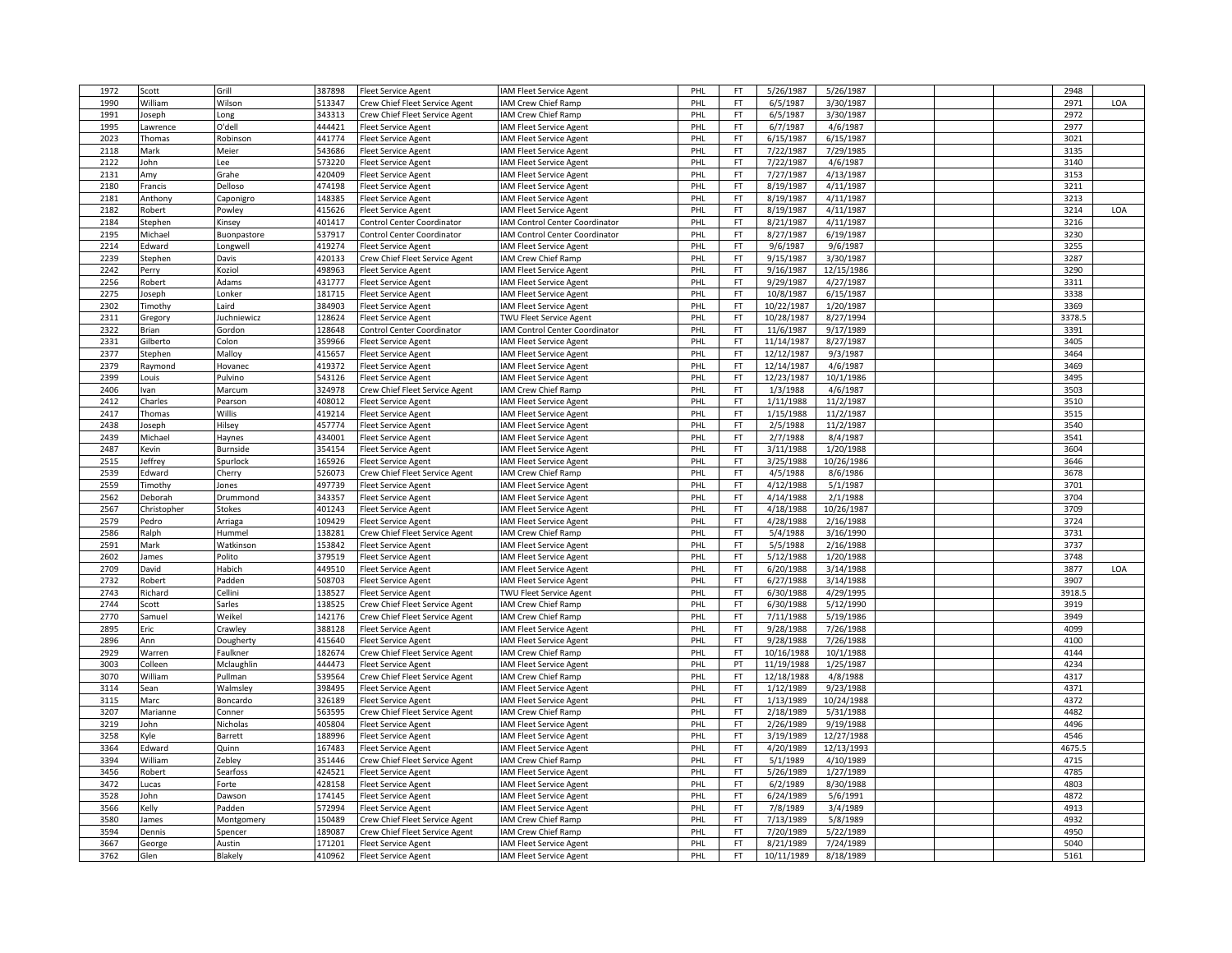| 1972 | Scott       | Grill          | 387898 | Fleet Service Agent            | IAM Fleet Service Agent        | PHL        | FT        | 5/26/1987  | 5/26/1987  |  | 2948   |     |
|------|-------------|----------------|--------|--------------------------------|--------------------------------|------------|-----------|------------|------------|--|--------|-----|
| 1990 | William     | Wilson         | 513347 | rew Chief Fleet Service Agent  | IAM Crew Chief Ramp            | PHI        | FT        | 6/5/1987   | 3/30/1987  |  | 2971   | LOA |
| 1991 | Joseph      | Long           | 343313 | Crew Chief Fleet Service Agent | IAM Crew Chief Ramp            | PHL        | FT.       | 6/5/1987   | 3/30/1987  |  | 2972   |     |
| 1995 | Lawrence    | O'dell         | 444421 | Fleet Service Agent            | IAM Fleet Service Agent        | PHL        | FT        | 6/7/1987   | 4/6/1987   |  | 2977   |     |
| 2023 | Thomas      | Robinson       | 441774 | leet Service Agent             | IAM Fleet Service Agent        | PHL        | <b>FT</b> | 6/15/1987  | 6/15/1987  |  | 3021   |     |
| 2118 | Mark        | Meier          | 543686 | leet Service Agent             | IAM Fleet Service Agent        | PHL        | FT.       | 7/22/1987  | 7/29/1985  |  | 3135   |     |
| 2122 | John        | Lee            | 573220 | leet Service Agent             | IAM Fleet Service Agent        | PHL        | FT        | 7/22/1987  | 4/6/1987   |  | 3140   |     |
| 2131 | Amy         | Grahe          | 420409 | Fleet Service Agent            | <b>AM Fleet Service Agent</b>  | PHI        | <b>FT</b> | 7/27/1987  | 4/13/1987  |  | 3153   |     |
| 2180 | Francis     | Delloso        | 474198 | leet Service Agent             | IAM Fleet Service Agent        | PHI        | FT        | 8/19/1987  | 4/11/1987  |  | 3211   |     |
| 2181 | Anthony     |                | 148385 |                                | IAM Fleet Service Agent        | PHL        | FT        | 8/19/1987  | 4/11/1987  |  | 3213   |     |
|      |             | Caponigro      |        | Fleet Service Agent            |                                |            |           |            |            |  |        |     |
| 2182 | Robert      | Powley         | 415626 | leet Service Agent             | IAM Fleet Service Agent        | PHI        | FT        | 8/19/1987  | 4/11/1987  |  | 3214   | LOA |
| 2184 | Stephen     | Kinsey         | 401417 | Control Center Coordinator     | IAM Control Center Coordinator | PHL        | FT        | 8/21/1987  | 4/11/1987  |  | 3216   |     |
| 2195 | Michael     | Buonpastore    | 537917 | Control Center Coordinator     | IAM Control Center Coordinator | PHL        | <b>FT</b> | 8/27/1987  | 6/19/1987  |  | 3230   |     |
| 2214 | Edward      | Longwell       | 419274 | Fleet Service Agent            | IAM Fleet Service Agent        | PHL        | FT        | 9/6/1987   | 9/6/1987   |  | 3255   |     |
| 2239 | Stephen     | Davis          | 420133 | Crew Chief Fleet Service Agent | IAM Crew Chief Ramp            | PHL        | <b>FT</b> | 9/15/1987  | 3/30/1987  |  | 3287   |     |
| 2242 | Perry       | Koziol         | 498963 | Fleet Service Agent            | IAM Fleet Service Agent        | PHL        | <b>FT</b> | 9/16/1987  | 12/15/1986 |  | 3290   |     |
| 2256 | Robert      | Adams          | 431777 | <b>Fleet Service Agent</b>     | IAM Fleet Service Agent        | PHL        | FT        | 9/29/1987  | 4/27/1987  |  | 3311   |     |
| 2275 | Joseph      | Lonker         | 181715 | leet Service Agent             | IAM Fleet Service Agent        | PHL        | FT        | 10/8/1987  | 6/15/1987  |  | 3338   |     |
| 2302 | Timothy     | Laird          | 384903 | leet Service Agent             | IAM Fleet Service Agent        | PHI        | FT        | 10/22/1987 | 1/20/1987  |  | 3369   |     |
| 2311 | Gregory     | uchniewicz     | 128624 | leet Service Agent             | TWU Fleet Service Agent        | PHL        | FT        | 10/28/1987 | 8/27/1994  |  | 3378.5 |     |
| 2322 | Brian       | Gordon         | 128648 | Control Center Coordinator     | IAM Control Center Coordinator | PHL        | FT.       | 11/6/1987  | 9/17/1989  |  | 3391   |     |
| 2331 | Gilberto    | Colon          | 359966 | Fleet Service Agent            | IAM Fleet Service Agent        | PHI        | <b>FT</b> | 11/14/1987 | 8/27/1987  |  | 3405   |     |
| 2377 | Stephen     | Malloy         | 415657 | leet Service Agent             | IAM Fleet Service Agent        | PHL        | <b>FT</b> | 12/12/1987 | 9/3/1987   |  | 3464   |     |
| 2379 | Raymond     | Hovanec        | 419372 | Fleet Service Agent            | IAM Fleet Service Agent        | PHL        | FT.       | 12/14/1987 | 4/6/1987   |  | 3469   |     |
| 2399 | ouis        | Pulvino        | 543126 | leet Service Agent             | <b>AM Fleet Service Agent</b>  | PHI        | <b>FT</b> | 12/23/1987 | 10/1/1986  |  | 3495   |     |
| 2406 | van         | Marcum         | 324978 | Crew Chief Fleet Service Agent | IAM Crew Chief Ramp            | PHL        | <b>FT</b> | 1/3/1988   | 4/6/1987   |  | 3503   |     |
| 2412 | Charles     | Pearsor        | 408012 | Fleet Service Agent            | IAM Fleet Service Agent        | PHL        | FT        | 1/11/1988  | 11/2/1987  |  | 3510   |     |
|      |             |                |        |                                |                                |            |           |            |            |  |        |     |
| 2417 | Thomas      | Willis         | 419214 | Fleet Service Agent            | IAM Fleet Service Agent        | <b>PHL</b> | FT.       | 1/15/1988  | 11/2/1987  |  | 3515   |     |
| 2438 | loseph      | Hilsey         | 457774 | leet Service Agent             | IAM Fleet Service Agent        | PHI        | FT.       | 2/5/1988   | 11/2/1987  |  | 3540   |     |
| 2439 | Michael     | Haynes         | 434001 | leet Service Agent             | IAM Fleet Service Agent        | PHL        | <b>FT</b> | 2/7/1988   | 8/4/1987   |  | 3541   |     |
| 2487 | Kevin       | Burnside       | 354154 | Fleet Service Agent            | IAM Fleet Service Agent        | PHL        | FT.       | 3/11/1988  | 1/20/1988  |  | 3604   |     |
| 2515 | Jeffrey     | Spurlock       | 165926 | Fleet Service Agent            | IAM Fleet Service Agent        | PHI        | FT        | 3/25/1988  | 10/26/1986 |  | 3646   |     |
| 2539 | Edward      | Cherry         | 526073 | Crew Chief Fleet Service Agent | IAM Crew Chief Ramp            | PHL        | FT        | 4/5/1988   | 8/6/1986   |  | 3678   |     |
| 2559 | Timothy     | Jones          | 497739 | Fleet Service Agent            | IAM Fleet Service Agent        | PHL        | FT        | 4/12/1988  | 5/1/1987   |  | 3701   |     |
| 2562 | Deborah     | Drummond       | 343357 | Fleet Service Agent            | IAM Fleet Service Agent        | <b>PHL</b> | <b>FT</b> | 4/14/1988  | 2/1/1988   |  | 3704   |     |
| 2567 | Christopher | <b>Stokes</b>  | 401243 | leet Service Agent             | IAM Fleet Service Agent        | PHI        | FT        | 4/18/1988  | 10/26/1987 |  | 3709   |     |
| 2579 | Pedro       | Arriaga        | 109429 | Fleet Service Agent            | IAM Fleet Service Agent        | PHL        | FT.       | 4/28/1988  | 2/16/1988  |  | 3724   |     |
| 2586 | Ralph       | Hummel         | 138281 | Crew Chief Fleet Service Agent | IAM Crew Chief Ramp            | PHI        | FT.       | 5/4/1988   | 3/16/1990  |  | 3731   |     |
| 2591 | Mark        | Watkinson      | 153842 | Fleet Service Agent            | IAM Fleet Service Agent        | PHI        | FT        | 5/5/1988   | 2/16/1988  |  | 3737   |     |
| 2602 | lames       | Polito         | 379519 | leet Service Agent             | IAM Fleet Service Agent        | PHL        | FT        | 5/12/1988  | 1/20/1988  |  | 3748   |     |
| 2709 | David       | Habich         | 449510 | leet Service Agent             | IAM Fleet Service Agent        | PHL        | FT        | 6/20/1988  | 3/14/1988  |  | 3877   | LOA |
| 2732 | Robert      | Padden         | 508703 | Fleet Service Agent            | <b>AM Fleet Service Agent</b>  | PHI        | <b>FT</b> | 6/27/1988  | 3/14/1988  |  | 3907   |     |
| 2743 | Richard     | Cellini        | 138527 | leet Service Agent             | <b>TWU Fleet Service Agent</b> | PHI        | FT        | 6/30/1988  | 4/29/1995  |  | 3918.5 |     |
| 2744 | Scott       | Sarles         | 138525 | Crew Chief Fleet Service Agent | IAM Crew Chief Ramp            | PHL        | <b>FT</b> | 6/30/1988  | 5/12/1990  |  | 3919   |     |
| 2770 | Samue       | Weikel         | 142176 | Crew Chief Fleet Service Agent | IAM Crew Chief Ramp            | PHI        | FT        | 7/11/1988  | 5/19/1986  |  | 3949   |     |
| 2895 |             |                |        |                                |                                |            | FT        | 9/28/1988  |            |  |        |     |
|      | Eric        | Crawley        | 388128 | leet Service Agent             | IAM Fleet Service Agent        | PHL        |           |            | 7/26/1988  |  | 4099   |     |
| 2896 | Ann         | Dougherty      | 415640 | leet Service Agent             | IAM Fleet Service Agent        | PHL        | FT.       | 9/28/1988  | 7/26/1988  |  | 4100   |     |
| 2929 | Warren      | Faulkner       | 182674 | Crew Chief Fleet Service Agent | IAM Crew Chief Ramp            | PHL        | FT        | 10/16/1988 | 10/1/1988  |  | 4144   |     |
| 3003 | Colleen     | Mclaughlin     | 444473 | Fleet Service Agent            | <b>IAM Fleet Service Agent</b> | PHI        | PT        | 11/19/1988 | 1/25/1987  |  | 4234   |     |
| 3070 | William     | Pullman        | 539564 | Crew Chief Fleet Service Agent | IAM Crew Chief Ramp            | PHL        | <b>FT</b> | 12/18/1988 | 4/8/1988   |  | 4317   |     |
| 3114 | Sean        | Walmsley       | 398495 | Fleet Service Agent            | IAM Fleet Service Agent        | PHL        | FT        | 1/12/1989  | 9/23/1988  |  | 4371   |     |
| 3115 | Marc        | Boncardo       | 326189 | leet Service Agent             | IAM Fleet Service Agent        | PHL        | FT        | 1/13/1989  | 10/24/1988 |  | 4372   |     |
| 3207 | Marianne    | Conner         | 563595 | rew Chief Fleet Service Agent  | IAM Crew Chief Ramp            | PHL        | FT        | 2/18/1989  | 5/31/1988  |  | 4482   |     |
| 3219 | John        | Nicholas       | 405804 | Fleet Service Agent            | IAM Fleet Service Agent        | PHL        | FT.       | 2/26/1989  | 9/19/1988  |  | 4496   |     |
| 3258 | Kyle        | <b>Barrett</b> | 188996 | Fleet Service Agent            | IAM Fleet Service Agent        | PHI        | FT        | 3/19/1989  | 12/27/1988 |  | 4546   |     |
| 3364 | Edward      | Quinn          | 167483 | leet Service Agent             | IAM Fleet Service Agent        | PHI        | FT        | 4/20/1989  | 12/13/1993 |  | 4675.5 |     |
| 3394 | William     | Zebley         | 351446 | Crew Chief Fleet Service Agent | IAM Crew Chief Ramp            | PHL        | FT        | 5/1/1989   | 4/10/1989  |  | 4715   |     |
| 3456 | Robert      | Searfoss       | 424521 | leet Service Agent             | IAM Fleet Service Agent        | PHL        | FT        | 5/26/1989  | 1/27/1989  |  | 4785   |     |
| 3472 | .ucas       | Forte          | 428158 | leet Service Agent             | IAM Fleet Service Agent        | PHI        | FT        | 6/2/1989   | 8/30/1988  |  | 4803   |     |
| 3528 | John        | Dawson         | 174145 | leet Service Agent             | IAM Fleet Service Agent        | PHI        | FT        | 6/24/1989  | 5/6/1991   |  | 4872   |     |
| 3566 | Kelly       | Padden         | 572994 | Fleet Service Agent            | IAM Fleet Service Agent        | PHL        | FT        | 7/8/1989   | 3/4/1989   |  | 4913   |     |
| 3580 | James       | Montgomery     | 150489 | Crew Chief Fleet Service Agent | IAM Crew Chief Ramp            | PHI        | FT        | 7/13/1989  | 5/8/1989   |  | 4932   |     |
| 3594 |             |                | 189087 |                                |                                | PHI        | <b>FT</b> | 7/20/1989  | 5/22/1989  |  | 4950   |     |
| 3667 | Dennis      | Spencer        | 171201 | Crew Chief Fleet Service Agent | IAM Crew Chief Ramp            |            | FT.       |            | 7/24/1989  |  | 5040   |     |
|      | George      | Austin         |        | leet Service Agent             | IAM Fleet Service Agent        | PHL        |           | 8/21/1989  |            |  |        |     |
| 3762 | Glen        | Blakely        | 410962 | <b>Fleet Service Agent</b>     | IAM Fleet Service Agent        | PHL        | FT        | 10/11/1989 | 8/18/1989  |  | 5161   |     |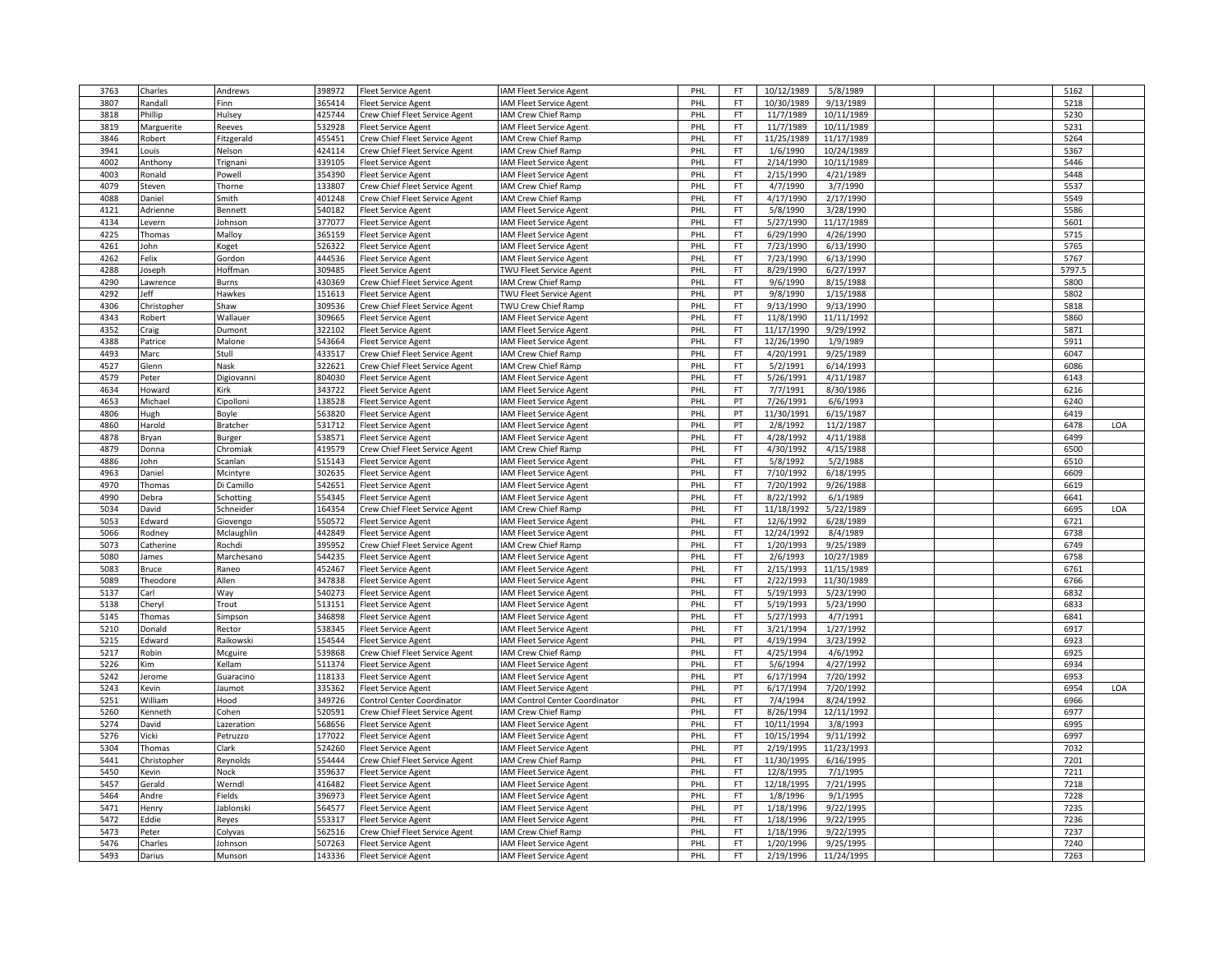| 3763 | Charles     | Andrews    | 398972 | <b>Fleet Service Agent</b>     | IAM Fleet Service Agent        | PHL | FT.       | 10/12/1989 | 5/8/1989   |  | 5162   |     |
|------|-------------|------------|--------|--------------------------------|--------------------------------|-----|-----------|------------|------------|--|--------|-----|
| 3807 | Randall     | Finn       | 365414 | leet Service Agent             | IAM Fleet Service Agent        | PHI | FT        | 10/30/1989 | 9/13/1989  |  | 5218   |     |
| 3818 | Phillip     | Hulsey     | 425744 | Crew Chief Fleet Service Agent | IAM Crew Chief Ramp            | PHL | FT.       | 11/7/1989  | 10/11/1989 |  | 5230   |     |
| 3819 | Marguerite  | Reeves     | 532928 | Fleet Service Agent            | IAM Fleet Service Agent        | PHL | FT        | 11/7/1989  | 10/11/1989 |  | 5231   |     |
| 3846 | Robert      | Fitzgerald | 455451 | Crew Chief Fleet Service Agent | IAM Crew Chief Ramp            | PHL | <b>FT</b> | 11/25/1989 | 11/17/1989 |  | 5264   |     |
| 3941 | ouis        | Nelson     | 424114 | Crew Chief Fleet Service Agent | IAM Crew Chief Ramp            | PHL | FT.       | 1/6/1990   | 10/24/1989 |  | 5367   |     |
| 4002 | Anthony     | Trignani   | 339105 | Fleet Service Agent            | IAM Fleet Service Agent        | PHL | FT.       | 2/14/1990  | 10/11/1989 |  | 5446   |     |
| 4003 | Ronald      | Powell     | 354390 | <b>Fleet Service Agent</b>     | IAM Fleet Service Agent        | PHL | <b>FT</b> | 2/15/1990  | 4/21/1989  |  | 5448   |     |
| 4079 | Steven      | Thorne     | 133807 | Crew Chief Fleet Service Agent | IAM Crew Chief Ramp            | PHI | <b>FT</b> | 4/7/1990   | 3/7/1990   |  | 5537   |     |
| 4088 | Daniel      | Smith      | 401248 | Crew Chief Fleet Service Agent | IAM Crew Chief Ramp            | PHL | FT        | 4/17/1990  | 2/17/1990  |  | 5549   |     |
|      |             |            |        |                                |                                |     |           |            |            |  |        |     |
| 4121 | Adrienne    | Bennett    | 540182 | leet Service Agent             | IAM Fleet Service Agent        | PHL | FT        | 5/8/1990   | 3/28/1990  |  | 5586   |     |
| 4134 | Levern      | Johnson    | 377077 | leet Service Agent             | IAM Fleet Service Agent        | PHL | FT        | 5/27/1990  | 11/17/1989 |  | 5601   |     |
| 4225 | Thomas      | Malloy     | 365159 | leet Service Agent             | IAM Fleet Service Agent        | PHL | FT.       | 6/29/1990  | 4/26/1990  |  | 5715   |     |
| 4261 | John        | Koget      | 526322 | leet Service Agent             | IAM Fleet Service Agent        | PHL | FT        | 7/23/1990  | 6/13/1990  |  | 5765   |     |
| 4262 | Felix       | Gordon     | 444536 | Fleet Service Agent            | IAM Fleet Service Agent        | PHI | <b>FT</b> | 7/23/1990  | 6/13/1990  |  | 5767   |     |
| 4288 | Joseph      | Hoffman    | 309485 | Fleet Service Agent            | TWU Fleet Service Agent        | PHL | <b>FT</b> | 8/29/1990  | 6/27/1997  |  | 5797.5 |     |
| 4290 | Lawrence    | Burns      | 430369 | Crew Chief Fleet Service Agent | IAM Crew Chief Ramp            | PHL | <b>FT</b> | 9/6/1990   | 8/15/1988  |  | 5800   |     |
| 4292 | Jeff        | Hawkes     | 151613 | leet Service Agent             | TWU Fleet Service Agent        | PHL | PT        | 9/8/1990   | 1/15/1988  |  | 5802   |     |
| 4306 | Christopher | Shaw       | 309536 | rew Chief Fleet Service Agent  | TWU Crew Chief Ramp            | PHI | FT        | 9/13/1990  | 9/13/1990  |  | 5818   |     |
| 4343 | Robert      | Wallauer   | 309665 | leet Service Agent             | IAM Fleet Service Agent        | PHL | FT        | 11/8/1990  | 11/11/1992 |  | 5860   |     |
| 4352 | Craig       | Dumont     | 322102 | Fleet Service Agent            | IAM Fleet Service Agent        | PHL | FT        | 11/17/1990 | 9/29/1992  |  | 5871   |     |
| 4388 | Patrice     | Malone     | 543664 | Fleet Service Agent            | IAM Fleet Service Agent        | PHI | FT        | 12/26/1990 | 1/9/1989   |  | 5911   |     |
| 4493 | Marc        | Stull      | 433517 | Crew Chief Fleet Service Agent | IAM Crew Chief Ramp            | PHL | <b>FT</b> | 4/20/1991  | 9/25/1989  |  | 6047   |     |
| 4527 | Glenn       | Nask       | 322621 | Crew Chief Fleet Service Agent | IAM Crew Chief Ramp            | PHL | FT        | 5/2/1991   | 6/14/1993  |  | 6086   |     |
| 4579 | Peter       | Digiovanni | 804030 | Fleet Service Agent            | IAM Fleet Service Agent        | PHI | <b>FT</b> | 5/26/1991  | 4/11/1987  |  | 6143   |     |
| 4634 | Howard      | Kirk       | 343722 | Fleet Service Agent            | IAM Fleet Service Agent        | PHL | <b>FT</b> | 7/7/1991   | 8/30/1986  |  | 6216   |     |
| 4653 | Michael     |            | 138528 |                                |                                |     | PT        | 7/26/1991  | 6/6/1993   |  | 6240   |     |
|      |             | Cipolloni  |        | leet Service Agent             | IAM Fleet Service Agent        | PHL |           |            |            |  |        |     |
| 4806 | Hugh        | Boyle      | 563820 | leet Service Agent             | IAM Fleet Service Agent        | PHL | PT        | 11/30/1991 | 6/15/1987  |  | 6419   |     |
| 4860 | Harold      | Bratcher   | 531712 | leet Service Agent             | <b>IAM Fleet Service Agent</b> | PHI | PT        | 2/8/1992   | 11/2/1987  |  | 6478   | LOA |
| 4878 | Bryan       | Burger     | 538571 | Fleet Service Agent            | IAM Fleet Service Agent        | PHL | <b>FT</b> | 4/28/1992  | 4/11/1988  |  | 6499   |     |
| 4879 | Donna       | Chromiak   | 419579 | Crew Chief Fleet Service Agent | IAM Crew Chief Ramp            | PHI | FT        | 4/30/1992  | 4/15/1988  |  | 6500   |     |
| 4886 | John        | Scanlan    | 515143 | Fleet Service Agent            | IAM Fleet Service Agent        | PHI | <b>FT</b> | 5/8/1992   | 5/2/1988   |  | 6510   |     |
| 4963 | Daniel      | Mcintyre   | 302635 | leet Service Agent             | IAM Fleet Service Agent        | PHL | FT.       | 7/10/1992  | 6/18/1995  |  | 6609   |     |
| 4970 | Thomas      | Di Camillo | 542651 | Fleet Service Agent            | <b>IAM Fleet Service Agent</b> | PHL | FT.       | 7/20/1992  | 9/26/1988  |  | 6619   |     |
| 4990 | Debra       | Schotting  | 554345 | Fleet Service Agent            | IAM Fleet Service Agent        | PHL | FT.       | 8/22/1992  | 6/1/1989   |  | 6641   |     |
| 5034 | David       | Schneider  | 164354 | rew Chief Fleet Service Agent  | IAM Crew Chief Ramp            | PHI | FT        | 11/18/1992 | 5/22/1989  |  | 6695   | LOA |
| 5053 | Edward      | Giovengo   | 550572 | Fleet Service Agent            | IAM Fleet Service Agent        | PHL | FT        | 12/6/1992  | 6/28/1989  |  | 6721   |     |
| 5066 | Rodney      | Mclaughlin | 442849 | leet Service Agent             | <b>IAM Fleet Service Agent</b> | PHL | FT        | 12/24/1992 | 8/4/1989   |  | 6738   |     |
| 5073 | Catherine   | Rochdi     | 395952 | Crew Chief Fleet Service Agent | IAM Crew Chief Ramp            | PHL | FT        | 1/20/1993  | 9/25/1989  |  | 6749   |     |
| 5080 | James       | Marchesano | 544235 | leet Service Agent             | IAM Fleet Service Agent        | PHL | <b>FT</b> | 2/6/1993   | 10/27/1989 |  | 6758   |     |
| 5083 | Bruce       | Raneo      | 452467 | leet Service Agent             | IAM Fleet Service Agent        | PHL | FT        | 2/15/1993  | 11/15/1989 |  | 6761   |     |
| 5089 | Theodore    | Allen      | 347838 | <b>Fleet Service Agent</b>     | IAM Fleet Service Agent        | PHI | <b>FT</b> | 2/22/1993  | 11/30/1989 |  | 6766   |     |
| 5137 | Carl        | Way        | 540273 | leet Service Agent             | IAM Fleet Service Agent        | PHL | <b>FT</b> | 5/19/1993  | 5/23/1990  |  | 6832   |     |
| 5138 |             |            | 513151 |                                |                                |     | FT.       | 5/19/1993  | 5/23/1990  |  | 6833   |     |
|      | Cheryl      | Trout      | 346898 | Fleet Service Agent            | IAM Fleet Service Agent        | PHL |           |            |            |  | 6841   |     |
| 5145 | Thomas      | Simpson    |        | leet Service Agent             | IAM Fleet Service Agent        | PHL | FT        | 5/27/1993  | 4/7/1991   |  |        |     |
| 5210 | Donald      | Rector     | 538345 | leet Service Agent             | IAM Fleet Service Agent        | PHI | FT        | 3/21/1994  | 1/27/1992  |  | 6917   |     |
| 5215 | Edward      | Raikowski  | 154544 | leet Service Agent             | IAM Fleet Service Agent        | PHL | PT        | 4/19/1994  | 3/23/1992  |  | 6923   |     |
| 5217 | Robin       | Mcguire    | 539868 | Crew Chief Fleet Service Agent | IAM Crew Chief Ramp            | PHI | FT        | 4/25/1994  | 4/6/1992   |  | 6925   |     |
| 5226 | Kim         | Kellam     | 511374 | Fleet Service Agent            | IAM Fleet Service Agent        | PHI | <b>FT</b> | 5/6/1994   | 4/27/1992  |  | 6934   |     |
| 5242 | Jerome      | Guaracino  | 118133 | leet Service Agent             | IAM Fleet Service Agent        | PHL | PT        | 6/17/1994  | 7/20/1992  |  | 6953   |     |
| 5243 | Kevin       | Jaumot     | 335362 | leet Service Agent             | IAM Fleet Service Agent        | PHL | PT        | 6/17/1994  | 7/20/1992  |  | 6954   | LOA |
| 5251 | William     | Hood       | 349726 | Control Center Coordinator     | IAM Control Center Coordinator | PHI | FT.       | 7/4/1994   | 8/24/1992  |  | 6966   |     |
| 5260 | Kenneth     | Cohen      | 520591 | Crew Chief Fleet Service Agent | IAM Crew Chief Ramp            | PHL | FT        | 8/26/1994  | 12/11/1992 |  | 6977   |     |
| 5274 | David       | Lazeration | 568656 | Fleet Service Agent            | IAM Fleet Service Agent        | PHL | FT        | 10/11/1994 | 3/8/1993   |  | 6995   |     |
| 5276 | Vicki       | Petruzzo   | 177022 | Fleet Service Agent            | IAM Fleet Service Agent        | PHL | FT        | 10/15/1994 | 9/11/1992  |  | 6997   |     |
| 5304 | Thomas      | Clark      | 524260 | leet Service Agent             | IAM Fleet Service Agent        | PHI | PT        | 2/19/1995  | 11/23/1993 |  | 7032   |     |
| 5441 | Christopher | Reynolds   | 554444 | Crew Chief Fleet Service Agent | IAM Crew Chief Ramp            | PHL | <b>FT</b> | 11/30/1995 | 6/16/1995  |  | 7201   |     |
| 5450 | Kevin       | Nock       | 359637 | Fleet Service Agent            | IAM Fleet Service Agent        | PHI | FT.       | 12/8/1995  | 7/1/1995   |  | 7211   |     |
| 5457 | Gerald      | Werndl     | 416482 | Fleet Service Agent            | IAM Fleet Service Agent        | PHI | <b>FT</b> | 12/18/1995 | 7/21/1995  |  | 7218   |     |
| 5464 | Andre       | Fields     | 396973 | leet Service Agent             | IAM Fleet Service Agent        | PHL | FT        | 1/8/1996   | 9/1/1995   |  | 7228   |     |
| 5471 | Henry       | Jablonski  | 564577 | Fleet Service Agent            | <b>IAM Fleet Service Agent</b> | PHL | PT        | 1/18/1996  | 9/22/1995  |  | 7235   |     |
| 5472 | Eddie       |            | 553317 |                                |                                |     |           | 1/18/1996  | 9/22/1995  |  | 7236   |     |
|      |             | Reyes      |        | leet Service Agent             | IAM Fleet Service Agent        | PHL | FT.       |            |            |  |        |     |
| 5473 | Peter       | Colyvas    | 562516 | rew Chief Fleet Service Agent  | <b>AM Crew Chief Ramp</b>      | PHI | FT        | 1/18/1996  | 9/22/1995  |  | 7237   |     |
| 5476 | Charles     | Johnson    | 507263 | Fleet Service Agent            | IAM Fleet Service Agent        | PHL | FT.       | 1/20/1996  | 9/25/1995  |  | 7240   |     |
| 5493 | Darius      | Munson     | 143336 | Fleet Service Agent            | IAM Fleet Service Agent        | PHL | FT        | 2/19/1996  | 11/24/1995 |  | 7263   |     |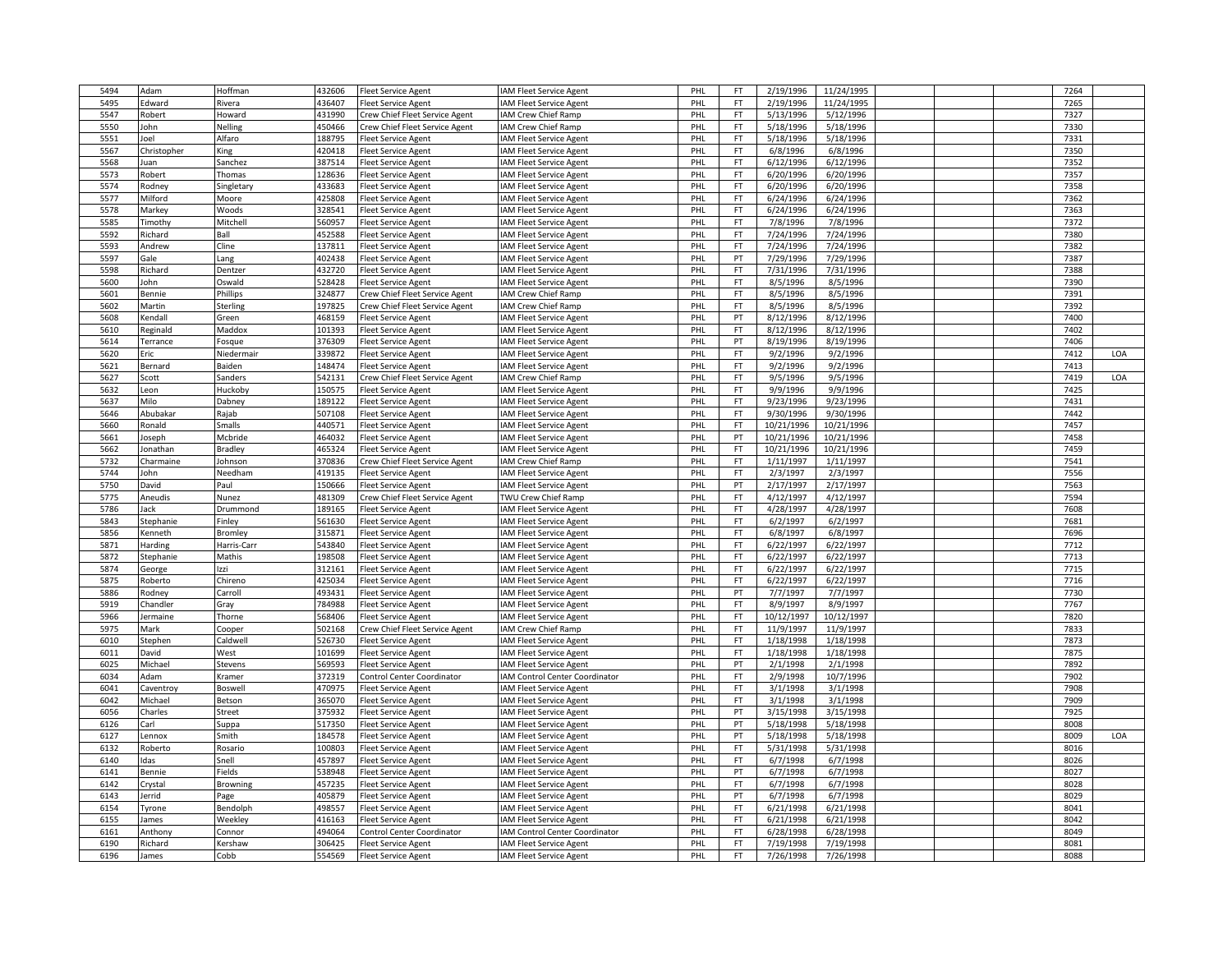| 5494 | Adam        | Hoffman         | 432606 | Fleet Service Agent               | IAM Fleet Service Agent                        | PHL | FT        | 2/19/1996  | 11/24/1995 |  | 7264         |     |
|------|-------------|-----------------|--------|-----------------------------------|------------------------------------------------|-----|-----------|------------|------------|--|--------------|-----|
| 5495 | Edward      | Rivera          | 436407 | leet Service Agent                | IAM Fleet Service Agent                        | PHI | FT        | 2/19/1996  | 11/24/1995 |  | 7265         |     |
| 5547 | Robert      | Howard          | 431990 | Crew Chief Fleet Service Agent    | IAM Crew Chief Ramp                            | PHL | FT.       | 5/13/1996  | 5/12/1996  |  | 7327         |     |
| 5550 | John        | Nelling         | 450466 | Crew Chief Fleet Service Agent    | IAM Crew Chief Ramp                            | PHL | FT        | 5/18/1996  | 5/18/1996  |  | 7330         |     |
| 5551 | Joel        | Alfaro          | 188795 | Fleet Service Agent               | IAM Fleet Service Agent                        | PHI | <b>FT</b> | 5/18/1996  | 5/18/1996  |  | 7331         |     |
| 5567 | Christopher | King            | 420418 | leet Service Agent                | IAM Fleet Service Agent                        | PHL | FT.       | 6/8/1996   | 6/8/1996   |  | 7350         |     |
| 5568 | Juan        | Sanchez         | 387514 | leet Service Agent                | IAM Fleet Service Agent                        | PHL | FT        | 6/12/1996  | 6/12/1996  |  | 7352         |     |
| 5573 | Robert      | Thomas          | 128636 | Fleet Service Agent               | IAM Fleet Service Agent                        | PHL | <b>FT</b> | 6/20/1996  | 6/20/1996  |  | 7357         |     |
| 5574 | Rodney      | Singletary      | 433683 | leet Service Agent                | IAM Fleet Service Agent                        | PHI | <b>FT</b> | 6/20/1996  | 6/20/1996  |  | 7358         |     |
| 5577 | Milford     | Moore           | 425808 | Fleet Service Agent               | IAM Fleet Service Agent                        | PHL | FT        | 6/24/1996  | 6/24/1996  |  | 7362         |     |
| 5578 | Markey      | Woods           | 328541 | leet Service Agent                | IAM Fleet Service Agent                        | PHL | FT        | 6/24/1996  | 6/24/1996  |  | 7363         |     |
| 5585 | Timothy     | Mitchell        | 560957 | leet Service Agent                | IAM Fleet Service Agent                        | PHL | FT        | 7/8/1996   | 7/8/1996   |  | 7372         |     |
| 5592 | Richard     | Ball            | 452588 | leet Service Agent                | IAM Fleet Service Agent                        | PHL | FT.       | 7/24/1996  | 7/24/1996  |  | 7380         |     |
| 5593 | Andrew      | Cline           | 137811 | leet Service Agent                | IAM Fleet Service Agent                        | PHL | FT        | 7/24/1996  | 7/24/1996  |  | 7382         |     |
| 5597 | Gale        | Lang            | 402438 | Fleet Service Agent               | IAM Fleet Service Agent                        | PHI | PT        | 7/29/1996  | 7/29/1996  |  | 7387         |     |
| 5598 | Richard     | Dentzer         | 432720 | Fleet Service Agent               | IAM Fleet Service Agent                        | PHL | <b>FT</b> | 7/31/1996  | 7/31/1996  |  | 7388         |     |
| 5600 | John        | Oswald          | 528428 | Fleet Service Agent               | IAM Fleet Service Agent                        | PHL | FT.       | 8/5/1996   | 8/5/1996   |  | 7390         |     |
| 5601 | Bennie      | Phillips        | 324877 | Crew Chief Fleet Service Agent    | IAM Crew Chief Ramp                            | PHL | FT.       | 8/5/1996   | 8/5/1996   |  | 7391         |     |
| 5602 | Martin      |                 | 197825 |                                   |                                                | PHI | FT        | 8/5/1996   | 8/5/1996   |  | 7392         |     |
| 5608 | Kendall     | Sterling        | 468159 | rew Chief Fleet Service Agent     | IAM Crew Chief Ramp<br>IAM Fleet Service Agent | PHL | PT        | 8/12/1996  | 8/12/1996  |  | 7400         |     |
|      |             | Green           |        | Fleet Service Agent               |                                                |     |           |            |            |  |              |     |
| 5610 | Reginald    | Maddox          | 101393 | Fleet Service Agent               | IAM Fleet Service Agent                        | PHI | FT<br>PT  | 8/12/1996  | 8/12/1996  |  | 7402<br>7406 |     |
| 5614 | Terrance    | Fosque          | 376309 | leet Service Agent                | IAM Fleet Service Agent                        | PHI |           | 8/19/1996  | 8/19/1996  |  |              |     |
| 5620 | Eric        | Niedermair      | 339872 | leet Service Agent                | IAM Fleet Service Agent                        | PHL | <b>FT</b> | 9/2/1996   | 9/2/1996   |  | 7412         | LOA |
| 5621 | Bernard     | Baiden          | 148474 | Fleet Service Agent               | IAM Fleet Service Agent                        | PHL | FT        | 9/2/1996   | 9/2/1996   |  | 7413         |     |
| 5627 | Scott       | Sanders         | 542131 | Crew Chief Fleet Service Agent    | IAM Crew Chief Ramp                            | PHI | <b>FT</b> | 9/5/1996   | 9/5/1996   |  | 7419         | LOA |
| 5632 | eon         | Huckoby         | 150575 | leet Service Agent                | IAM Fleet Service Agent                        | PHL | <b>FT</b> | 9/9/1996   | 9/9/1996   |  | 7425         |     |
| 5637 | Milo        | Dabney          | 189122 | Fleet Service Agent               | IAM Fleet Service Agent                        | PHL | FT        | 9/23/1996  | 9/23/1996  |  | 7431         |     |
| 5646 | Abubaka     | Rajab           | 507108 | leet Service Agent                | IAM Fleet Service Agent                        | PHL | FT        | 9/30/1996  | 9/30/1996  |  | 7442         |     |
| 5660 | Ronald      | Smalls          | 440571 | leet Service Agent                | <b>IAM Fleet Service Agent</b>                 | PHI | FT        | 10/21/1996 | 10/21/1996 |  | 7457         |     |
| 5661 | Joseph      | Mcbride         | 464032 | leet Service Agent                | IAM Fleet Service Agent                        | PHL | PT        | 10/21/1996 | 10/21/1996 |  | 7458         |     |
| 5662 | Jonathar    | Bradley         | 465324 | Fleet Service Agent               | IAM Fleet Service Agent                        | PHI | FT        | 10/21/1996 | 10/21/1996 |  | 7459         |     |
| 5732 | Charmaine   | Johnson         | 370836 | Crew Chief Fleet Service Agent    | IAM Crew Chief Ramp                            | PHI | <b>FT</b> | 1/11/1997  | 1/11/1997  |  | 7541         |     |
| 5744 | John        | Needham         | 419135 | leet Service Agent                | IAM Fleet Service Agent                        | PHL | FT.       | 2/3/1997   | 2/3/1997   |  | 7556         |     |
| 5750 | David       | Paul            | 150666 | Fleet Service Agent               | IAM Fleet Service Agent                        | PHL | PT        | 2/17/1997  | 2/17/1997  |  | 7563         |     |
| 5775 | Aneudis     | Nunez           | 481309 | Crew Chief Fleet Service Agent    | TWU Crew Chief Ramp                            | PHL | <b>FT</b> | 4/12/1997  | 4/12/1997  |  | 7594         |     |
| 5786 | Jack        | Drummond        | 189165 | leet Service Agent                | IAM Fleet Service Agent                        | PHI | FT        | 4/28/1997  | 4/28/1997  |  | 7608         |     |
| 5843 | Stephanie   | Finley          | 561630 | Fleet Service Agent               | IAM Fleet Service Agent                        | PHL | FT        | 6/2/1997   | 6/2/1997   |  | 7681         |     |
| 5856 | Kenneth     | Bromley         | 315871 | leet Service Agent                | IAM Fleet Service Agent                        | PHI | FT        | 6/8/1997   | 6/8/1997   |  | 7696         |     |
| 5871 | Harding     | Harris-Carr     | 543840 | leet Service Agent                | IAM Fleet Service Agent                        | PHI | FT        | 6/22/1997  | 6/22/1997  |  | 7712         |     |
| 5872 | Stephanie   | Mathis          | 198508 | leet Service Agent                | IAM Fleet Service Agent                        | PHL | FT.       | 6/22/1997  | 6/22/1997  |  | 7713         |     |
| 5874 | George      | Izzi            | 312161 | leet Service Agent                | IAM Fleet Service Agent                        | PHL | FT        | 6/22/1997  | 6/22/1997  |  | 7715         |     |
| 5875 | Roberto     | Chireno         | 425034 | Fleet Service Agent               | IAM Fleet Service Agent                        | PHI | <b>FT</b> | 6/22/1997  | 6/22/1997  |  | 7716         |     |
| 5886 | Rodney      | Carroll         | 493431 | leet Service Agent                | IAM Fleet Service Agent                        | PHL | PT        | 7/7/1997   | 7/7/1997   |  | 7730         |     |
| 5919 | Chandler    | Gray            | 784988 | Fleet Service Agent               | IAM Fleet Service Agent                        | PHL | <b>FT</b> | 8/9/1997   | 8/9/1997   |  | 7767         |     |
| 5966 | Jermaine    | Thorne          | 568406 | leet Service Agent                | IAM Fleet Service Agent                        | PHL | FT        | 10/12/1997 | 10/12/1997 |  | 7820         |     |
| 5975 | Mark        | Cooper          | 502168 | rew Chief Fleet Service Agent     | IAM Crew Chief Ramp                            | PHI | FT        | 11/9/1997  | 11/9/1997  |  | 7833         |     |
| 6010 | Stephen     | Caldwell        | 526730 | leet Service Agent                | IAM Fleet Service Agent                        | PHL | FT        | 1/18/1998  | 1/18/1998  |  | 7873         |     |
| 6011 | David       | West            | 101699 | Fleet Service Agent               | IAM Fleet Service Agent                        | PHI | FT        | 1/18/1998  | 1/18/1998  |  | 7875         |     |
| 6025 | Michael     | Stevens         | 569593 | leet Service Agent                | IAM Fleet Service Agent                        | PHI | PT        | 2/1/1998   | 2/1/1998   |  | 7892         |     |
| 6034 | Adam        | Kramer          | 372319 | Control Center Coordinator        | IAM Control Center Coordinator                 | PHL | <b>FT</b> | 2/9/1998   | 10/7/1996  |  | 7902         |     |
| 6041 | Caventroy   | Boswell         | 470975 | leet Service Agent                | IAM Fleet Service Agent                        | PHL | FT        | 3/1/1998   | 3/1/1998   |  | 7908         |     |
| 6042 | Michael     | Betson          | 365070 | leet Service Agent                | IAM Fleet Service Agent                        | PHL | <b>FT</b> | 3/1/1998   | 3/1/1998   |  | 7909         |     |
| 6056 | Charles     | Street          | 375932 | leet Service Agent                | IAM Fleet Service Agent                        | PHL | PT        | 3/15/1998  | 3/15/1998  |  | 7925         |     |
| 6126 | Carl        | Suppa           | 517350 | leet Service Agent                | IAM Fleet Service Agent                        | PHL | PT        | 5/18/1998  | 5/18/1998  |  | 8008         |     |
| 6127 | Lennox      | Smith           | 184578 | leet Service Agent                | IAM Fleet Service Agent                        | PHL | PT        | 5/18/1998  | 5/18/1998  |  | 8009         | LOA |
| 6132 | Roberto     | Rosario         | 100803 | leet Service Agent                | <b>IAM Fleet Service Agent</b>                 | PHI | FT        | 5/31/1998  | 5/31/1998  |  | 8016         |     |
| 6140 | Idas        | Snell           | 457897 | leet Service Agent                | IAM Fleet Service Agent                        | PHL | <b>FT</b> | 6/7/1998   | 6/7/1998   |  | 8026         |     |
| 6141 | Bennie      | Fields          | 538948 | Fleet Service Agent               | IAM Fleet Service Agent                        | PHI | PT        | 6/7/1998   | 6/7/1998   |  | 8027         |     |
| 6142 | Crystal     | <b>Browning</b> | 457235 | leet Service Agent                | IAM Fleet Service Agent                        | PHI | FT        | 6/7/1998   | 6/7/1998   |  | 8028         |     |
| 6143 | Jerrid      | Page            | 405879 | leet Service Agent                | IAM Fleet Service Agent                        | PHL | PT        | 6/7/1998   | 6/7/1998   |  | 8029         |     |
| 6154 | Tyrone      | Bendolph        | 498557 | leet Service Agent                | IAM Fleet Service Agent                        | PHL | FT        | 6/21/1998  | 6/21/1998  |  | 8041         |     |
| 6155 | James       | Weekley         | 416163 | leet Service Agent                | IAM Fleet Service Agent                        | PHL | FT        | 6/21/1998  | 6/21/1998  |  | 8042         |     |
| 6161 | Anthony     | Connor          | 494064 | <b>Control Center Coordinator</b> | AM Control Center Coordinator                  | PHI | FT        | 6/28/1998  | 6/28/1998  |  | 8049         |     |
| 6190 | Richard     | Kershaw         | 306425 | Fleet Service Agent               | <b>AM Fleet Service Agent</b>                  | PHL | FT.       | 7/19/1998  | 7/19/1998  |  | 8081         |     |
| 6196 | James       | Cobb            | 554569 | Fleet Service Agent               | IAM Fleet Service Agent                        | PHL | FT        | 7/26/1998  | 7/26/1998  |  | 8088         |     |
|      |             |                 |        |                                   |                                                |     |           |            |            |  |              |     |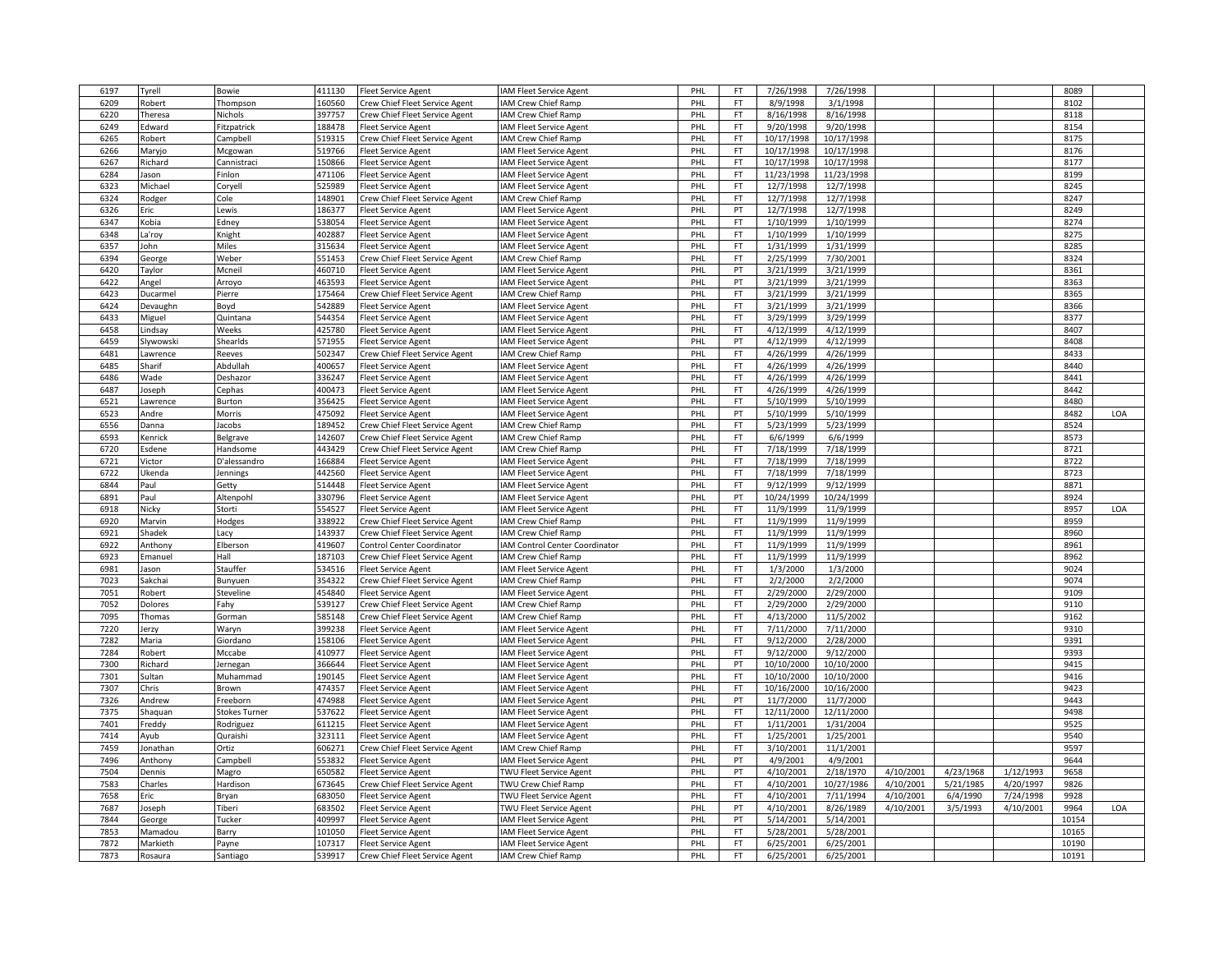| 6197 | Tyrell    | Bowie                | 411130 | <b>Fleet Service Agent</b>        | IAM Fleet Service Agent        | PHL        | FT        | 7/26/1998  | 7/26/1998  |           |           |           | 8089  |     |
|------|-----------|----------------------|--------|-----------------------------------|--------------------------------|------------|-----------|------------|------------|-----------|-----------|-----------|-------|-----|
| 6209 | Robert    | Thompson             | 160560 | Crew Chief Fleet Service Agent    | IAM Crew Chief Ramp            | PHL        | <b>FT</b> | 8/9/1998   | 3/1/1998   |           |           |           | 8102  |     |
| 6220 | Theresa   | Nichols              | 397757 | Crew Chief Fleet Service Agent    | IAM Crew Chief Ramp            | PHL        | FT        | 8/16/1998  | 8/16/1998  |           |           |           | 8118  |     |
| 6249 | Edward    | Fitzpatrick          | 188478 | leet Service Agent                | IAM Fleet Service Agent        | PHL        | FT.       | 9/20/1998  | 9/20/1998  |           |           |           | 8154  |     |
| 6265 | Robert    | Campbell             | 519315 | rew Chief Fleet Service Agent     | IAM Crew Chief Ramp            | PHI        | FT        | 10/17/1998 | 10/17/1998 |           |           |           | 8175  |     |
| 6266 | Maryjo    | Mcgowan              | 519766 | Fleet Service Agent               | IAM Fleet Service Agent        | PHL        | FT.       | 10/17/1998 | 10/17/1998 |           |           |           | 8176  |     |
| 6267 | Richard   | Cannistrac           | 150866 | Fleet Service Agent               | IAM Fleet Service Agent        | PHL        | FT        | 10/17/1998 | 10/17/1998 |           |           |           | 8177  |     |
| 6284 |           |                      | 471106 |                                   | IAM Fleet Service Agent        | PHI        | FT        | 11/23/1998 | 11/23/1998 |           |           |           | 8199  |     |
| 6323 | Jason     | Finlon               | 525989 | leet Service Agent                |                                |            | <b>FT</b> | 12/7/1998  | 12/7/1998  |           |           |           | 8245  |     |
|      | Michael   | Coryell              |        | leet Service Agent                | IAM Fleet Service Agent        | <b>PHL</b> |           |            |            |           |           |           |       |     |
| 6324 | Rodger    | Cole                 | 148901 | Crew Chief Fleet Service Agent    | IAM Crew Chief Ramp            | PHL        | FT        | 12/7/1998  | 12/7/1998  |           |           |           | 8247  |     |
| 6326 | Eric      | Lewis                | 186377 | leet Service Agent                | IAM Fleet Service Agent        | PHL        | PT        | 12/7/1998  | 12/7/1998  |           |           |           | 8249  |     |
| 6347 | Kobia     | Edney                | 538054 | leet Service Agent                | IAM Fleet Service Agent        | PHL        | FT        | 1/10/1999  | 1/10/1999  |           |           |           | 8274  |     |
| 6348 | La'roy    | Knight               | 402887 | Fleet Service Agent               | IAM Fleet Service Agent        | PHL        | FT.       | 1/10/1999  | 1/10/1999  |           |           |           | 8275  |     |
| 6357 | John      | Miles                | 315634 | Fleet Service Agent               | IAM Fleet Service Agent        | PHL        | FT.       | 1/31/1999  | 1/31/1999  |           |           |           | 8285  |     |
| 6394 | George    | Weber                | 551453 | Crew Chief Fleet Service Agent    | IAM Crew Chief Ramp            | PHI        | FT        | 2/25/1999  | 7/30/2001  |           |           |           | 8324  |     |
| 6420 | Taylor    | Mcneil               | 460710 | leet Service Agent                | IAM Fleet Service Agent        | PHL        | PT        | 3/21/1999  | 3/21/1999  |           |           |           | 8361  |     |
| 6422 | Angel     | Arroyo               | 463593 | Fleet Service Agent               | IAM Fleet Service Agent        | PHL        | PT        | 3/21/1999  | 3/21/1999  |           |           |           | 8363  |     |
| 6423 | Ducarmel  | Pierre               | 175464 | Crew Chief Fleet Service Agent    | IAM Crew Chief Ramp            | PHL        | FT        | 3/21/1999  | 3/21/1999  |           |           |           | 8365  |     |
| 6424 | Devaughn  | Boyd                 | 542889 | leet Service Agent                | IAM Fleet Service Agent        | PHL        | FT        | 3/21/1999  | 3/21/1999  |           |           |           | 8366  |     |
| 6433 | Miguel    | Quintana             | 544354 | Fleet Service Agent               | IAM Fleet Service Agent        | PHL        | FT.       | 3/29/1999  | 3/29/1999  |           |           |           | 8377  |     |
| 6458 | indsay    | Weeks                | 425780 | Fleet Service Agent               | IAM Fleet Service Agent        | PHI        | FT.       | 4/12/1999  | 4/12/1999  |           |           |           | 8407  |     |
| 6459 | Slywowski | Shearlds             | 571955 | leet Service Agent                | IAM Fleet Service Agent        | PHI        | PT        | 4/12/1999  | 4/12/1999  |           |           |           | 8408  |     |
| 6481 | awrence   | Reeves               | 502347 | Crew Chief Fleet Service Agent    | IAM Crew Chief Ramp            | PHL        | <b>FT</b> | 4/26/1999  | 4/26/1999  |           |           |           | 8433  |     |
| 6485 | Sharif    | Abdullah             | 400657 | Fleet Service Agent               | IAM Fleet Service Agent        | PHL        | FT        | 4/26/1999  | 4/26/1999  |           |           |           | 8440  |     |
| 6486 | Wade      | Deshazor             | 336247 | Fleet Service Agent               | IAM Fleet Service Agent        | PHI        | FT        | 4/26/1999  | 4/26/1999  |           |           |           | 8441  |     |
| 6487 | loseph    | Cephas               | 400473 | leet Service Agent                | IAM Fleet Service Agent        | PHL        | <b>FT</b> | 4/26/1999  | 4/26/1999  |           |           |           | 8442  |     |
| 6521 |           |                      | 356425 |                                   |                                | PHL        | FT        | 5/10/1999  | 5/10/1999  |           |           |           | 8480  |     |
|      | Lawrence  | Burton               | 475092 | Fleet Service Agent               | IAM Fleet Service Agent        |            | PT        |            |            |           |           |           |       | LOA |
| 6523 | Andre     | Morris               |        | Fleet Service Agent               | IAM Fleet Service Agent        | PHL        |           | 5/10/1999  | 5/10/1999  |           |           |           | 8482  |     |
| 6556 | Danna     | lacobs               | 189452 | Crew Chief Fleet Service Agent    | IAM Crew Chief Ramp            | PHI        | FT        | 5/23/1999  | 5/23/1999  |           |           |           | 8524  |     |
| 6593 | Kenrick   | Belgrave             | 142607 | Crew Chief Fleet Service Agent    | IAM Crew Chief Ramp            | PHL        | FT.       | 6/6/1999   | 6/6/1999   |           |           |           | 8573  |     |
| 6720 | Esdene    | Handsome             | 443429 | Crew Chief Fleet Service Agent    | IAM Crew Chief Ramp            | PHL        | FT        | 7/18/1999  | 7/18/1999  |           |           |           | 8721  |     |
| 6721 | Victor    | D'alessandro         | 166884 | Fleet Service Agent               | IAM Fleet Service Agent        | PHL        | FT        | 7/18/1999  | 7/18/1999  |           |           |           | 8722  |     |
| 6722 | Ukenda    | lennings             | 442560 | leet Service Agent                | IAM Fleet Service Agent        | PHL        | FT.       | 7/18/1999  | 7/18/1999  |           |           |           | 8723  |     |
| 6844 | Paul      | Getty                | 514448 | leet Service Agent                | <b>IAM Fleet Service Agent</b> | PHL        | FT        | 9/12/1999  | 9/12/1999  |           |           |           | 8871  |     |
| 6891 | Paul      | Altenpohl            | 330796 | leet Service Agent                | IAM Fleet Service Agent        | PHL        | PT        | 10/24/1999 | 10/24/1999 |           |           |           | 8924  |     |
| 6918 | Nicky     | Storti               | 554527 | leet Service Agent                | <b>AM Fleet Service Agent</b>  | PHI        | FT        | 11/9/1999  | 11/9/1999  |           |           |           | 8957  | LOA |
| 6920 | Marvin    | Hodges               | 338922 | Crew Chief Fleet Service Agent    | IAM Crew Chief Ramp            | PHL        | <b>FT</b> | 11/9/1999  | 11/9/1999  |           |           |           | 8959  |     |
| 6921 | Shadek    | Lacy                 | 143937 | Crew Chief Fleet Service Agent    | IAM Crew Chief Ramp            | PHI        | FT        | 11/9/1999  | 11/9/1999  |           |           |           | 8960  |     |
| 6922 | Anthony   | Elberson             | 419607 | <b>Control Center Coordinator</b> | IAM Control Center Coordinator | PHI        | FT        | 11/9/1999  | 11/9/1999  |           |           |           | 8961  |     |
| 6923 | Emanuel   | Hall                 | 187103 | Crew Chief Fleet Service Agent    | IAM Crew Chief Ramp            | PHL        | FT.       | 11/9/1999  | 11/9/1999  |           |           |           | 8962  |     |
| 6981 | Jason     | Stauffer             | 534516 | Fleet Service Agent               | IAM Fleet Service Agent        | PHL        | FT        | 1/3/2000   | 1/3/2000   |           |           |           | 9024  |     |
| 7023 | Sakchai   | Bunyuen              | 354322 | Crew Chief Fleet Service Agent    | <b>AM Crew Chief Ramp</b>      | PHL        | FT.       | 2/2/2000   | 2/2/2000   |           |           |           | 9074  |     |
| 7051 | Robert    | Steveline            | 454840 | Fleet Service Agent               | <b>AM Fleet Service Agent</b>  | PHL        | FT        | 2/29/2000  | 2/29/2000  |           |           |           | 9109  |     |
| 7052 | Dolores   | Fahy                 | 539127 | Crew Chief Fleet Service Agent    | IAM Crew Chief Ramp            | PHL        | FT        | 2/29/2000  | 2/29/2000  |           |           |           | 9110  |     |
| 7095 | Thomas    | Gorman               | 585148 | Crew Chief Fleet Service Agent    | IAM Crew Chief Ramp            | PHL        | FT        | 4/13/2000  | 11/5/2002  |           |           |           | 9162  |     |
| 7220 | Jerzy     | Waryn                | 399238 | leet Service Agent                | IAM Fleet Service Agent        | PHI        | FT        | 7/11/2000  | 7/11/2000  |           |           |           | 9310  |     |
| 7282 | Maria     | Giordano             | 158106 | leet Service Agent                | IAM Fleet Service Agent        | PHL        | FT.       | 9/12/2000  | 2/28/2000  |           |           |           | 9391  |     |
| 7284 |           |                      | 410977 |                                   |                                | PHL        | FT.       | 9/12/2000  |            |           |           |           | 9393  |     |
|      | Robert    | Mccabe               |        | Fleet Service Agent               | IAM Fleet Service Agent        |            | PT        |            | 9/12/2000  |           |           |           |       |     |
| 7300 | Richard   | Jernegan             | 366644 | Fleet Service Agent               | IAM Fleet Service Agent        | PHI        |           | 10/10/2000 | 10/10/2000 |           |           |           | 9415  |     |
| 7301 | Sultan    | Muhammad             | 190145 | leet Service Agent                | IAM Fleet Service Agent        | PHL        | FT        | 10/10/2000 | 10/10/2000 |           |           |           | 9416  |     |
| 7307 | Chris     | Brown                | 474357 | leet Service Agent                | IAM Fleet Service Agent        | PHL        | FT        | 10/16/2000 | 10/16/2000 |           |           |           | 9423  |     |
| 7326 | Andrew    | Freeborn             | 474988 | leet Service Agent                | IAM Fleet Service Agent        | PHI        | PT        | 11/7/2000  | 11/7/2000  |           |           |           | 9443  |     |
| 7375 | Shaquan   | <b>Stokes Turner</b> | 537622 | leet Service Agent                | IAM Fleet Service Agent        | PHL        | FT        | 12/11/2000 | 12/11/2000 |           |           |           | 9498  |     |
| 7401 | Freddy    | Rodriguez            | 611215 | Fleet Service Agent               | IAM Fleet Service Agent        | PHL        | FT.       | 1/11/2001  | 1/31/2004  |           |           |           | 9525  |     |
| 7414 | Ayub      | Quraishi             | 323111 | Fleet Service Agent               | IAM Fleet Service Agent        | PHI        | FT        | 1/25/2001  | 1/25/2001  |           |           |           | 9540  |     |
| 7459 | lonathan  | Ortiz                | 606271 | Crew Chief Fleet Service Agent    | IAM Crew Chief Ramp            | PHI        | <b>FT</b> | 3/10/2001  | 11/1/2001  |           |           |           | 9597  |     |
| 7496 | Anthony   | Campbell             | 553832 | leet Service Agent                | IAM Fleet Service Agent        | PHL        | PT        | 4/9/2001   | 4/9/2001   |           |           |           | 9644  |     |
| 7504 | Dennis    | Magro                | 650582 | Fleet Service Agent               | TWU Fleet Service Agent        | PHI        | PT        | 4/10/2001  | 2/18/1970  | 4/10/2001 | 4/23/1968 | 1/12/1993 | 9658  |     |
| 7583 | Charles   | Hardison             | 673645 | Crew Chief Fleet Service Agent    | TWU Crew Chief Ramp            | PHL        | FT        | 4/10/2001  | 10/27/1986 | 4/10/2001 | 5/21/1985 | 4/20/1997 | 9826  |     |
| 7658 | Eric      | Bryan                | 683050 | leet Service Agent                | <b>TWU Fleet Service Agent</b> | PHI        | FT        | 4/10/2001  | 7/11/1994  | 4/10/2001 | 6/4/1990  | 7/24/1998 | 9928  |     |
| 7687 | Joseph    | Tiberi               | 683502 | <b>Fleet Service Agent</b>        | TWU Fleet Service Agent        | PHL        | PT        | 4/10/2001  | 8/26/1989  | 4/10/2001 | 3/5/1993  | 4/10/2001 | 9964  | LOA |
| 7844 | George    | Tucker               | 409997 | Fleet Service Agent               | IAM Fleet Service Agent        | PHI        | PT        | 5/14/2001  | 5/14/2001  |           |           |           | 10154 |     |
| 7853 | Mamadou   | Barry                | 101050 | leet Service Agent                | IAM Fleet Service Agent        | PHI        | <b>FT</b> | 5/28/2001  | 5/28/2001  |           |           |           | 10165 |     |
| 7872 | Markieth  | Payne                | 107317 | leet Service Agent                | IAM Fleet Service Agent        | PHL        | FT.       | 6/25/2001  | 6/25/2001  |           |           |           | 10190 |     |
| 7873 | Rosaura   | Santiago             | 539917 | Crew Chief Fleet Service Agent    | IAM Crew Chief Ramp            | PHL        | FT        | 6/25/2001  | 6/25/2001  |           |           |           | 10191 |     |
|      |           |                      |        |                                   |                                |            |           |            |            |           |           |           |       |     |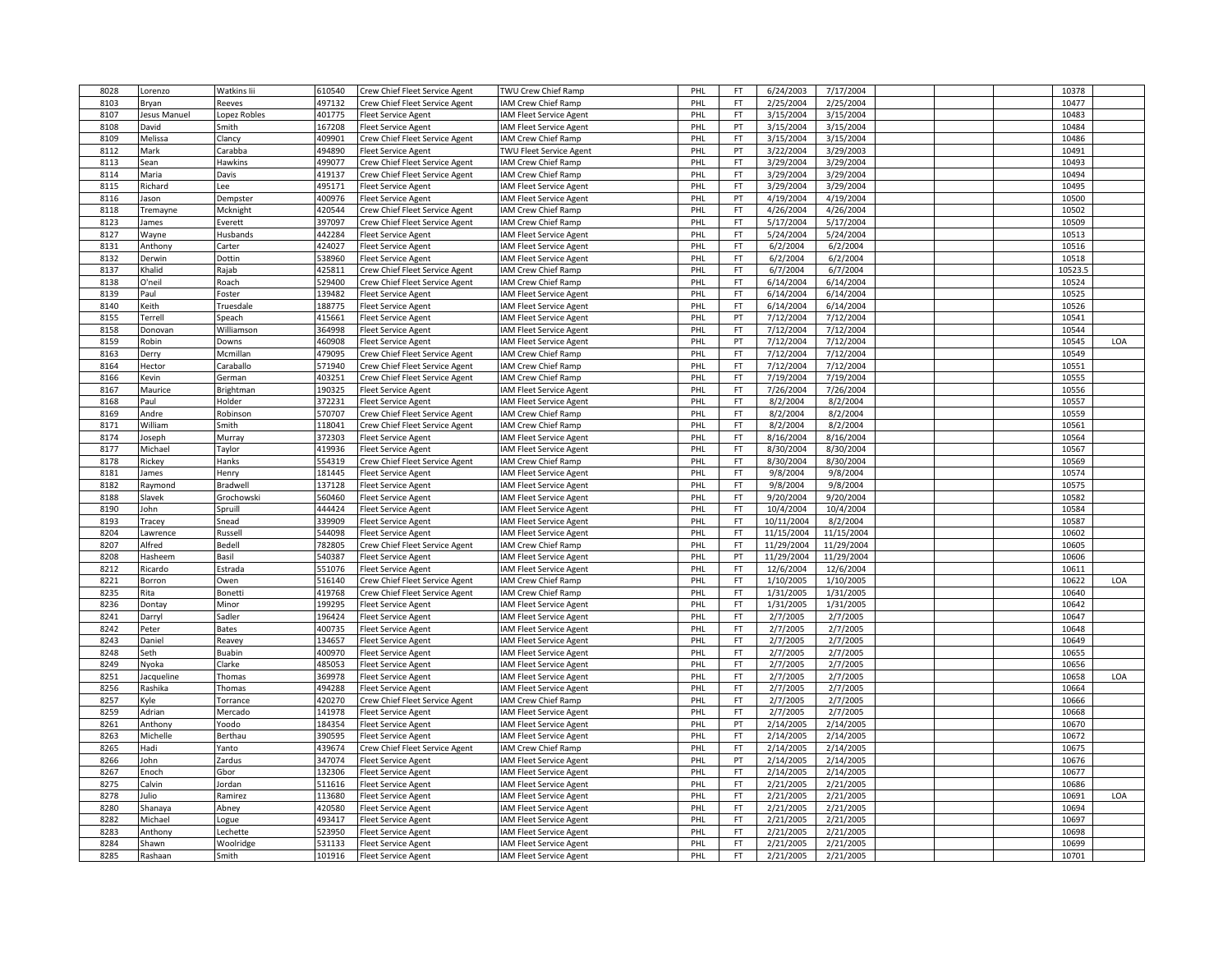| 8028         | Lorenzo             | Watkins Iii            | 610540           | Crew Chief Fleet Service Agent                               | TWU Crew Chief Ramp            | PHL        | FT.       | 6/24/2003                | 7/17/2004            |  | 10378          |     |
|--------------|---------------------|------------------------|------------------|--------------------------------------------------------------|--------------------------------|------------|-----------|--------------------------|----------------------|--|----------------|-----|
| 8103         | Bryan               | Reeves                 | 497132           | Crew Chief Fleet Service Agent                               | <b>AM Crew Chief Ramp</b>      | PHL        | FT        | 2/25/2004                | 2/25/2004            |  | 10477          |     |
| 8107         | <b>Jesus Manuel</b> | Lopez Robles           | 401775           | leet Service Agent                                           | <b>AM Fleet Service Agent</b>  | PHL        | FT        | 3/15/2004                | 3/15/2004            |  | 10483          |     |
| 8108         | David               | Smith                  | 167208           | <b>Fleet Service Agent</b>                                   | <b>AM Fleet Service Agent</b>  | PHL        | PT        | 3/15/2004                | 3/15/2004            |  | 10484          |     |
| 8109         | Melissa             | Clancy                 | 409901           | Crew Chief Fleet Service Agent                               | <b>AM Crew Chief Ramp</b>      | PHL        | FT        | 3/15/2004                | 3/15/2004            |  | 10486          |     |
| 8112         | Mark                | Carabba                | 494890           | Fleet Service Agent                                          | TWU Fleet Service Agent        | PHL        | PT        | 3/22/2004                | 3/29/2003            |  | 10491          |     |
| 8113         | Sean                | Hawkins                | 499077           | Crew Chief Fleet Service Agent                               | <b>AM Crew Chief Ramp</b>      | PHL        | FT        | 3/29/2004                | 3/29/2004            |  | 10493          |     |
| 8114         | Maria               | Davis                  | 419137           | Crew Chief Fleet Service Agent                               | <b>AM Crew Chief Ramp</b>      | PHL        | FT        | 3/29/2004                | 3/29/2004            |  | 10494          |     |
| 8115         | Richard             | Lee                    | 495171           | <b>Fleet Service Agent</b>                                   | <b>AM Fleet Service Agent</b>  | PHL        | <b>FT</b> | 3/29/2004                | 3/29/2004            |  | 10495          |     |
| 8116         | lason               | Dempster               | 400976           | <b>Fleet Service Agent</b>                                   | AM Fleet Service Agent         | PHL        | PT        | 4/19/2004                | 4/19/2004            |  | 10500          |     |
| 8118         | Tremayne            | Mcknight               | 420544           | Crew Chief Fleet Service Agent                               | <b>AM Crew Chief Ramp</b>      | PHL        | FT        | 4/26/2004                | 4/26/2004            |  | 10502          |     |
| 8123         | James               | Everett                | 397097           | Crew Chief Fleet Service Agent                               | <b>AM Crew Chief Ramp</b>      | PHL        | FT        | 5/17/2004                | 5/17/2004            |  | 10509          |     |
| 8127         | Wayne               | Husbands               | 442284           | Fleet Service Agent                                          | <b>AM Fleet Service Agent</b>  | PHL        | <b>FT</b> | 5/24/2004                | 5/24/2004            |  | 10513          |     |
| 8131         | Anthony             | Carter                 | 424027           | Fleet Service Agent                                          | <b>IAM Fleet Service Agent</b> | PHL        | FT        | 6/2/2004                 | 6/2/2004             |  | 10516          |     |
| 8132         | Derwin              | Dottin                 | 538960           | <b>Fleet Service Agent</b>                                   | AM Fleet Service Agent         | PHL        | FT.       | 6/2/2004                 | 6/2/2004             |  | 10518          |     |
| 8137         | Khalid              | Rajab                  | 425811           | Crew Chief Fleet Service Agent                               | <b>AM Crew Chief Ramp</b>      | PHL        | <b>FT</b> | 6/7/2004                 | 6/7/2004             |  | 10523.5        |     |
| 8138         | O'neil              | Roach                  | 529400           | Crew Chief Fleet Service Agent                               | <b>AM Crew Chief Ramp</b>      | PHL        | <b>FT</b> | 6/14/2004                | 6/14/2004            |  | 10524          |     |
| 8139         | Paul                | Foster                 | 139482           | <b>Fleet Service Agent</b>                                   | <b>AM Fleet Service Agent</b>  | PHL        | FT        | 6/14/2004                | 6/14/2004            |  | 10525          |     |
| 8140         | Keith               | Truesdale              | 188775           | leet Service Agent                                           | <b>AM Fleet Service Agent</b>  | PHL        | FT        | 6/14/2004                | 6/14/2004            |  | 10526          |     |
| 8155         | <b>Terrell</b>      | Speach                 | 415661           | leet Service Agent                                           | AM Fleet Service Agent         | PHL        | PT        | 7/12/2004                | 7/12/2004            |  | 10541          |     |
| 8158         | Donovan             | Williamson             | 364998           | <b>Fleet Service Agent</b>                                   | <b>AM Fleet Service Agent</b>  | PHL        | FT.       | 7/12/2004                | 7/12/2004            |  | 10544          |     |
| 8159         | Robin               | Downs                  | 460908           | leet Service Agent                                           | <b>AM Fleet Service Agent</b>  | PHL        | PT        | 7/12/2004                | 7/12/2004            |  | 10545          | LOA |
| 8163         | Derry               | Mcmillan               | 479095           | Crew Chief Fleet Service Agent                               | <b>AM Crew Chief Ramp</b>      | PHL        | <b>FT</b> | 7/12/2004                | 7/12/2004            |  | 10549          |     |
| 8164         | Hector              | Caraballo              | 571940           | Crew Chief Fleet Service Agent                               | <b>AM Crew Chief Ramp</b>      | PHL        | FT        | 7/12/2004                | 7/12/2004            |  | 10551          |     |
|              | Kevin               |                        |                  |                                                              | AM Crew Chief Ramp             | PHL        | FT        |                          | 7/19/2004            |  | 10555          |     |
| 8166<br>8167 | Maurice             | German<br>Brightman    | 403251<br>190325 | Crew Chief Fleet Service Agent<br><b>Fleet Service Agent</b> | <b>AM Fleet Service Agent</b>  | PHL        | FT.       | 7/19/2004<br>7/26/2004   | 7/26/2004            |  | 10556          |     |
|              |                     |                        |                  |                                                              |                                |            |           |                          |                      |  |                |     |
| 8168         | Paul                | Holder                 | 372231           | <b>Fleet Service Agent</b>                                   | <b>AM Fleet Service Agent</b>  | PHL        | FT        | 8/2/2004                 | 8/2/2004             |  | 10557          |     |
| 8169         | Andre               | Robinson               | 570707           | Crew Chief Fleet Service Agent                               | <b>IAM Crew Chief Ramp</b>     | PHL        | FT.       | 8/2/2004                 | 8/2/2004             |  | 10559          |     |
| 8171         | William             | Smith                  | 118041           | Crew Chief Fleet Service Agent                               | <b>AM Crew Chief Ramp</b>      | PHL        | FT        | 8/2/2004                 | 8/2/2004             |  | 10561          |     |
| 8174         | Joseph              | Murray                 | 372303           | leet Service Agent                                           | <b>AM Fleet Service Agent</b>  | PHL        | FT        | 8/16/2004                | 8/16/2004            |  | 10564          |     |
| 8177         | Michael             | Taylor                 | 419936           | <b>Fleet Service Agent</b>                                   | <b>AM Fleet Service Agent</b>  | PHL        | <b>FT</b> | 8/30/2004                | 8/30/2004            |  | 10567          |     |
| 8178         | Rickey              | Hanks                  | 554319           | Crew Chief Fleet Service Agent                               | <b>AM Crew Chief Ramp</b>      | PHL        | FT        | 8/30/2004                | 8/30/2004            |  | 10569          |     |
| 8181<br>8182 | ames                | Henry                  | 181445<br>137128 | Fleet Service Agent                                          | <b>AM Fleet Service Agent</b>  | PHL<br>PHL | FT.<br>FT | 9/8/2004<br>9/8/2004     | 9/8/2004<br>9/8/2004 |  | 10574<br>10575 |     |
| 8188         | Raymond<br>Slavek   | Bradwell<br>Grochowski | 560460           | Fleet Service Agent<br><b>Fleet Service Agent</b>            | <b>AM Fleet Service Agent</b>  | PHL        | FT.       | 9/20/2004                | 9/20/2004            |  | 10582          |     |
|              |                     |                        |                  |                                                              | <b>AM Fleet Service Agent</b>  |            |           |                          |                      |  |                |     |
| 8190<br>8193 | John                | Spruill                | 444424           | Fleet Service Agent                                          | AM Fleet Service Agent         | PHL<br>PHL | FT<br>FT. | 10/4/2004                | 10/4/2004            |  | 10584<br>10587 |     |
|              | <b>Tracey</b>       | Snead                  | 339909           | Fleet Service Agent                                          | AM Fleet Service Agent         |            |           | 10/11/2004               | 8/2/2004             |  |                |     |
| 8204         | Lawrence            | Russell                | 544098<br>782805 | Fleet Service Agent                                          | <b>AM Fleet Service Agent</b>  | PHL        | FT<br>FT  | 11/15/2004<br>11/29/2004 | 11/15/2004           |  | 10602<br>10605 |     |
| 8207         | Alfred              | Bedell                 |                  | Crew Chief Fleet Service Agent                               | <b>AM Crew Chief Ramp</b>      | PHL        | PT        |                          | 11/29/2004           |  |                |     |
| 8208         | Hasheem             | Basil                  | 540387           | Fleet Service Agent                                          | <b>AM Fleet Service Agent</b>  | PHL        |           | 11/29/2004               | 11/29/2004           |  | 10606          |     |
| 8212         | Ricardo             | Estrada                | 551076           | Fleet Service Agent                                          | <b>IAM Fleet Service Agent</b> | PHL        | FT.       | 12/6/2004                | 12/6/2004            |  | 10611          |     |
| 8221         | Borron              | Owen                   | 516140           | Crew Chief Fleet Service Agent                               | AM Crew Chief Ramp             | PHL        | FT.       | 1/10/2005                | 1/10/2005            |  | 10622          | LOA |
| 8235         | Rita                | Bonetti                | 419768           | Crew Chief Fleet Service Agent                               | <b>AM Crew Chief Ramp</b>      | PHL        | FT        | 1/31/2005                | 1/31/2005            |  | 10640          |     |
| 8236         | Dontay              | Minor                  | 199295           | Fleet Service Agent                                          | <b>AM Fleet Service Agent</b>  | PHL        | <b>FT</b> | 1/31/2005                | 1/31/2005            |  | 10642          |     |
| 8241         | Darryl              | Sadler                 | 196424           | <b>Fleet Service Agent</b>                                   | <b>AM Fleet Service Agent</b>  | PHL        | FT        | 2/7/2005                 | 2/7/2005             |  | 10647          |     |
| 8242         | Peter               | <b>Bates</b>           | 400735           | leet Service Agent                                           | <b>AM Fleet Service Agent</b>  | PHL        | FT        | 2/7/2005                 | 2/7/2005             |  | 10648          |     |
| 8243         | Daniel              | Reavey                 | 134657           | leet Service Agent                                           | AM Fleet Service Agent         | PHL        | FT        | 2/7/2005                 | 2/7/2005             |  | 10649          |     |
| 8248         | Seth                | Buabin                 | 400970           | <b>Fleet Service Agent</b>                                   | <b>AM Fleet Service Agent</b>  | PHL        | FT        | 2/7/2005                 | 2/7/2005             |  | 10655          |     |
| 8249         | Nyoka               | Clarke                 | 485053           | leet Service Agent                                           | AM Fleet Service Agent         | PHL        | FT        | 2/7/2005                 | 2/7/2005             |  | 10656          |     |
| 8251         | Jacqueline          | Thomas                 | 369978           | Fleet Service Agent                                          | <b>AM Fleet Service Agent</b>  | PHL        | <b>FT</b> | 2/7/2005                 | 2/7/2005             |  | 10658          | LOA |
| 8256         | Rashika             | Thomas                 | 494288           | Fleet Service Agent                                          | <b>AM Fleet Service Agent</b>  | PHL        | FT        | 2/7/2005                 | 2/7/2005             |  | 10664          |     |
| 8257         | (yle                | Torrance               | 420270           | Crew Chief Fleet Service Agent                               | AM Crew Chief Ramp             | PHL        | FT        | 2/7/2005                 | 2/7/2005             |  | 10666          |     |
| 8259         | Adrian              | Mercado                | 141978           | Fleet Service Agent                                          | <b>AM Fleet Service Agent</b>  | PHL        | FT        | 2/7/2005                 | 2/7/2005             |  | 10668          |     |
| 8261         | Anthony             | Yoodo                  | 184354           | Fleet Service Agent                                          | <b>AM Fleet Service Agent</b>  | PHL        | PT        | 2/14/2005                | 2/14/2005            |  | 10670          |     |
| 8263         | Michelle            | Berthau                | 390595           | <b>Fleet Service Agent</b>                                   | <b>AM Fleet Service Agent</b>  | PHL        | FT        | 2/14/2005                | 2/14/2005            |  | 10672          |     |
| 8265         | Hadi                | Yanto                  | 439674           | Crew Chief Fleet Service Agent                               | <b>AM Crew Chief Ramp</b>      | PHL        | FT        | 2/14/2005                | 2/14/2005            |  | 10675          |     |
| 8266         | John                | Zardus                 | 347074           | leet Service Agent                                           | AM Fleet Service Agent         | PHL        | PT        | 2/14/2005                | 2/14/2005            |  | 10676          |     |
| 8267         | Enoch               | Gbor                   | 132306           | <b>Fleet Service Agent</b>                                   | <b>AM Fleet Service Agent</b>  | PHL        | <b>FT</b> | 2/14/2005                | 2/14/2005            |  | 10677          |     |
| 8275         | Calvin              | Jordan                 | 511616           | leet Service Agent                                           | <b>AM Fleet Service Agent</b>  | PHL        | FT        | 2/21/2005                | 2/21/2005            |  | 10686          |     |
| 8278         | Julio               | Ramirez                | 113680           | Fleet Service Agent                                          | <b>AM Fleet Service Agent</b>  | PHL        | FT        | 2/21/2005                | 2/21/2005            |  | 10691          | LOA |
| 8280         | Shanaya             | Abney                  | 420580           | Fleet Service Agent                                          | <b>AM Fleet Service Agent</b>  | PHL        | FT        | 2/21/2005                | 2/21/2005            |  | 10694          |     |
| 8282         | Michael             | Logue                  | 493417           | Fleet Service Agent                                          | <b>AM Fleet Service Agent</b>  | PHL        | FT.       | 2/21/2005                | 2/21/2005            |  | 10697          |     |
| 8283         | Anthony             | Lechette               | 23950            | leet Service Agent                                           | AM Fleet Service Agent         | PHL        | FT        | 2/21/2005                | 2/21/2005            |  | 10698          |     |
| 8284         | Shawn               | Woolridge              | 531133           | <b>Fleet Service Agent</b>                                   | AM Fleet Service Agent         | PHL        | FT.       | 2/21/2005                | 2/21/2005            |  | 10699          |     |
| 8285         | Rashaan             | Smith                  | 101916           | <b>Fleet Service Agent</b>                                   | <b>IAM Fleet Service Agent</b> | PHL        | FT        | 2/21/2005                | 2/21/2005            |  | 10701          |     |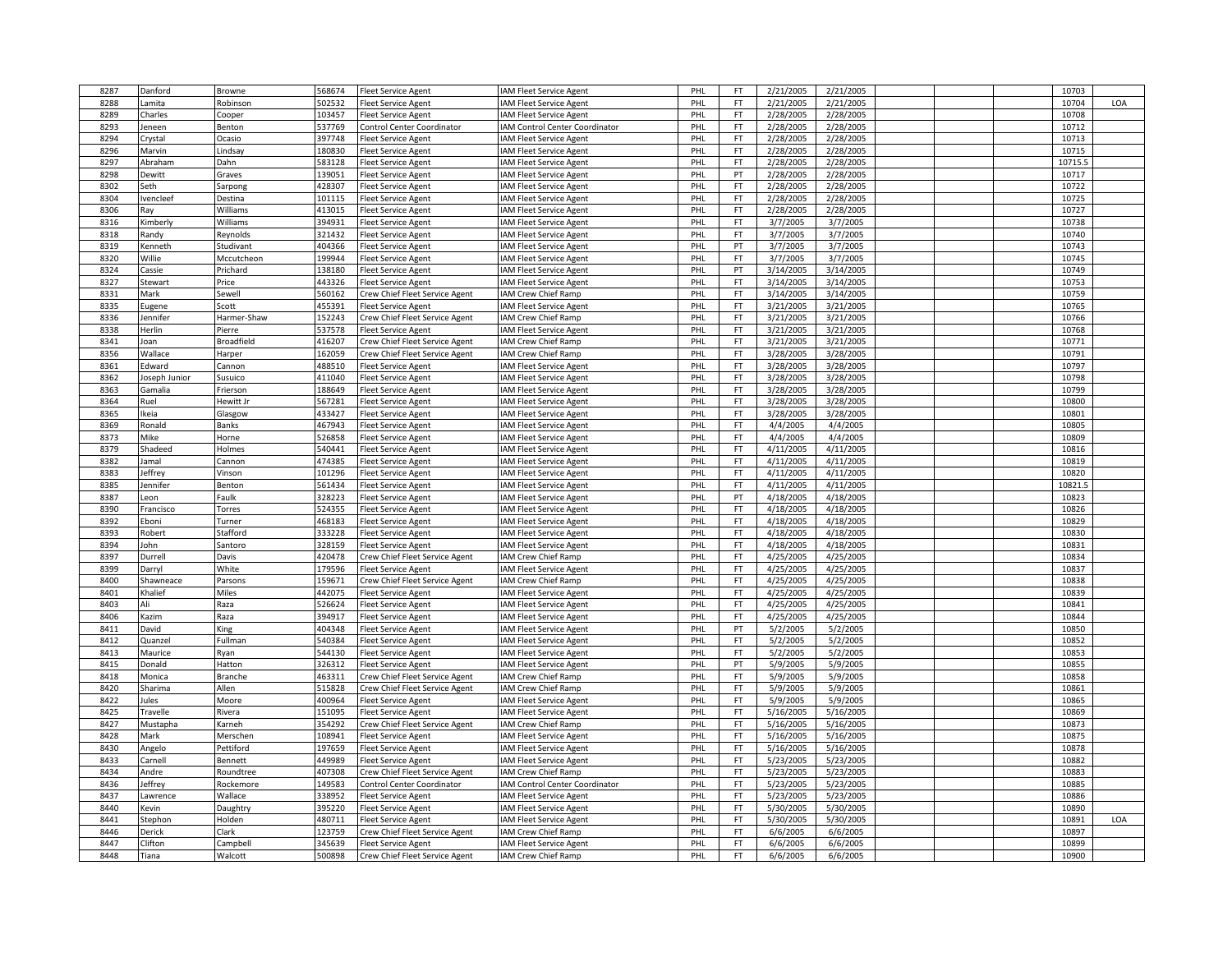| 8287 | Danford       | Browne            | 568674 | <b>Fleet Service Agent</b>     | IAM Fleet Service Agent        | PHL        | <b>FT</b> | 2/21/2005 | 2/21/2005 |  | 10703   |     |
|------|---------------|-------------------|--------|--------------------------------|--------------------------------|------------|-----------|-----------|-----------|--|---------|-----|
| 8288 | .amita        | Robinson          | 502532 | leet Service Agent             | IAM Fleet Service Agent        | PHL        | <b>FT</b> | 2/21/2005 | 2/21/2005 |  | 10704   | LOA |
| 8289 | Charles       | Cooper            | 103457 | <b>Fleet Service Agent</b>     | IAM Fleet Service Agent        | PHL        | FT        | 2/28/2005 | 2/28/2005 |  | 10708   |     |
| 8293 | Jeneen        | Benton            | 537769 | Control Center Coordinator     | IAM Control Center Coordinator | PHL        | FT.       | 2/28/2005 | 2/28/2005 |  | 10712   |     |
| 8294 | Crystal       | Ocasio            | 397748 | leet Service Agent             | IAM Fleet Service Agent        | PHL        | FT        | 2/28/2005 | 2/28/2005 |  | 10713   |     |
| 8296 | Marvin        | Lindsay           | 180830 | leet Service Agent             | IAM Fleet Service Agent        | PHL        | FT.       | 2/28/2005 | 2/28/2005 |  | 10715   |     |
| 8297 | Abraham       | Dahn              | 583128 | Fleet Service Agent            | IAM Fleet Service Agent        | PHI        | FT        | 2/28/2005 | 2/28/2005 |  | 10715.5 |     |
|      |               |                   |        |                                |                                |            | PT        |           |           |  | 10717   |     |
| 8298 | Dewitt        | Graves            | 139051 | leet Service Agent             | IAM Fleet Service Agent        | PHI        |           | 2/28/2005 | 2/28/2005 |  |         |     |
| 8302 | Seth          | Sarpong           | 428307 | leet Service Agent             | IAM Fleet Service Agent        | PHL        | FT        | 2/28/2005 | 2/28/2005 |  | 10722   |     |
| 8304 | vencleef      | Destina           | 101115 | leet Service Agent             | IAM Fleet Service Agent        | PHL        | FT        | 2/28/2005 | 2/28/2005 |  | 10725   |     |
| 8306 | Ray           | Williams          | 413015 | leet Service Agent             | <b>AM Fleet Service Agent</b>  | PHL        | FT        | 2/28/2005 | 2/28/2005 |  | 10727   |     |
| 8316 | Kimberly      | Williams          | 394931 | leet Service Agent             | IAM Fleet Service Agent        | PHI        | FT        | 3/7/2005  | 3/7/2005  |  | 10738   |     |
| 8318 | Randy         | Reynolds          | 321432 | <b>Fleet Service Agent</b>     | IAM Fleet Service Agent        | PHL        | FT        | 3/7/2005  | 3/7/2005  |  | 10740   |     |
| 8319 | Kenneth       | Studivant         | 404366 | Fleet Service Agent            | IAM Fleet Service Agent        | PHI        | PT        | 3/7/2005  | 3/7/2005  |  | 10743   |     |
| 8320 | Willie        | Mccutcheon        | 199944 | leet Service Agent             | IAM Fleet Service Agent        | PHI        | <b>FT</b> | 3/7/2005  | 3/7/2005  |  | 10745   |     |
| 8324 | Cassie        | Prichard          | 138180 | leet Service Agent             | IAM Fleet Service Agent        | PHL        | PT        | 3/14/2005 | 3/14/2005 |  | 10749   |     |
| 8327 | Stewart       | Price             | 443326 | Fleet Service Agent            | IAM Fleet Service Agent        | PHI        | FT.       | 3/14/2005 | 3/14/2005 |  | 10753   |     |
| 8331 | Mark          | Sewell            | 560162 | Crew Chief Fleet Service Agent | IAM Crew Chief Ramp            | PHI        | FT        | 3/14/2005 | 3/14/2005 |  | 10759   |     |
| 8335 | Eugene        | Scott             | 455391 | leet Service Agent             | IAM Fleet Service Agent        | PHL        | FT        | 3/21/2005 | 3/21/2005 |  | 10765   |     |
| 8336 | Jennifer      | Harmer-Shaw       | 152243 | Crew Chief Fleet Service Agent | IAM Crew Chief Ramp            | PHL        | FT        | 3/21/2005 | 3/21/2005 |  | 10766   |     |
| 8338 | Herlin        | Pierre            | 537578 | Fleet Service Agent            | IAM Fleet Service Agent        | PHL        | FT.       | 3/21/2005 | 3/21/2005 |  | 10768   |     |
| 8341 | Joan          | <b>Broadfield</b> | 416207 | Crew Chief Fleet Service Agent | IAM Crew Chief Ramp            | PHI        | FT        | 3/21/2005 | 3/21/2005 |  | 10771   |     |
| 8356 |               |                   | 162059 |                                | IAM Crew Chief Ramp            | PHL        | <b>FT</b> | 3/28/2005 | 3/28/2005 |  | 10791   |     |
|      | Wallace       | Harper            |        | Crew Chief Fleet Service Agent |                                |            |           |           |           |  |         |     |
| 8361 | Edward        | Cannon            | 488510 | Fleet Service Agent            | IAM Fleet Service Agent        | PHI        | FT        | 3/28/2005 | 3/28/2005 |  | 10797   |     |
| 8362 | Joseph Junior | Susuico           | 411040 | leet Service Agent             | IAM Fleet Service Agent        | PHL        | FT.       | 3/28/2005 | 3/28/2005 |  | 10798   |     |
| 8363 | Gamalia       | Frierson          | 188649 | leet Service Agent             | IAM Fleet Service Agent        | PHL        | FT.       | 3/28/2005 | 3/28/2005 |  | 10799   |     |
| 8364 | Ruel          | Hewitt Jr         | 567281 | Fleet Service Agent            | IAM Fleet Service Agent        | PHL        | FT        | 3/28/2005 | 3/28/2005 |  | 10800   |     |
| 8365 | Ikeia         | Glasgow           | 433427 | Fleet Service Agent            | IAM Fleet Service Agent        | PHI        | <b>FT</b> | 3/28/2005 | 3/28/2005 |  | 10801   |     |
| 8369 | Ronald        | Banks             | 467943 | leet Service Agent             | IAM Fleet Service Agent        | PHL        | <b>FT</b> | 4/4/2005  | 4/4/2005  |  | 10805   |     |
| 8373 | Mike          | Horne             | 526858 | Fleet Service Agent            | IAM Fleet Service Agent        | PHL        | FT        | 4/4/2005  | 4/4/2005  |  | 10809   |     |
| 8379 | Shadeed       | Holmes            | 540441 | leet Service Agent             | IAM Fleet Service Agent        | PHL        | FT.       | 4/11/2005 | 4/11/2005 |  | 10816   |     |
| 8382 | Jamal         | Cannon            | 474385 | leet Service Agent             | IAM Fleet Service Agent        | PHL        | FT        | 4/11/2005 | 4/11/2005 |  | 10819   |     |
| 8383 | leffrey       | Vinson            | 101296 | leet Service Agent             | <b>AM Fleet Service Agent</b>  | PHL        | FT.       | 4/11/2005 | 4/11/2005 |  | 10820   |     |
| 8385 | Jennifer      | Benton            | 561434 | Fleet Service Agent            | IAM Fleet Service Agent        | PHL        | FT.       | 4/11/2005 | 4/11/2005 |  | 10821.5 |     |
| 8387 | eon           | Faulk             | 328223 | Fleet Service Agent            | IAM Fleet Service Agent        | PHI        | PT        | 4/18/2005 | 4/18/2005 |  | 10823   |     |
| 8390 | Francisco     | Torres            | 524355 | leet Service Agent             | IAM Fleet Service Agent        | PHL        | FT        | 4/18/2005 | 4/18/2005 |  | 10826   |     |
| 8392 | Eboni         | Turner            | 468183 | Fleet Service Agent            | IAM Fleet Service Agent        | PHL        | FT        | 4/18/2005 | 4/18/2005 |  | 10829   |     |
| 8393 | Robert        | Stafford          | 333228 | leet Service Agent             | IAM Fleet Service Agent        | PHI        | FT.       | 4/18/2005 | 4/18/2005 |  | 10830   |     |
| 8394 | John          | Santoro           | 328159 | leet Service Agent             | IAM Fleet Service Agent        | PHI        | FT        | 4/18/2005 | 4/18/2005 |  | 10831   |     |
| 8397 |               |                   | 420478 |                                |                                | PHL        | FT.       | 4/25/2005 | 4/25/2005 |  | 10834   |     |
| 8399 | Durrell       | Davis<br>White    | 179596 | Crew Chief Fleet Service Agent | IAM Crew Chief Ramp            |            | FT.       | 4/25/2005 | 4/25/2005 |  | 10837   |     |
|      | Darryl        |                   |        | Fleet Service Agent            | IAM Fleet Service Agent        | <b>PHL</b> |           |           |           |  |         |     |
| 8400 | Shawneace     | Parsons           | 159671 | Crew Chief Fleet Service Agent | IAM Crew Chief Ramp            | PHI        | <b>FT</b> | 4/25/2005 | 4/25/2005 |  | 10838   |     |
| 8401 | Khalief       | <b>Miles</b>      | 442075 | leet Service Agent             | IAM Fleet Service Agent        | PHL        | FT.       | 4/25/2005 | 4/25/2005 |  | 10839   |     |
| 8403 | Ali           | Raza              | 526624 | Fleet Service Agent            | IAM Fleet Service Agent        | PHL        | FT        | 4/25/2005 | 4/25/2005 |  | 10841   |     |
| 8406 | Kazim         | Raza              | 394917 | Fleet Service Agent            | IAM Fleet Service Agent        | PHI        | FT        | 4/25/2005 | 4/25/2005 |  | 10844   |     |
| 8411 | David         | King              | 404348 | leet Service Agent             | IAM Fleet Service Agent        | PHL        | PT        | 5/2/2005  | 5/2/2005  |  | 10850   |     |
| 8412 | Quanzel       | Fullman           | 540384 | leet Service Agent             | IAM Fleet Service Agent        | PHL        | FT        | 5/2/2005  | 5/2/2005  |  | 10852   |     |
| 8413 | Maurice       | Ryan              | 544130 | Fleet Service Agent            | IAM Fleet Service Agent        | PHL        | FT.       | 5/2/2005  | 5/2/2005  |  | 10853   |     |
| 8415 | Donald        | Hatton            | 326312 | leet Service Agent             | IAM Fleet Service Agent        | PHI        | PT        | 5/9/2005  | 5/9/2005  |  | 10855   |     |
| 8418 | Monica        | Branche           | 463311 | Crew Chief Fleet Service Agent | IAM Crew Chief Ramp            | PHL        | FT.       | 5/9/2005  | 5/9/2005  |  | 10858   |     |
| 8420 | Sharima       | Allen             | 515828 | Crew Chief Fleet Service Agent | IAM Crew Chief Ramp            | PHI        | FT        | 5/9/2005  | 5/9/2005  |  | 10861   |     |
| 8422 | Jules         | Moore             | 400964 | Fleet Service Agent            | IAM Fleet Service Agent        | PHI        | FT        | 5/9/2005  | 5/9/2005  |  | 10865   |     |
| 8425 | Travelle      | Rivera            | 151095 | leet Service Agent             | IAM Fleet Service Agent        | PHL        | FT        | 5/16/2005 | 5/16/2005 |  | 10869   |     |
| 8427 | Mustapha      | Karneh            | 354292 | Crew Chief Fleet Service Agent | IAM Crew Chief Ramp            | PHL        | FT.       | 5/16/2005 | 5/16/2005 |  | 10873   |     |
| 8428 | Mark          | Merschen          | 108941 | <b>Fleet Service Agent</b>     | IAM Fleet Service Agent        | PHI        | <b>FT</b> | 5/16/2005 | 5/16/2005 |  | 10875   |     |
| 8430 | Angelo        | Pettiford         | 197659 | leet Service Agent             | IAM Fleet Service Agent        | PHL        | <b>FT</b> | 5/16/2005 | 5/16/2005 |  | 10878   |     |
| 8433 | Carnell       | Bennett           | 449989 | Fleet Service Agent            | IAM Fleet Service Agent        | PHL        | FT        | 5/23/2005 | 5/23/2005 |  | 10882   |     |
| 8434 | Andre         | Roundtree         | 407308 | Crew Chief Fleet Service Agent | IAM Crew Chief Ramp            | PHL        | <b>FT</b> | 5/23/2005 | 5/23/2005 |  | 10883   |     |
| 8436 | Jeffrey       | Rockemore         | 149583 | Control Center Coordinator     | IAM Control Center Coordinator | PHI        | FT        | 5/23/2005 | 5/23/2005 |  | 10885   |     |
| 8437 | awrence       | Wallace           | 338952 | leet Service Agent             | IAM Fleet Service Agent        | PHL        | FT.       | 5/23/2005 | 5/23/2005 |  | 10886   |     |
| 8440 |               |                   | 395220 |                                |                                | PHL        | FT.       | 5/30/2005 |           |  | 10890   |     |
| 8441 | Kevin         | Daughtry          |        | Fleet Service Agent            | IAM Fleet Service Agent        | PHL        | FT.       |           | 5/30/2005 |  |         | LOA |
|      | Stephon       | Holden            | 480711 | <b>Fleet Service Agent</b>     | IAM Fleet Service Agent        |            |           | 5/30/2005 | 5/30/2005 |  | 10891   |     |
| 8446 | Derick        | Clark             | 123759 | Crew Chief Fleet Service Agent | IAM Crew Chief Ramp            | PHL        | FT        | 6/6/2005  | 6/6/2005  |  | 10897   |     |
| 8447 | Clifton       | Campbell          | 345639 | Fleet Service Agent            | IAM Fleet Service Agent        | PHL        | FT        | 6/6/2005  | 6/6/2005  |  | 10899   |     |
| 8448 | Tiana         | Walcott           | 500898 | Crew Chief Fleet Service Agent | IAM Crew Chief Ramp            | PHL        | FT.       | 6/6/2005  | 6/6/2005  |  | 10900   |     |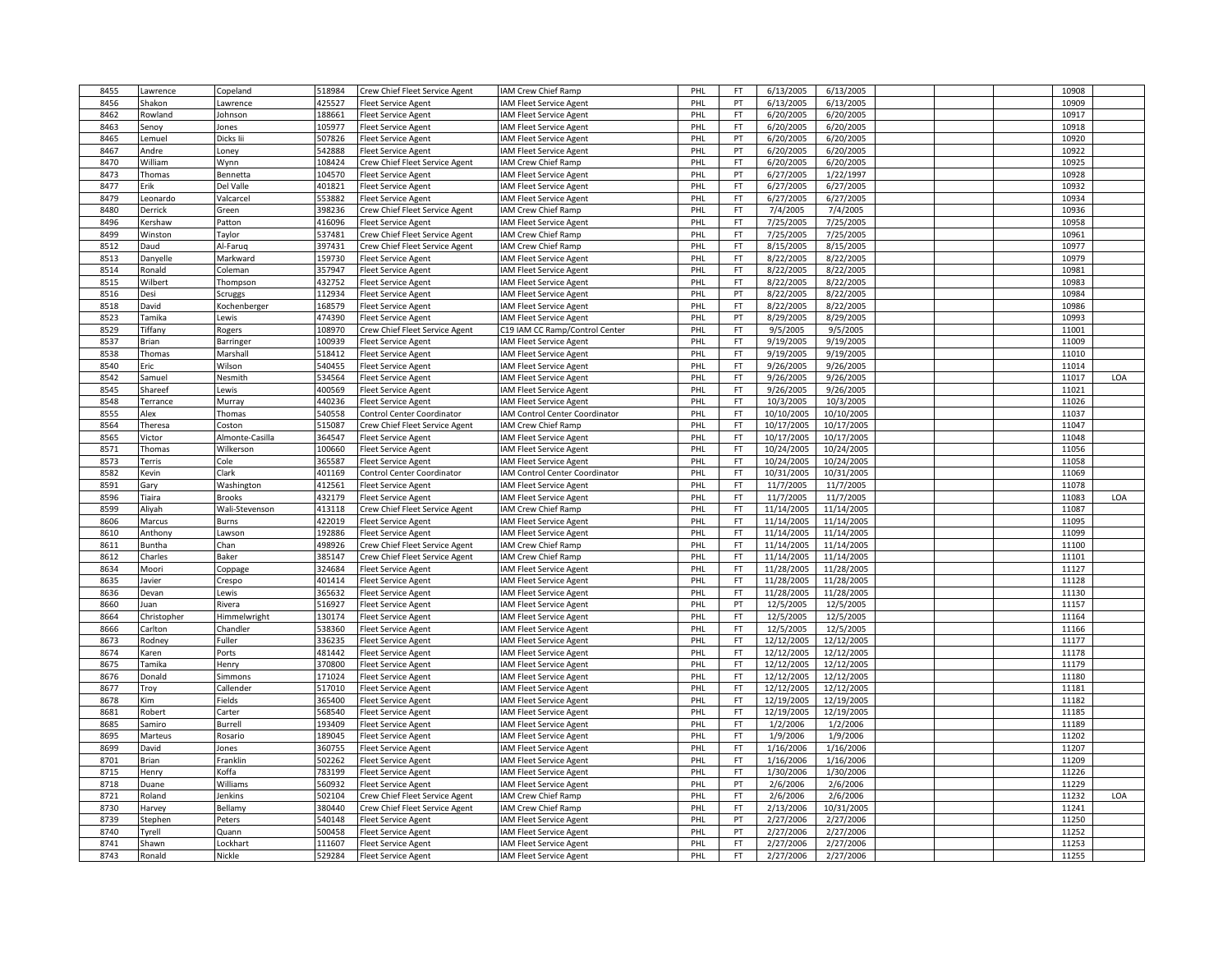| 8455         | awrence           | Copeland                    | 518984           | Crew Chief Fleet Service Agent | IAM Crew Chief Ramp                                        | PHL        | FT.             | 6/13/2005                | 6/13/2005                |  | 10908          |     |
|--------------|-------------------|-----------------------------|------------------|--------------------------------|------------------------------------------------------------|------------|-----------------|--------------------------|--------------------------|--|----------------|-----|
| 8456         | Shakon            | Lawrence                    | 425527           | leet Service Agent             | AM Fleet Service Agent                                     | PHL        | PT              | 6/13/2005                | 6/13/2005                |  | 10909          |     |
| 8462         | Rowland           | Johnson                     | 188661           | Fleet Service Agent            | <b>AM Fleet Service Agent</b>                              | PHL        | <b>FT</b>       | 6/20/2005                | 6/20/2005                |  | 10917          |     |
| 8463         | Senoy             | Jones                       | 105977           | <b>Fleet Service Agent</b>     | <b>AM Fleet Service Agent</b>                              | PHL        | <b>FT</b>       | 6/20/2005                | 6/20/2005                |  | 10918          |     |
| 8465         | Lemuel            | Dicks lii                   | 507826           | Fleet Service Agent            | <b>AM Fleet Service Agent</b>                              | PHL        | PT              | 6/20/2005                | 6/20/2005                |  | 10920          |     |
| 8467         | Andre             | Loney                       | 542888           | leet Service Agent             | <b>AM Fleet Service Agent</b>                              | PHL        | PT              | 6/20/2005                | 6/20/2005                |  | 10922          |     |
| 8470         | William           | Wynn                        | 108424           | Crew Chief Fleet Service Agent | <b>AM Crew Chief Ramp</b>                                  | PHL        | FT              | 6/20/2005                | 6/20/2005                |  | 10925          |     |
| 8473         | Thomas            | Bennetta                    | 104570           | <b>Fleet Service Agent</b>     | <b>AM Fleet Service Agent</b>                              | PHL        | PT              | 6/27/2005                | 1/22/1997                |  | 10928          |     |
| 8477         | Erik              | Del Valle                   | 401821           | Fleet Service Agent            | <b>AM Fleet Service Agent</b>                              | PHL        | FT              | 6/27/2005                | 6/27/2005                |  | 10932          |     |
| 8479         | Leonardo          | Valcarcel                   | 553882           | Fleet Service Agent            | AM Fleet Service Agent                                     | PHL        | <b>FT</b>       | 6/27/2005                | 6/27/2005                |  | 10934          |     |
| 8480         | Derrick           | Green                       | 398236           | Crew Chief Fleet Service Agent | <b>AM Crew Chief Ramp</b>                                  | PHL        | <b>FT</b>       | 7/4/2005                 | 7/4/2005                 |  | 10936          |     |
| 8496         | Kershaw           | Patton                      | 416096           | leet Service Agent             | <b>IAM Fleet Service Agent</b>                             | PHL        | FT              | 7/25/2005                | 7/25/2005                |  | 10958          |     |
| 8499         | Winston           | Taylor                      | 537481           | Crew Chief Fleet Service Agent | <b>AM Crew Chief Ramp</b>                                  | PHL        | <b>FT</b>       | 7/25/2005                | 7/25/2005                |  | 10961          |     |
| 8512         | Daud              | Al-Farug                    | 397431           | Crew Chief Fleet Service Agent | <b>IAM Crew Chief Ramp</b>                                 | PHL        | FT              | 8/15/2005                | 8/15/2005                |  | 10977          |     |
| 8513         | Danyelle          | Markward                    | 159730           | <b>Fleet Service Agent</b>     | AM Fleet Service Agent                                     | PHL        | FT.             | 8/22/2005                | 8/22/2005                |  | 10979          |     |
| 8514         | Ronald            | Coleman                     | 357947           | <b>Fleet Service Agent</b>     | AM Fleet Service Agent                                     | PHL        | <b>FT</b>       | 8/22/2005                | 8/22/2005                |  | 10981          |     |
| 8515         | Wilbert           | Thompson                    | 432752           | <b>Fleet Service Agent</b>     | <b>AM Fleet Service Agent</b>                              | PHL        | FT              | 8/22/2005                | 8/22/2005                |  | 10983          |     |
| 8516         | Desi              | Scruggs                     | 112934           | <b>Fleet Service Agent</b>     | <b>AM Fleet Service Agent</b>                              | PHL        | PT              | 8/22/2005                | 8/22/2005                |  | 10984          |     |
| 8518         | David             | Kochenberger                | 168579           | leet Service Agent             | <b>AM Fleet Service Agent</b>                              | PHL        | FT              | 8/22/2005                | 8/22/2005                |  | 10986          |     |
| 8523         | Tamika            | Lewis                       | 474390           | leet Service Agent             | <b>AM Fleet Service Agent</b>                              | PHL        | PT              | 8/29/2005                | 8/29/2005                |  | 10993          |     |
| 8529         | Tiffany           | Rogers                      | 108970           | Crew Chief Fleet Service Agent | C19 IAM CC Ramp/Control Center                             | PHL        | FT.             | 9/5/2005                 | 9/5/2005                 |  | 11001          |     |
| 8537         | Brian             | Barringer                   | 100939           | <b>Fleet Service Agent</b>     | <b>AM Fleet Service Agent</b>                              | PHL        | FT              | 9/19/2005                | 9/19/2005                |  | 11009          |     |
| 8538         | Thomas            | Marshall                    | 518412           | leet Service Agent             | <b>AM Fleet Service Agent</b>                              | PHL        | <b>FT</b>       | 9/19/2005                | 9/19/2005                |  | 11010          |     |
| 8540         | Eric              | Wilson                      | 540455           | Fleet Service Agent            | <b>AM Fleet Service Agent</b>                              | PHL        | FT.             | 9/26/2005                | 9/26/2005                |  | 11014          |     |
| 8542         | Samuel            | Nesmith                     | 534564           | leet Service Agent             | AM Fleet Service Agent                                     | PHL        | FT              | 9/26/2005                | 9/26/2005                |  | 11017          | LOA |
| 8545         | Shareef           | Lewis                       | 400569           | leet Service Agent             | <b>AM Fleet Service Agent</b>                              | PHL        | FT              | 9/26/2005                | 9/26/2005                |  | 11021          |     |
|              |                   |                             |                  |                                |                                                            |            | FT.             | 10/3/2005                |                          |  | 11026          |     |
| 8548         | errance           | Murray                      | 440236           | Fleet Service Agent            | <b>IAM Fleet Service Agent</b>                             | PHL        |                 |                          | 10/3/2005                |  |                |     |
| 8555         | Alex              | Thomas                      | 540558           | Control Center Coordinator     | <b>IAM Control Center Coordinator</b>                      | PHL        | FT.             | 10/10/2005               | 10/10/2005               |  | 11037          |     |
| 8564<br>8565 | Theresa           | Coston                      | 515087<br>364547 | Crew Chief Fleet Service Agent | <b>AM Crew Chief Ramp</b>                                  | PHL        | FT<br><b>FT</b> | 10/17/2005<br>10/17/2005 | 10/17/2005<br>10/17/2005 |  | 11047<br>11048 |     |
|              | Victor            | Almonte-Casilla             |                  | leet Service Agent             | <b>AM Fleet Service Agent</b>                              | PHL        |                 |                          |                          |  |                |     |
| 8571         | Thomas            | Wilkerson                   | 100660           | <b>Fleet Service Agent</b>     | <b>AM Fleet Service Agent</b>                              | PHL        | FT.             | 10/24/2005               | 10/24/2005               |  | 11056<br>11058 |     |
| 8573         | Terris            | Cole                        | 365587           | Fleet Service Agent            | AM Fleet Service Agent                                     | PHL        | FT              | 10/24/2005               | 10/24/2005               |  |                |     |
| 8582<br>8591 | Kevin             | Clark                       | 401169<br>412561 | Control Center Coordinator     | <b>IAM Control Center Coordinator</b>                      | PHL<br>PHL | FT.<br>FT       | 10/31/2005<br>11/7/2005  | 10/31/2005               |  | 11069<br>11078 |     |
| 8596         | Gary<br>Tiaira    | Washington<br><b>Brooks</b> | 432179           | Fleet Service Agent            | <b>IAM Fleet Service Agent</b>                             | PHL        | FT.             | 11/7/2005                | 11/7/2005<br>11/7/2005   |  | 11083          | LOA |
| 8599         |                   |                             | 413118           | <b>Fleet Service Agent</b>     | <b>IAM Fleet Service Agent</b>                             | PHL        | FT              | 11/14/2005               | 11/14/2005               |  | 11087          |     |
| 8606         | Aliyah<br>Marcus  | Wali-Stevenson<br>Burns     | 422019           | Crew Chief Fleet Service Agent | <b>AM Crew Chief Ramp</b>                                  | PHL        | <b>FT</b>       | 11/14/2005               | 11/14/2005               |  | 11095          |     |
|              |                   |                             | 192886           | leet Service Agent             | AM Fleet Service Agent                                     | PHL        | FT.             | 11/14/2005               |                          |  | 11099          |     |
| 8610         | Anthony<br>Buntha | Lawson                      |                  | <b>Fleet Service Agent</b>     | <b>AM Fleet Service Agent</b><br><b>AM Crew Chief Ramp</b> | PHL        | FT              |                          | 11/14/2005               |  | 11100          |     |
| 8611         |                   | Chan                        | 498926<br>385147 | Crew Chief Fleet Service Agent | <b>AM Crew Chief Ramp</b>                                  | PHL        | FT              | 11/14/2005               | 11/14/2005               |  | 11101          |     |
| 8612         | Charles           | Baker                       | 324684           | Crew Chief Fleet Service Agent |                                                            |            | FT              | 11/14/2005               | 11/14/2005               |  | 11127          |     |
| 8634         | Moori             | Coppage                     |                  | Fleet Service Agent            | <b>AM Fleet Service Agent</b>                              | PHL        |                 | 11/28/2005<br>11/28/2005 | 11/28/2005               |  | 11128          |     |
| 8635         | avier             | Crespo                      | 401414           | <b>Fleet Service Agent</b>     | AM Fleet Service Agent                                     | PHL        | FT.             |                          | 11/28/2005               |  |                |     |
| 8636         | Devan             | Lewis                       | 365632           | leet Service Agent             | AM Fleet Service Agent                                     | PHL        | FT              | 11/28/2005               | 11/28/2005               |  | 11130          |     |
| 8660         | Juan              | Rivera                      | 516927           | Fleet Service Agent            | <b>AM Fleet Service Agent</b>                              | PHL        | PT              | 12/5/2005                | 12/5/2005                |  | 11157          |     |
| 8664         | Christopher       | Himmelwright                | 130174           | Fleet Service Agent            | <b>AM Fleet Service Agent</b>                              | PHL        | FT              | 12/5/2005                | 12/5/2005                |  | 11164          |     |
| 8666         | Carlton           | Chandler                    | 538360           | leet Service Agent             | <b>AM Fleet Service Agent</b>                              | PHL        | FT<br>FT.       | 12/5/2005                | 12/5/2005                |  | 11166<br>11177 |     |
| 8673         | Rodney            | Fuller                      | 336235           | leet Service Agent             | <b>AM Fleet Service Agent</b>                              | PHL        |                 | 12/12/2005               | 12/12/2005               |  |                |     |
| 8674         | Karen             | Ports                       | 481442           | Fleet Service Agent            | <b>AM Fleet Service Agent</b>                              | PHL        | FT              | 12/12/2005               | 12/12/2005               |  | 11178          |     |
| 8675         | Tamika            | Henry                       | 370800           | <b>Fleet Service Agent</b>     | AM Fleet Service Agent                                     | PHL        | FT              | 12/12/2005               | 12/12/2005               |  | 11179          |     |
| 8676         | Donald            | Simmons                     | 171024           | Fleet Service Agent            | <b>AM Fleet Service Agent</b>                              | PHL        | <b>FT</b>       | 12/12/2005               | 12/12/2005               |  | 11180          |     |
| 8677         | Troy              | Callender                   | 517010           | Fleet Service Agent            | <b>IAM Fleet Service Agent</b>                             | PHL        | FT              | 12/12/2005               | 12/12/2005               |  | 11181          |     |
| 8678         | Kim               | Fields                      | 365400           | Fleet Service Agent            | <b>AM Fleet Service Agent</b>                              | PHL        | FT              | 12/19/2005               | 12/19/2005               |  | 11182          |     |
| 8681         | Robert            | Carter                      | 568540           | leet Service Agent             | AM Fleet Service Agent                                     | PHL        | FT              | 12/19/2005               | 12/19/2005               |  | 11185          |     |
| 8685         | Samiro            | Burrell                     | 193409           | leet Service Agent             | AM Fleet Service Agent                                     | PHL        | FT.             | 1/2/2006                 | 1/2/2006                 |  | 11189          |     |
| 8695         | Marteus           | Rosario                     | 189045           | Fleet Service Agent            | <b>AM Fleet Service Agent</b>                              | PHL        | FT              | 1/9/2006                 | 1/9/2006                 |  | 11202          |     |
| 8699         | David             | Jones                       | 360755           | leet Service Agent             | AM Fleet Service Agent                                     | PHL        | FT              | 1/16/2006                | 1/16/2006                |  | 11207          |     |
| 8701         | Brian             | Franklin                    | 502262           | leet Service Agent             | AM Fleet Service Agent                                     | PHL        | FT              | 1/16/2006                | 1/16/2006                |  | 11209          |     |
| 8715         | Henry             | Koffa                       | 783199           | Fleet Service Agent            | <b>IAM Fleet Service Agent</b>                             | PHL        | FT              | 1/30/2006                | 1/30/2006                |  | 11226          |     |
| 8718         | Duane             | Williams                    | 560932           | <b>Fleet Service Agent</b>     | AM Fleet Service Agent                                     | PHL        | PT              | 2/6/2006                 | 2/6/2006                 |  | 11229          |     |
| 8721         | Roland            | Jenkins                     | 502104           | Crew Chief Fleet Service Agent | <b>AM Crew Chief Ramp</b>                                  | PHL        | FT              | 2/6/2006                 | 2/6/2006                 |  | 11232          | LOA |
| 8730         | Harvey            | Bellamy                     | 380440           | Crew Chief Fleet Service Agent | <b>AM Crew Chief Ramp</b>                                  | PHL        | <b>FT</b>       | 2/13/2006                | 10/31/2005               |  | 11241          |     |
| 8739         | Stephen           | Peters                      | 540148           | <b>Fleet Service Agent</b>     | <b>IAM Fleet Service Agent</b>                             | PHL        | PT              | 2/27/2006                | 2/27/2006                |  | 11250          |     |
| 8740         | Tyrell            | Quann                       | 500458           | leet Service Agent             | AM Fleet Service Agent                                     | PHL        | PT              | 2/27/2006                | 2/27/2006                |  | 11252          |     |
| 8741         | Shawn<br>Ronald   | Lockhart                    | 111607           | leet Service Agent             | AM Fleet Service Agent                                     | PHL        | <b>FT</b>       | 2/27/2006                | 2/27/2006                |  | 11253          |     |
| 8743         |                   | Nickle                      | 529284           | <b>Fleet Service Agent</b>     | <b>IAM Fleet Service Agent</b>                             | PHL        | FT.             | 2/27/2006                | 2/27/2006                |  | 11255          |     |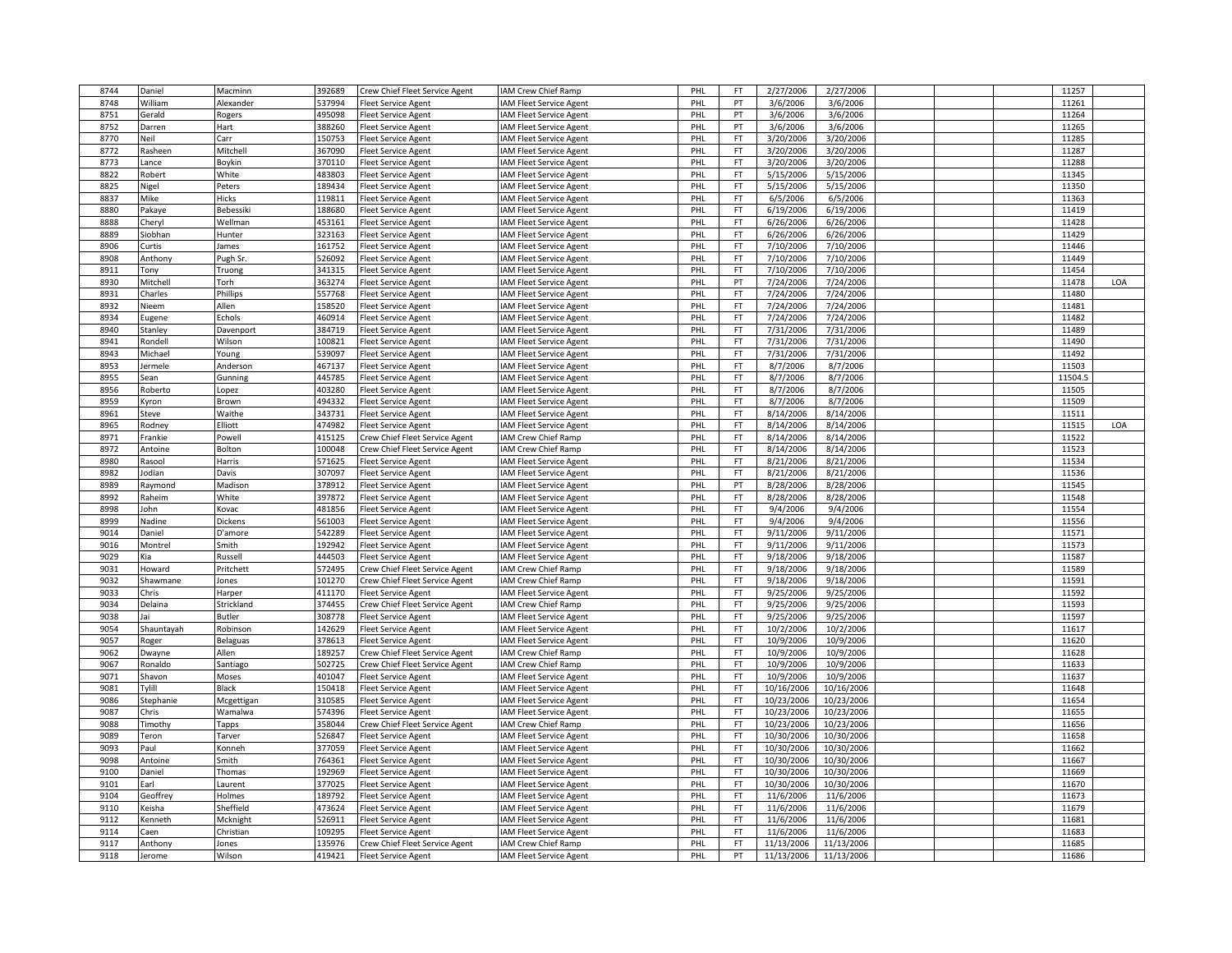| 8744 | Daniel     | Macminn         | 392689 | Crew Chief Fleet Service Agent | IAM Crew Chief Ramp            | PHL | FT        | 2/27/2006  | 2/27/2006  |  | 11257   |     |
|------|------------|-----------------|--------|--------------------------------|--------------------------------|-----|-----------|------------|------------|--|---------|-----|
| 8748 | William    | Alexander       | 537994 | leet Service Agent             | AM Fleet Service Agent         | PHL | PT        | 3/6/2006   | 3/6/2006   |  | 11261   |     |
| 8751 | Gerald     | Rogers          | 495098 | Fleet Service Agent            | <b>AM Fleet Service Agent</b>  | PHL | PT        | 3/6/2006   | 3/6/2006   |  | 11264   |     |
| 8752 | Darren     | Hart            | 388260 | Fleet Service Agent            | <b>AM Fleet Service Agent</b>  | PHL | PT        | 3/6/2006   | 3/6/2006   |  | 11265   |     |
| 8770 | Neil       | Carr            | 150753 | leet Service Agent             | <b>IAM Fleet Service Agent</b> | PHL | FT        | 3/20/2006  | 3/20/2006  |  | 11285   |     |
| 8772 | Rasheen    | Mitchell        | 367090 | leet Service Agent             | AM Fleet Service Agent         | PHL | FT.       | 3/20/2006  | 3/20/2006  |  | 11287   |     |
| 8773 | Lance      | Boykin          | 370110 | Fleet Service Agent            | <b>IAM Fleet Service Agent</b> | PHL | FT        | 3/20/2006  | 3/20/2006  |  | 11288   |     |
| 8822 | Robert     | White           | 483803 | Fleet Service Agent            | AM Fleet Service Agent         | PHL | FT.       | 5/15/2006  | 5/15/2006  |  | 11345   |     |
| 8825 | Nigel      | Peters          | 189434 | Fleet Service Agent            | <b>AM Fleet Service Agent</b>  | PHL | <b>FT</b> | 5/15/2006  | 5/15/2006  |  | 11350   |     |
| 8837 | Mike       | Hicks           | 119811 | Fleet Service Agent            | <b>AM Fleet Service Agent</b>  | PHL | FT.       | 6/5/2006   | 6/5/2006   |  | 11363   |     |
| 8880 | Pakaye     | Bebessiki       | 188680 | Fleet Service Agent            | <b>AM Fleet Service Agent</b>  | PHL | FT        | 6/19/2006  | 6/19/2006  |  | 11419   |     |
| 8888 | Cheryl     | Wellman         | 453161 | leet Service Agent             | <b>AM Fleet Service Agent</b>  | PHL | FT        | 6/26/2006  | 6/26/2006  |  | 11428   |     |
| 8889 | Siobhan    | Hunter          | 323163 | leet Service Agent             | AM Fleet Service Agent         | PHL | <b>FT</b> | 6/26/2006  | 6/26/2006  |  | 11429   |     |
| 8906 |            |                 | 161752 |                                |                                |     | FT        | 7/10/2006  |            |  | 11446   |     |
|      | Curtis     | James           |        | Fleet Service Agent            | <b>IAM Fleet Service Agent</b> | PHL |           |            | 7/10/2006  |  |         |     |
| 8908 | Anthony    | Pugh Sr.        | 526092 | <b>Fleet Service Agent</b>     | <b>AM Fleet Service Agent</b>  | PHL | FT        | 7/10/2006  | 7/10/2006  |  | 11449   |     |
| 8911 | Tony       | Truong          | 341315 | Fleet Service Agent            | <b>IAM Fleet Service Agent</b> | PHL | FT        | 7/10/2006  | 7/10/2006  |  | 11454   |     |
| 8930 | Mitchell   | Torh            | 363274 | Fleet Service Agent            | <b>AM Fleet Service Agent</b>  | PHL | PT        | 7/24/2006  | 7/24/2006  |  | 11478   | LOA |
| 8931 | Charles    | Phillips        | 557768 | <b>Fleet Service Agent</b>     | <b>AM Fleet Service Agent</b>  | PHL | FT        | 7/24/2006  | 7/24/2006  |  | 11480   |     |
| 8932 | Nieem      | Allen           | 158520 | leet Service Agent             | <b>AM Fleet Service Agent</b>  | PHL | <b>FT</b> | 7/24/2006  | 7/24/2006  |  | 11481   |     |
| 8934 | Eugene     | Echols          | 460914 | leet Service Agent             | AM Fleet Service Agent         | PHL | FT.       | 7/24/2006  | 7/24/2006  |  | 11482   |     |
| 8940 | Stanley    | Davenport       | 384719 | <b>Fleet Service Agent</b>     | <b>AM Fleet Service Agent</b>  | PHL | FT        | 7/31/2006  | 7/31/2006  |  | 11489   |     |
| 8941 | Rondell    | Wilson          | 100821 | leet Service Agent             | AM Fleet Service Agent         | PHL | FT        | 7/31/2006  | 7/31/2006  |  | 11490   |     |
| 8943 | Michael    | Young           | 539097 | leet Service Agent             | AM Fleet Service Agent         | PHL | <b>FT</b> | 7/31/2006  | 7/31/2006  |  | 11492   |     |
| 8953 | Jermele    | Anderson        | 467137 | Fleet Service Agent            | <b>IAM Fleet Service Agent</b> | PHL | FT        | 8/7/2006   | 8/7/2006   |  | 11503   |     |
| 8955 | Sean       | Gunning         | 445785 | leet Service Agent             | AM Fleet Service Agent         | PHL | FT        | 8/7/2006   | 8/7/2006   |  | 11504.5 |     |
| 8956 | Roberto    | Lopez           | 403280 | Fleet Service Agent            | <b>IAM Fleet Service Agent</b> | PHL | FT        | 8/7/2006   | 8/7/2006   |  | 11505   |     |
| 8959 | Kyron      | Brown           | 494332 | Fleet Service Agent            | <b>AM Fleet Service Agent</b>  | PHL | FT        | 8/7/2006   | 8/7/2006   |  | 11509   |     |
| 8961 | Steve      | Waithe          | 343731 | <b>Fleet Service Agent</b>     | <b>AM Fleet Service Agent</b>  | PHL | FT.       | 8/14/2006  | 8/14/2006  |  | 11511   |     |
| 8965 | Rodney     | Elliott         | 474982 | leet Service Agent             | <b>AM Fleet Service Agent</b>  | PHL | <b>FT</b> | 8/14/2006  | 8/14/2006  |  | 11515   | LOA |
| 8971 | Frankie    | Powell          | 415125 | Crew Chief Fleet Service Agent | <b>AM Crew Chief Ramp</b>      | PHL | <b>FT</b> | 8/14/2006  | 8/14/2006  |  | 11522   |     |
| 8972 | Antoine    | Bolton          | 100048 | Crew Chief Fleet Service Agent | <b>AM Crew Chief Ramp</b>      | PHL | FT        | 8/14/2006  | 8/14/2006  |  | 11523   |     |
| 8980 | Rasool     | Harris          | 571625 | leet Service Agent             | <b>AM Fleet Service Agent</b>  | PHL | FT        | 8/21/2006  | 8/21/2006  |  | 11534   |     |
| 8982 | lodian     | Davis           | 307097 | Fleet Service Agent            | AM Fleet Service Agent         | PHL | FT.       | 8/21/2006  | 8/21/2006  |  | 11536   |     |
| 8989 | Raymond    | Madison         | 378912 | Fleet Service Agent            | <b>IAM Fleet Service Agent</b> | PHL | PT        | 8/28/2006  | 8/28/2006  |  | 11545   |     |
| 8992 | Raheim     | White           | 397872 | <b>Fleet Service Agent</b>     | <b>AM Fleet Service Agent</b>  | PHL | FT.       | 8/28/2006  | 8/28/2006  |  | 11548   |     |
| 8998 | John       | Kovac           | 481856 | leet Service Agent             | <b>AM Fleet Service Agent</b>  | PHL | <b>FT</b> | 9/4/2006   | 9/4/2006   |  | 11554   |     |
| 8999 | Nadine     | Dickens         | 561003 |                                |                                | PHL | <b>FT</b> | 9/4/2006   | 9/4/2006   |  | 11556   |     |
| 9014 | Daniel     |                 | 542289 | Fleet Service Agent            | <b>IAM Fleet Service Agent</b> | PHL |           | 9/11/2006  | 9/11/2006  |  | 11571   |     |
| 9016 |            | D'amore         | 192942 | Fleet Service Agent            | <b>AM Fleet Service Agent</b>  | PHL | FT<br>FT  | 9/11/2006  | 9/11/2006  |  | 11573   |     |
|      | Montrel    | Smith           |        | leet Service Agent             | <b>AM Fleet Service Agent</b>  |     |           |            |            |  |         |     |
| 9029 | Kia        | Russell         | 444503 | leet Service Agent             | AM Fleet Service Agent         | PHL | FT.       | 9/18/2006  | 9/18/2006  |  | 11587   |     |
| 9031 | Howard     | Pritchett       | 572495 | Crew Chief Fleet Service Agent | <b>AM Crew Chief Ramp</b>      | PHL | FT        | 9/18/2006  | 9/18/2006  |  | 11589   |     |
| 9032 | Shawmane   | Jones           | 101270 | Crew Chief Fleet Service Agent | <b>AM Crew Chief Ramp</b>      | PHL | FT        | 9/18/2006  | 9/18/2006  |  | 11591   |     |
| 9033 | Chris      | Harper          | 411170 | Fleet Service Agent            | <b>AM Fleet Service Agent</b>  | PHL | FT        | 9/25/2006  | 9/25/2006  |  | 11592   |     |
| 9034 | Delaina    | Strickland      | 374455 | Crew Chief Fleet Service Agent | <b>IAM Crew Chief Ramp</b>     | PHL | FT        | 9/25/2006  | 9/25/2006  |  | 11593   |     |
| 9038 | lai        | Butler          | 308778 | <b>Fleet Service Agent</b>     | <b>AM Fleet Service Agent</b>  | PHL | FT        | 9/25/2006  | 9/25/2006  |  | 11597   |     |
| 9054 | Shauntayah | Robinson        | 142629 | Fleet Service Agent            | <b>AM Fleet Service Agent</b>  | PHL | <b>FT</b> | 10/2/2006  | 10/2/2006  |  | 11617   |     |
| 9057 | Roger      | <b>Belaguas</b> | 378613 | Fleet Service Agent            | <b>IAM Fleet Service Agent</b> | PHL | FT        | 10/9/2006  | 10/9/2006  |  | 11620   |     |
| 9062 | Dwayne     | Allen           | 189257 | Crew Chief Fleet Service Agent | <b>AM Crew Chief Ramp</b>      | PHL | FT.       | 10/9/2006  | 10/9/2006  |  | 11628   |     |
| 9067 | Ronaldo    | Santiago        | 502725 | Crew Chief Fleet Service Agent | <b>IAM Crew Chief Ramp</b>     | PHL | FT        | 10/9/2006  | 10/9/2006  |  | 11633   |     |
| 9071 | Shavon     | Moses           | 401047 | leet Service Agent             | AM Fleet Service Agent         | PHL | <b>FT</b> | 10/9/2006  | 10/9/2006  |  | 11637   |     |
| 9081 | Tylill     | Black           | 150418 | Fleet Service Agent            | <b>AM Fleet Service Agent</b>  | PHL | FT        | 10/16/2006 | 10/16/2006 |  | 11648   |     |
| 9086 | Stephanie  | Mcgettigan      | 310585 | leet Service Agent             | <b>AM Fleet Service Agent</b>  | PHL | FT        | 10/23/2006 | 10/23/2006 |  | 11654   |     |
| 9087 | Chris      | Wamalwa         | 574396 | leet Service Agent             | <b>AM Fleet Service Agent</b>  | PHL | FT        | 10/23/2006 | 10/23/2006 |  | 11655   |     |
| 9088 | Timothy    | Tapps           | 358044 | Crew Chief Fleet Service Agent | <b>IAM Crew Chief Ramp</b>     | PHL | FT        | 10/23/2006 | 10/23/2006 |  | 11656   |     |
| 9089 | Teron      | Tarver          | 526847 | <b>Fleet Service Agent</b>     | <b>AM Fleet Service Agent</b>  | PHL | FT.       | 10/30/2006 | 10/30/2006 |  | 11658   |     |
| 9093 | Paul       | Konneh          | 377059 | Fleet Service Agent            | <b>AM Fleet Service Agent</b>  | PHL | <b>FT</b> | 10/30/2006 | 10/30/2006 |  | 11662   |     |
| 9098 | Antoine    | Smith           | 764361 | Fleet Service Agent            | AM Fleet Service Agent         | PHL | FT        | 10/30/2006 | 10/30/2006 |  | 11667   |     |
| 9100 | Daniel     | Thomas          | 192969 | Fleet Service Agent            | <b>AM Fleet Service Agent</b>  | PHL | FT        | 10/30/2006 | 10/30/2006 |  | 11669   |     |
| 9101 | Earl       | Laurent         | 377025 | leet Service Agent             | <b>AM Fleet Service Agent</b>  | PHL | FT        | 10/30/2006 | 10/30/2006 |  | 11670   |     |
| 9104 | Geoffrey   | Holmes          | 189792 | leet Service Agent             | <b>AM Fleet Service Agent</b>  | PHL | FT.       | 11/6/2006  | 11/6/2006  |  | 11673   |     |
| 9110 | Keisha     | Sheffield       | 473624 |                                |                                | PHL | FT.       | 11/6/2006  |            |  | 11679   |     |
|      |            |                 |        | <b>Fleet Service Agent</b>     | <b>AM Fleet Service Agent</b>  |     | FT        |            | 11/6/2006  |  |         |     |
| 9112 | Kenneth    | Mcknight        | 526911 | <b>Fleet Service Agent</b>     | AM Fleet Service Agent         | PHL |           | 11/6/2006  | 11/6/2006  |  | 11681   |     |
| 9114 | Caen       | Christian       | 109295 | leet Service Agent             | AM Fleet Service Agent         | PHL | <b>FT</b> | 11/6/2006  | 11/6/2006  |  | 11683   |     |
| 9117 | Anthony    | Jones           | 135976 | Crew Chief Fleet Service Agent | <b>IAM Crew Chief Ramp</b>     | PHL | FT        | 11/13/2006 | 11/13/2006 |  | 11685   |     |
| 9118 | lerome     | Wilson          | 419421 | <b>Fleet Service Agent</b>     | IAM Fleet Service Agent        | PHL | PT        | 11/13/2006 | 11/13/2006 |  | 11686   |     |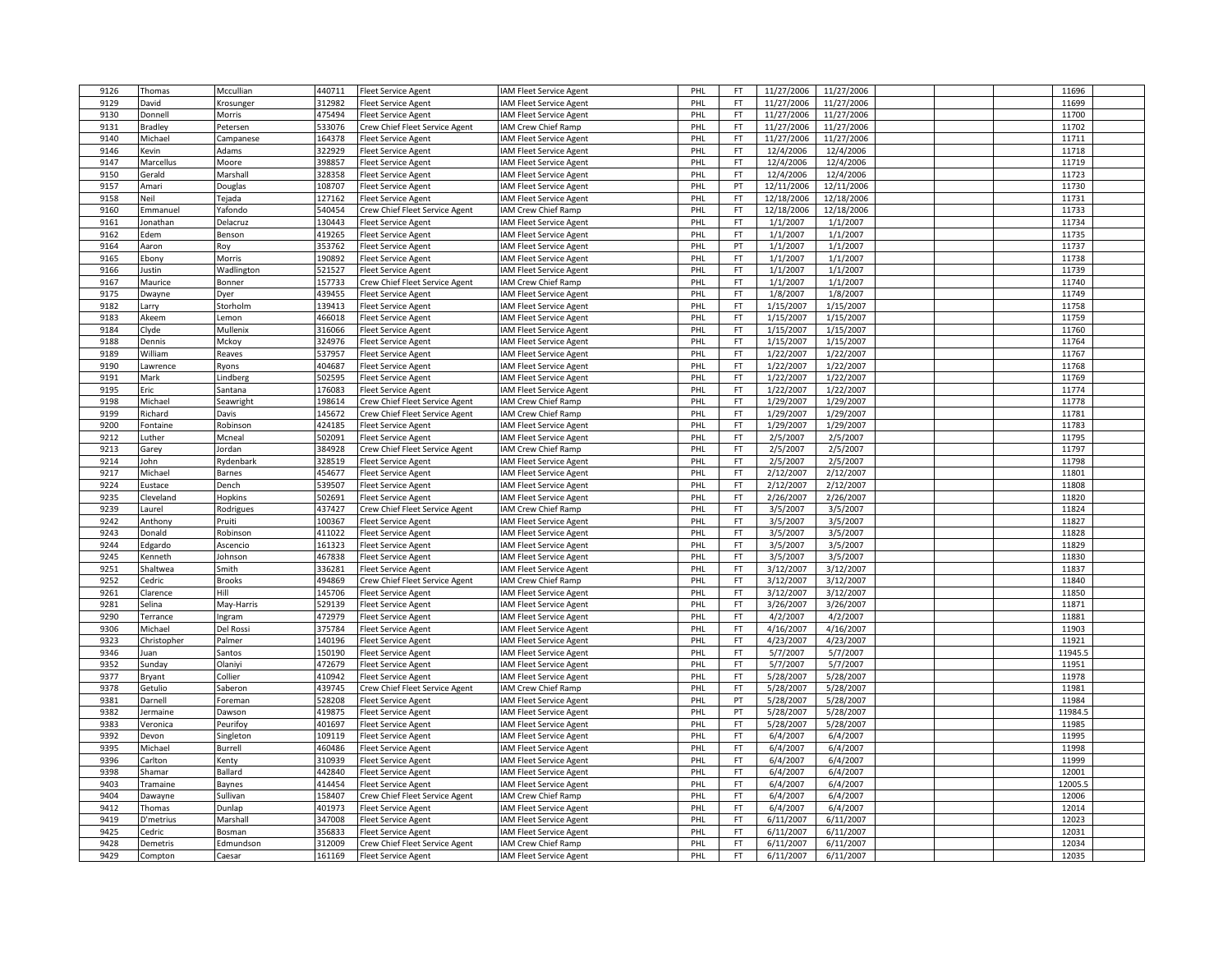| 9126 | Thomas          | Mccullian     | 440711 | <b>Fleet Service Agent</b>     | IAM Fleet Service Agent        | PHL | FT.       | 11/27/2006 | 11/27/2006 |  | 11696   |  |
|------|-----------------|---------------|--------|--------------------------------|--------------------------------|-----|-----------|------------|------------|--|---------|--|
| 9129 | David           | Krosunger     | 312982 | leet Service Agent             | IAM Fleet Service Agent        | PHI | FT        | 11/27/2006 | 11/27/2006 |  | 11699   |  |
| 9130 | Donnell         | Morris        | 475494 | Fleet Service Agent            | IAM Fleet Service Agent        | PHL | FT.       | 11/27/2006 | 11/27/2006 |  | 11700   |  |
| 9131 | Bradley         | Petersen      | 533076 | Crew Chief Fleet Service Agent | IAM Crew Chief Ramp            | PHL | FT        | 11/27/2006 | 11/27/2006 |  | 11702   |  |
| 9140 | Michael         | Campanese     | 164378 | Fleet Service Agent            | IAM Fleet Service Agent        | PHL | <b>FT</b> | 11/27/2006 | 11/27/2006 |  | 11711   |  |
| 9146 | Kevin           | Adams         | 322929 | leet Service Agent             | IAM Fleet Service Agent        | PHL | FT.       | 12/4/2006  | 12/4/2006  |  | 11718   |  |
| 9147 | Marcellus       |               | 398857 |                                |                                | PHL | FT        | 12/4/2006  | 12/4/2006  |  | 11719   |  |
|      |                 | Moore         |        | leet Service Agent             | IAM Fleet Service Agent        |     |           |            |            |  |         |  |
| 9150 | Gerald          | Marshall      | 328358 | <b>Fleet Service Agent</b>     | IAM Fleet Service Agent        | PHL | <b>FT</b> | 12/4/2006  | 12/4/2006  |  | 11723   |  |
| 9157 | Amari           | Douglas       | 108707 | leet Service Agent             | IAM Fleet Service Agent        | PHI | PT        | 12/11/2006 | 12/11/2006 |  | 11730   |  |
| 9158 | Neil            | Tejada        | 127162 | Fleet Service Agent            | IAM Fleet Service Agent        | PHL | FT        | 12/18/2006 | 12/18/2006 |  | 11731   |  |
| 9160 | Emmanuel        | Yafondo       | 540454 | Crew Chief Fleet Service Agent | IAM Crew Chief Ramp            | PHL | FT        | 12/18/2006 | 12/18/2006 |  | 11733   |  |
| 9161 | Jonathan        | Delacruz      | 130443 | leet Service Agent             | IAM Fleet Service Agent        | PHL | FT        | 1/1/2007   | 1/1/2007   |  | 11734   |  |
| 9162 | Edem            | Benson        | 419265 | leet Service Agent             | IAM Fleet Service Agent        | PHL | FT.       | 1/1/2007   | 1/1/2007   |  | 11735   |  |
| 9164 | Aaron           | Roy           | 353762 | leet Service Agent             | IAM Fleet Service Agent        | PHL | PT        | 1/1/2007   | 1/1/2007   |  | 11737   |  |
| 9165 | Ebony           | Morris        | 190892 | Fleet Service Agent            | IAM Fleet Service Agent        | PHI | <b>FT</b> | 1/1/2007   | 1/1/2007   |  | 11738   |  |
| 9166 | Justin          | Wadlington    | 521527 | Fleet Service Agent            | IAM Fleet Service Agent        | PHL | <b>FT</b> | 1/1/2007   | 1/1/2007   |  | 11739   |  |
| 9167 | Maurice         | Bonner        | 157733 | Crew Chief Fleet Service Agent | IAM Crew Chief Ramp            | PHL | FT.       | 1/1/2007   | 1/1/2007   |  | 11740   |  |
| 9175 | Dwayne          | Dyer          | 439455 | leet Service Agent             | IAM Fleet Service Agent        | PHL | FT        | 1/8/2007   | 1/8/2007   |  | 11749   |  |
| 9182 | arry            | Storholm      | 139413 | leet Service Agent             | IAM Fleet Service Agent        | PHI | FT        | 1/15/2007  | 1/15/2007  |  | 11758   |  |
| 9183 | Akeem           |               | 466018 |                                |                                | PHL | FT        | 1/15/2007  | 1/15/2007  |  | 11759   |  |
|      |                 | Lemon         |        | leet Service Agent             | IAM Fleet Service Agent        |     |           |            |            |  |         |  |
| 9184 | Clyde           | Mullenix      | 316066 | Fleet Service Agent            | IAM Fleet Service Agent        | PHL | FT        | 1/15/2007  | 1/15/2007  |  | 11760   |  |
| 9188 | Dennis          | Mckoy         | 324976 | leet Service Agent             | IAM Fleet Service Agent        | PHI | FT        | 1/15/2007  | 1/15/2007  |  | 11764   |  |
| 9189 | William         | Reaves        | 537957 | leet Service Agent             | IAM Fleet Service Agent        | PHL | <b>FT</b> | 1/22/2007  | 1/22/2007  |  | 11767   |  |
| 9190 | Lawrence        | Ryons         | 404687 | leet Service Agent             | IAM Fleet Service Agent        | PHL | FT        | 1/22/2007  | 1/22/2007  |  | 11768   |  |
| 9191 | Mark            | Lindberg      | 502595 | leet Service Agent             | IAM Fleet Service Agent        | PHI | <b>FT</b> | 1/22/2007  | 1/22/2007  |  | 11769   |  |
| 9195 | Eric            | Santana       | 176083 | leet Service Agent             | IAM Fleet Service Agent        | PHL | <b>FT</b> | 1/22/2007  | 1/22/2007  |  | 11774   |  |
| 9198 | Michael         | Seawright     | 198614 | Crew Chief Fleet Service Agent | IAM Crew Chief Ramp            | PHL | FT        | 1/29/2007  | 1/29/2007  |  | 11778   |  |
| 9199 | Richard         | Davis         | 145672 | Crew Chief Fleet Service Agent | IAM Crew Chief Ramp            | PHL | FT        | 1/29/2007  | 1/29/2007  |  | 11781   |  |
| 9200 | <b>Fontaine</b> | Robinson      | 424185 | leet Service Agent             | IAM Fleet Service Agent        | PHI | FT        | 1/29/2007  | 1/29/2007  |  | 11783   |  |
| 9212 | .uther          | Mcneal        | 502091 | Fleet Service Agent            | IAM Fleet Service Agent        | PHL | FT.       | 2/5/2007   | 2/5/2007   |  | 11795   |  |
| 9213 | Garey           | Jordan        | 384928 | Crew Chief Fleet Service Agent | IAM Crew Chief Ramp            | PHI | FT        | 2/5/2007   | 2/5/2007   |  | 11797   |  |
| 9214 | John            | Rydenbark     | 328519 | Fleet Service Agent            | IAM Fleet Service Agent        | PHI | <b>FT</b> | 2/5/2007   | 2/5/2007   |  | 11798   |  |
| 9217 |                 | <b>Barnes</b> | 454677 |                                |                                | PHL | FT.       | 2/12/2007  | 2/12/2007  |  | 11801   |  |
|      | Michael         |               |        | leet Service Agent             | IAM Fleet Service Agent        |     |           |            |            |  |         |  |
| 9224 | Eustace         | Dench         | 539507 | leet Service Agent             | IAM Fleet Service Agent        | PHL | FT.       | 2/12/2007  | 2/12/2007  |  | 11808   |  |
| 9235 | Cleveland       | Hopkins       | 502691 | Fleet Service Agent            | IAM Fleet Service Agent        | PHL | <b>FT</b> | 2/26/2007  | 2/26/2007  |  | 11820   |  |
| 9239 | aurel           | Rodrigues     | 437427 | rew Chief Fleet Service Agent  | IAM Crew Chief Ramp            | PHI | FT        | 3/5/2007   | 3/5/2007   |  | 11824   |  |
| 9242 | Anthony         | Pruiti        | 100367 | leet Service Agent             | IAM Fleet Service Agent        | PHL | FT        | 3/5/2007   | 3/5/2007   |  | 11827   |  |
| 9243 | Donald          | Robinson      | 411022 | leet Service Agent             | IAM Fleet Service Agent        | PHI | FT        | 3/5/2007   | 3/5/2007   |  | 11828   |  |
| 9244 | Edgardo         | Ascencio      | 161323 | leet Service Agent             | IAM Fleet Service Agent        | PHI | FT        | 3/5/2007   | 3/5/2007   |  | 11829   |  |
| 9245 | Kenneth         | Johnson       | 467838 | leet Service Agent             | IAM Fleet Service Agent        | PHL | FT.       | 3/5/2007   | 3/5/2007   |  | 11830   |  |
| 9251 | Shaltwea        | Smith         | 336281 | leet Service Agent             | IAM Fleet Service Agent        | PHL | FT        | 3/12/2007  | 3/12/2007  |  | 11837   |  |
| 9252 | Cedric          | <b>Brooks</b> | 494869 | Crew Chief Fleet Service Agent | IAM Crew Chief Ramp            | PHI | <b>FT</b> | 3/12/2007  | 3/12/2007  |  | 11840   |  |
| 9261 | Clarence        | Hill          | 145706 | leet Service Agent             | IAM Fleet Service Agent        | PHL | <b>FT</b> | 3/12/2007  | 3/12/2007  |  | 11850   |  |
| 9281 | Selina          | May-Harris    | 529139 | Fleet Service Agent            | IAM Fleet Service Agent        | PHL | FT.       | 3/26/2007  | 3/26/2007  |  | 11871   |  |
| 9290 | Terrance        | Ingram        | 472979 | leet Service Agent             | IAM Fleet Service Agent        | PHL | FT        | 4/2/2007   | 4/2/2007   |  | 11881   |  |
| 9306 | Michael         | Del Rossi     | 375784 | leet Service Agent             | IAM Fleet Service Agent        | PHI | FT        | 4/16/2007  | 4/16/2007  |  | 11903   |  |
| 9323 | Christopher     | Palmer        | 140196 | leet Service Agent             | IAM Fleet Service Agent        | PHL | FT        | 4/23/2007  | 4/23/2007  |  | 11921   |  |
| 9346 |                 |               | 150190 | Fleet Service Agent            | IAM Fleet Service Agent        | PHI | FT        | 5/7/2007   | 5/7/2007   |  | 11945.5 |  |
|      | Juan            | Santos        |        |                                |                                |     |           |            |            |  |         |  |
| 9352 | Sunday          | Olaniyi       | 472679 | leet Service Agent             | IAM Fleet Service Agent        | PHI | <b>FT</b> | 5/7/2007   | 5/7/2007   |  | 11951   |  |
| 9377 | Bryant          | Collier       | 410942 | leet Service Agent             | IAM Fleet Service Agent        | PHL | <b>FT</b> | 5/28/2007  | 5/28/2007  |  | 11978   |  |
| 9378 | Getulio         | Saberon       | 439745 | Crew Chief Fleet Service Agent | IAM Crew Chief Ramp            | PHL | FT        | 5/28/2007  | 5/28/2007  |  | 11981   |  |
| 9381 | Darnell         | Foreman       | 528208 | Fleet Service Agent            | IAM Fleet Service Agent        | PHI | PT        | 5/28/2007  | 5/28/2007  |  | 11984   |  |
| 9382 | lermaine        | Dawson        | 419875 | leet Service Agent             | IAM Fleet Service Agent        | PHL | PT        | 5/28/2007  | 5/28/2007  |  | 11984.5 |  |
| 9383 | Veronica        | Peurifoy      | 401697 | Fleet Service Agent            | IAM Fleet Service Agent        | PHL | FT        | 5/28/2007  | 5/28/2007  |  | 11985   |  |
| 9392 | Devon           | Singleton     | 109119 | leet Service Agent             | IAM Fleet Service Agent        | PHL | FT        | 6/4/2007   | 6/4/2007   |  | 11995   |  |
| 9395 | Michael         | Burrell       | 460486 | leet Service Agent             | <b>IAM Fleet Service Agent</b> | PHI | FT        | 6/4/2007   | 6/4/2007   |  | 11998   |  |
| 9396 | Carlton         | Kenty         | 310939 | leet Service Agent             | IAM Fleet Service Agent        | PHL | <b>FT</b> | 6/4/2007   | 6/4/2007   |  | 11999   |  |
| 9398 | Shamar          | Ballard       | 442840 | Fleet Service Agent            | IAM Fleet Service Agent        | PHI | FT        | 6/4/2007   | 6/4/2007   |  | 12001   |  |
| 9403 | Tramaine        | Baynes        | 414454 | leet Service Agent             | IAM Fleet Service Agent        | PHI | FT        | 6/4/2007   | 6/4/2007   |  | 12005.5 |  |
| 9404 | Dawayne         | Sullivan      | 158407 | Crew Chief Fleet Service Agent | IAM Crew Chief Ramp            | PHL | FT        | 6/4/2007   | 6/4/2007   |  | 12006   |  |
| 9412 | Thomas          | Dunlap        | 401973 | Fleet Service Agent            | <b>IAM Fleet Service Agent</b> | PHL | FT        | 6/4/2007   | 6/4/2007   |  | 12014   |  |
| 9419 | D'metrius       | Marshall      | 347008 | leet Service Agent             | IAM Fleet Service Agent        | PHL | FT        | 6/11/2007  | 6/11/2007  |  | 12023   |  |
|      |                 |               | 356833 |                                |                                |     |           |            |            |  | 12031   |  |
| 9425 | edric           | Bosman        |        | leet Service Agent             | <b>AM Fleet Service Agent</b>  | PHI | FT        | 6/11/2007  | 6/11/2007  |  |         |  |
| 9428 | Demetris        | Edmundson     | 312009 | Crew Chief Fleet Service Agent | IAM Crew Chief Ramp            | PHL | FT.       | 6/11/2007  | 6/11/2007  |  | 12034   |  |
| 9429 | Compton         | Caesar        | 161169 | Fleet Service Agent            | IAM Fleet Service Agent        | PHL | FT        | 6/11/2007  | 6/11/2007  |  | 12035   |  |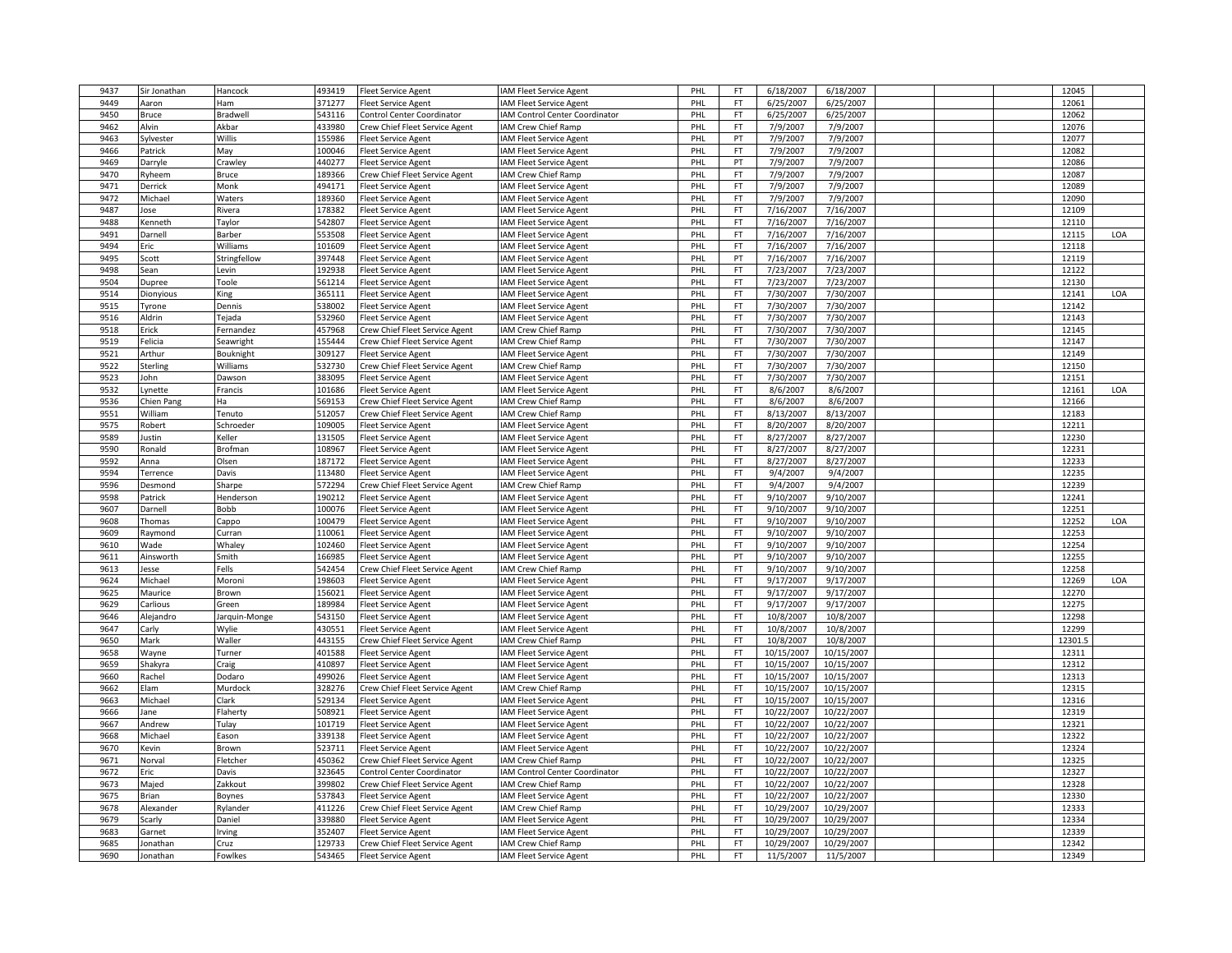| 9437 | Sir Jonathan    | Hancock       | 493419 | <b>Fleet Service Agent</b>                               | IAM Fleet Service Agent        | PHL | <b>FT</b> | 6/18/2007  | 6/18/2007  |  | 12045          |     |
|------|-----------------|---------------|--------|----------------------------------------------------------|--------------------------------|-----|-----------|------------|------------|--|----------------|-----|
| 9449 | Aaron           | Ham           | 371277 | <b>Fleet Service Agent</b>                               | AM Fleet Service Agent         | PHI | <b>FT</b> | 6/25/2007  | 6/25/2007  |  | 12061          |     |
| 9450 | Bruce           | Bradwell      | 543116 | Control Center Coordinator                               | IAM Control Center Coordinator | PHL | <b>FT</b> | 6/25/2007  | 6/25/2007  |  | 12062          |     |
| 9462 | Alvin           | Akbar         | 433980 | Crew Chief Fleet Service Agent                           | AM Crew Chief Ramp             | PHI | <b>FT</b> | 7/9/2007   | 7/9/2007   |  | 12076          |     |
| 9463 | Sylvester       | Willis        | 155986 | leet Service Agent                                       | <b>IAM Fleet Service Agent</b> | PHI | PT        | 7/9/2007   | 7/9/2007   |  | 12077          |     |
| 9466 | Patrick         | May           | 100046 | <b>Fleet Service Agent</b>                               | <b>IAM Fleet Service Agent</b> | PHL | <b>FT</b> | 7/9/2007   | 7/9/2007   |  | 12082          |     |
| 9469 | Darryle         | Crawley       | 440277 | <b>Fleet Service Agent</b>                               | <b>IAM Fleet Service Agent</b> | PHL | PT        | 7/9/2007   | 7/9/2007   |  | 12086          |     |
| 9470 | <b>Tyheem</b>   | Bruce         | 189366 | Crew Chief Fleet Service Agent                           | IAM Crew Chief Ramp            | PHI | FT        | 7/9/2007   | 7/9/2007   |  | 12087          |     |
| 9471 | Derrick         | Monk          | 494171 | <b>Fleet Service Agent</b>                               | <b>IAM Fleet Service Agent</b> | PHL | <b>FT</b> | 7/9/2007   | 7/9/2007   |  | 12089          |     |
| 9472 | Michael         | Waters        | 189360 | <b>Fleet Service Agent</b>                               | <b>IAM Fleet Service Agent</b> | PHL | <b>FT</b> | 7/9/2007   | 7/9/2007   |  | 12090          |     |
| 9487 | lose            | Rivera        | 178382 | <b>Fleet Service Agent</b>                               | AM Fleet Service Agent         | PHI | <b>FT</b> | 7/16/2007  | 7/16/2007  |  | 12109          |     |
| 9488 | Kenneth         | Taylor        | 542807 | Fleet Service Agent                                      | <b>AM Fleet Service Agent</b>  | PHI | <b>FT</b> | 7/16/2007  | 7/16/2007  |  | 12110          |     |
| 9491 | Jarnell         | Barber        | 553508 | Fleet Service Agent                                      | AM Fleet Service Agent         | PHL | <b>FT</b> | 7/16/2007  | 7/16/2007  |  | 12115          | LOA |
| 9494 | Eric            | Williams      | 101609 | <b>Fleet Service Agent</b>                               | <b>IAM Fleet Service Agent</b> | PHL | <b>FT</b> | 7/16/2007  | 7/16/2007  |  | 12118          |     |
| 9495 | Scott           | Stringfellow  | 397448 | <b>Fleet Service Agent</b>                               | <b>IAM Fleet Service Agent</b> | PHI | PT        | 7/16/2007  | 7/16/2007  |  | 12119          |     |
| 9498 | Sean            | Levin         | 192938 | <b>Fleet Service Agent</b>                               | AM Fleet Service Agent         | PHL | <b>FT</b> | 7/23/2007  | 7/23/2007  |  | 12122          |     |
| 9504 | Dupree          | Toole         | 561214 |                                                          | AM Fleet Service Agent         | PHL | <b>FT</b> | 7/23/2007  | 7/23/2007  |  | 12130          |     |
| 9514 | Dionyious       |               | 365111 | <b>Fleet Service Agent</b><br><b>Fleet Service Agent</b> | <b>IAM Fleet Service Agent</b> | PHL | <b>FT</b> | 7/30/2007  | 7/30/2007  |  | 12141          | LOA |
|      |                 | King          |        |                                                          |                                | PHL | <b>FT</b> |            |            |  |                |     |
| 9515 | Tyrone          | Dennis        | 538002 | <b>Fleet Service Agent</b>                               | <b>IAM Fleet Service Agent</b> |     | <b>FT</b> | 7/30/2007  | 7/30/2007  |  | 12142<br>12143 |     |
| 9516 | Aldrin          | Tejada        | 532960 | <b>Fleet Service Agent</b>                               | AM Fleet Service Agent         | PHL |           | 7/30/2007  | 7/30/2007  |  |                |     |
| 9518 | Erick           | Fernandez     | 457968 | Crew Chief Fleet Service Agent                           | <b>IAM Crew Chief Ramp</b>     | PHI | <b>FT</b> | 7/30/2007  | 7/30/2007  |  | 12145          |     |
| 9519 | Felicia         | Seawright     | 155444 | Crew Chief Fleet Service Agent                           | IAM Crew Chief Ramp            | PHI | FT        | 7/30/2007  | 7/30/2007  |  | 12147          |     |
| 9521 | Arthur          | Bouknight     | 309127 | <b>Fleet Service Agent</b>                               | <b>IAM Fleet Service Agent</b> | PHL | <b>FT</b> | 7/30/2007  | 7/30/2007  |  | 12149          |     |
| 9522 | Sterling        | Williams      | 532730 | Crew Chief Fleet Service Agent                           | IAM Crew Chief Ramp            | PHL | FT        | 7/30/2007  | 7/30/2007  |  | 12150          |     |
| 9523 | John            | Dawson        | 383095 | <b>Fleet Service Agent</b>                               | AM Fleet Service Agent         | PHI | <b>FT</b> | 7/30/2007  | 7/30/2007  |  | 12151          |     |
| 9532 | .ynette         | Francis       | 101686 | <b>Fleet Service Agent</b>                               | <b>IAM Fleet Service Agent</b> | PHL | <b>FT</b> | 8/6/2007   | 8/6/2007   |  | 12161          | LOA |
| 9536 | Chien Pang      | Ha            | 569153 | Crew Chief Fleet Service Agent                           | IAM Crew Chief Ramp            | PHL | <b>FT</b> | 8/6/2007   | 8/6/2007   |  | 12166          |     |
| 9551 | William         | Tenuto        | 512057 | Crew Chief Fleet Service Agent                           | IAM Crew Chief Ramp            | PHL | <b>FT</b> | 8/13/2007  | 8/13/2007  |  | 12183          |     |
| 9575 | Robert          | Schroeder     | 109005 | <b>Fleet Service Agent</b>                               | <b>IAM Fleet Service Agent</b> | PHI | <b>FT</b> | 8/20/2007  | 8/20/2007  |  | 12211          |     |
| 9589 | Justin          | Keller        | 131505 | <b>Fleet Service Agent</b>                               | AM Fleet Service Agent         | PHL | <b>FT</b> | 8/27/2007  | 8/27/2007  |  | 12230          |     |
| 9590 | Ronald          | Brofman       | 108967 | <b>Fleet Service Agent</b>                               | <b>IAM Fleet Service Agent</b> | PHI | <b>FT</b> | 8/27/2007  | 8/27/2007  |  | 12231          |     |
| 9592 | Anna            | Olsen         | 187172 | Fleet Service Agent                                      | IAM Fleet Service Agent        | PHI | FT        | 8/27/2007  | 8/27/2007  |  | 12233          |     |
| 9594 | <b>Terrence</b> | Davis         | 113480 | Fleet Service Agent                                      | <b>IAM Fleet Service Agent</b> | PHL | <b>FT</b> | 9/4/2007   | 9/4/2007   |  | 12235          |     |
| 9596 | Desmond         | Sharpe        | 572294 | Crew Chief Fleet Service Agent                           | IAM Crew Chief Ramp            | PHL | <b>FT</b> | 9/4/2007   | 9/4/2007   |  | 12239          |     |
| 9598 | Patrick         | Henderson     | 190212 | <b>Fleet Service Agent</b>                               | IAM Fleet Service Agent        | PHL | <b>FT</b> | 9/10/2007  | 9/10/2007  |  | 12241          |     |
| 9607 | Darnell         | Bobb          | 100076 | <b>Fleet Service Agent</b>                               | AM Fleet Service Agent         | PHI | <b>FT</b> | 9/10/2007  | 9/10/2007  |  | 12251          |     |
| 9608 | Thomas          | Cappo         | 100479 | <b>Fleet Service Agent</b>                               | AM Fleet Service Agent         | PHI | <b>FT</b> | 9/10/2007  | 9/10/2007  |  | 12252          | LOA |
| 9609 | Raymond         | Curran        | 110061 | <b>Fleet Service Agent</b>                               | <b>IAM Fleet Service Agent</b> | PHI | <b>FT</b> | 9/10/2007  | 9/10/2007  |  | 12253          |     |
| 9610 | Wade            | Whaley        | 102460 | leet Service Agent                                       | AM Fleet Service Agent         | PHI | FT        | 9/10/2007  | 9/10/2007  |  | 12254          |     |
| 9611 | Ainsworth       | Smith         | 166985 | Fleet Service Agent                                      | <b>IAM Fleet Service Agent</b> | PHL | PT        | 9/10/2007  | 9/10/2007  |  | 12255          |     |
| 9613 | esse            | Fells         | 542454 | Crew Chief Fleet Service Agent                           | IAM Crew Chief Ramp            | PHL | <b>FT</b> | 9/10/2007  | 9/10/2007  |  | 12258          |     |
| 9624 | Michael         | Moroni        | 198603 | <b>Fleet Service Agent</b>                               | AM Fleet Service Agent         | PHL | <b>FT</b> | 9/17/2007  | 9/17/2007  |  | 12269          | LOA |
| 9625 | Maurice         | Brown         | 156021 | <b>Fleet Service Agent</b>                               | AM Fleet Service Agent         | PHL | <b>FT</b> | 9/17/2007  | 9/17/2007  |  | 12270          |     |
| 9629 | Carlious        | Green         | 189984 | <b>Fleet Service Agent</b>                               | AM Fleet Service Agent         | PHL | FT        | 9/17/2007  | 9/17/2007  |  | 12275          |     |
| 9646 | Alejandro       | Jarquin-Monge | 543150 | <b>Fleet Service Agent</b>                               | <b>IAM Fleet Service Agent</b> | PHL | <b>FT</b> | 10/8/2007  | 10/8/2007  |  | 12298          |     |
| 9647 | Carly           | Wylie         | 430551 | Fleet Service Agent                                      | <b>IAM Fleet Service Agent</b> | PHI | <b>FT</b> | 10/8/2007  | 10/8/2007  |  | 12299          |     |
| 9650 | Mark            | Waller        | 443155 | Crew Chief Fleet Service Agent                           | IAM Crew Chief Ramp            | PHL | <b>FT</b> | 10/8/2007  | 10/8/2007  |  | 12301.5        |     |
| 9658 | Wayne           | Turner        | 401588 | <b>Fleet Service Agent</b>                               | <b>IAM Fleet Service Agent</b> | PHL | <b>FT</b> | 10/15/2007 | 10/15/2007 |  | 12311          |     |
| 9659 | Shakyra         | Craig         | 410897 | <b>Fleet Service Agent</b>                               | AM Fleet Service Agent         | PHI | FT        | 10/15/2007 | 10/15/2007 |  | 12312          |     |
| 9660 | Rachel          | Dodaro        | 499026 | <b>Fleet Service Agent</b>                               | AM Fleet Service Agent         | PHL | <b>FT</b> | 10/15/2007 | 10/15/2007 |  | 12313          |     |
| 9662 | Elam            | Murdock       | 328276 | Crew Chief Fleet Service Agent                           | IAM Crew Chief Ramp            | PHL | FT        | 10/15/2007 | 10/15/2007 |  | 12315          |     |
| 9663 | Michael         | Clark         | 529134 | <b>Fleet Service Agent</b>                               | AM Fleet Service Agent         | PHI | FT        | 10/15/2007 | 10/15/2007 |  | 12316          |     |
| 9666 | ane             | Flaherty      | 508921 | Fleet Service Agent                                      | AM Fleet Service Agent         | PHI | <b>FT</b> | 10/22/2007 | 10/22/2007 |  | 12319          |     |
| 9667 | Andrew          | Tulay         | 101719 | <b>Fleet Service Agent</b>                               | <b>IAM Fleet Service Agent</b> | PHL | <b>FT</b> | 10/22/2007 | 10/22/2007 |  | 12321          |     |
| 9668 | Michael         | Eason         | 339138 | <b>Fleet Service Agent</b>                               | <b>IAM Fleet Service Agent</b> | PHL | <b>FT</b> | 10/22/2007 | 10/22/2007 |  | 12322          |     |
| 9670 | Kevin           | Brown         | 523711 | <b>Fleet Service Agent</b>                               | AM Fleet Service Agent         | PHL | <b>FT</b> | 10/22/2007 | 10/22/2007 |  | 12324          |     |
| 9671 | Norval          | Fletcher      | 450362 | Crew Chief Fleet Service Agent                           | AM Crew Chief Ramp             | PHL | <b>FT</b> | 10/22/2007 | 10/22/2007 |  | 12325          |     |
| 9672 | Eric            | Davis         | 323645 | Control Center Coordinator                               | AM Control Center Coordinator  | PHL | FT        | 10/22/2007 | 10/22/2007 |  | 12327          |     |
| 9673 | Majed           | Zakkout       | 399802 | Crew Chief Fleet Service Agent                           | <b>IAM Crew Chief Ramp</b>     | PHL | FT        | 10/22/2007 | 10/22/2007 |  | 12328          |     |
| 9675 | Brian           | Boynes        | 537843 | <b>Fleet Service Agent</b>                               | <b>IAM Fleet Service Agent</b> | PHL | FT        | 10/22/2007 | 10/22/2007 |  | 12330          |     |
| 9678 | Alexander       | Rylander      | 411226 | Crew Chief Fleet Service Agent                           | IAM Crew Chief Ramp            | PHL | <b>FT</b> | 10/29/2007 | 10/29/2007 |  | 12333          |     |
| 9679 | Scarly          | Daniel        | 339880 | <b>Fleet Service Agent</b>                               | <b>IAM Fleet Service Agent</b> | PHI | FT        | 10/29/2007 | 10/29/2007 |  | 12334          |     |
| 9683 | Garnet          | Irving        | 352407 | <b>Fleet Service Agent</b>                               | AM Fleet Service Agent         | PHL | <b>FT</b> | 10/29/2007 | 10/29/2007 |  | 12339          |     |
| 9685 | onathan         | Cruz          | 129733 | Crew Chief Fleet Service Agent                           | AM Crew Chief Ramp             | PHL | <b>FT</b> | 10/29/2007 | 10/29/2007 |  | 12342          |     |
| 9690 | Jonathan        | Fowlkes       | 543465 | <b>Fleet Service Agent</b>                               | IAM Fleet Service Agent        | PHL | FT        | 11/5/2007  | 11/5/2007  |  | 12349          |     |
|      |                 |               |        |                                                          |                                |     |           |            |            |  |                |     |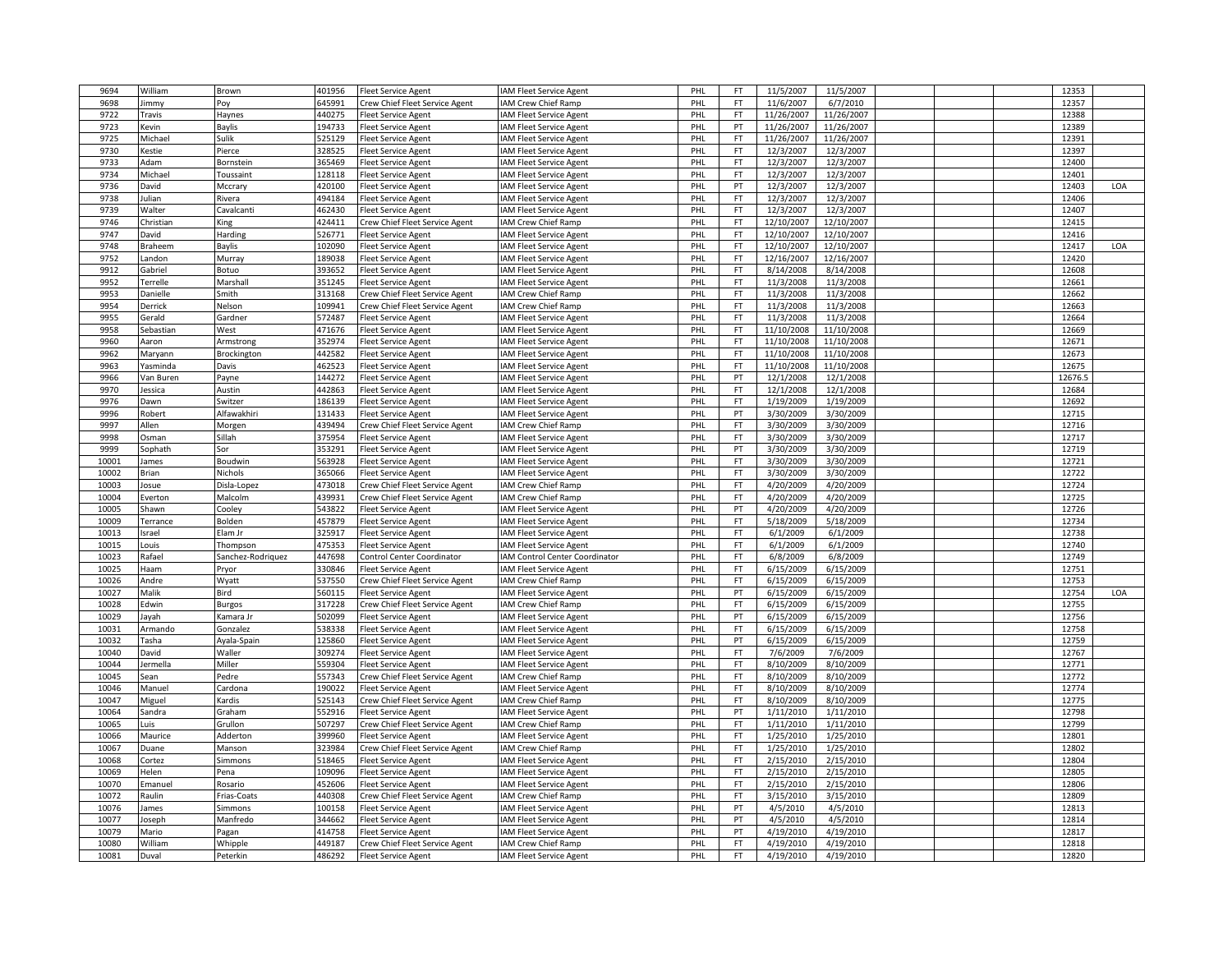| 9694  | William        | Brown                      | 401956 | <b>Fleet Service Agent</b>     | <b>IAM Fleet Service Agent</b>        | PHL | FT        | 11/5/2007  | 11/5/2007  |  | 12353   |     |
|-------|----------------|----------------------------|--------|--------------------------------|---------------------------------------|-----|-----------|------------|------------|--|---------|-----|
| 9698  | immy           | Pov                        | 645991 | Crew Chief Fleet Service Agent | AM Crew Chief Ramp                    | PHI | FT        | 11/6/2007  | 6/7/2010   |  | 12357   |     |
| 9722  | ravis          | Haynes                     | 440275 | Fleet Service Agent            | AM Fleet Service Agent                | PHL | <b>FT</b> | 11/26/2007 | 11/26/2007 |  | 12388   |     |
| 9723  | Kevin          | Baylis                     | 194733 | <b>Fleet Service Agent</b>     | <b>IAM Fleet Service Agent</b>        | PHL | PT        | 11/26/2007 | 11/26/2007 |  | 12389   |     |
| 9725  | Michael        | Sulik                      | 525129 | <b>Fleet Service Agent</b>     | AM Fleet Service Agent                | PHI | <b>FT</b> | 11/26/2007 | 11/26/2007 |  | 12391   |     |
| 9730  | estie          | Pierce                     | 328525 | Fleet Service Agent            | AM Fleet Service Agent                | PHL | <b>FT</b> | 12/3/2007  | 12/3/2007  |  | 12397   |     |
| 9733  | Adam           | Bornstein                  | 365469 | <b>Fleet Service Agent</b>     | AM Fleet Service Agent                | PHL | <b>FT</b> | 12/3/2007  | 12/3/2007  |  | 12400   |     |
| 9734  | Michael        | Toussaint                  | 128118 | <b>Fleet Service Agent</b>     | AM Fleet Service Agent                | PHI | <b>FT</b> | 12/3/2007  | 12/3/2007  |  | 12401   |     |
| 9736  | David          | Mccrary                    | 420100 | <b>Fleet Service Agent</b>     | AM Fleet Service Agent                | PHI | PT        | 12/3/2007  | 12/3/2007  |  | 12403   | LOA |
| 9738  | ulian          | Rivera                     | 494184 | <b>Fleet Service Agent</b>     | AM Fleet Service Agent                | PHL | <b>FT</b> | 12/3/2007  | 12/3/2007  |  | 12406   |     |
| 9739  | Walter         | Cavalcanti                 | 462430 | <b>Fleet Service Agent</b>     | <b>IAM Fleet Service Agent</b>        | PHI | <b>FT</b> | 12/3/2007  | 12/3/2007  |  | 12407   |     |
|       |                |                            | 424411 |                                |                                       |     | FT        | 12/10/2007 | 12/10/2007 |  |         |     |
| 9746  | Christian      | King                       |        | Crew Chief Fleet Service Agent | IAM Crew Chief Ramp                   | PHI |           |            |            |  | 12415   |     |
| 9747  | David          | Harding                    | 526771 | <b>Fleet Service Agent</b>     | AM Fleet Service Agent                | PHL | <b>FT</b> | 12/10/2007 | 12/10/2007 |  | 12416   |     |
| 9748  | Braheem        | Baylis                     | 102090 | <b>Fleet Service Agent</b>     | <b>IAM Fleet Service Agent</b>        | PHL | <b>FT</b> | 12/10/2007 | 12/10/2007 |  | 12417   | LOA |
| 9752  | andon          | Murray                     | 189038 | <b>Fleet Service Agent</b>     | <b>AM Fleet Service Agent</b>         | PHL | <b>FT</b> | 12/16/2007 | 12/16/2007 |  | 12420   |     |
| 9912  | Gabriel        | Botuo                      | 393652 | <b>Fleet Service Agent</b>     | AM Fleet Service Agent                | PHL | <b>FT</b> | 8/14/2008  | 8/14/2008  |  | 12608   |     |
| 9952  | Terrelle       | Marshal                    | 351245 | <b>Fleet Service Agent</b>     | AM Fleet Service Agent                | PHL | <b>FT</b> | 11/3/2008  | 11/3/2008  |  | 12661   |     |
| 9953  | Danielle       | Smith                      | 313168 | Crew Chief Fleet Service Agent | IAM Crew Chief Ramp                   | PHL | <b>FT</b> | 11/3/2008  | 11/3/2008  |  | 12662   |     |
| 9954  | Derrick        | Nelson                     | 109941 | Crew Chief Fleet Service Agent | <b>IAM Crew Chief Ramp</b>            | PHI | <b>FT</b> | 11/3/2008  | 11/3/2008  |  | 12663   |     |
| 9955  | Gerald         | Gardner                    | 572487 | Fleet Service Agent            | AM Fleet Service Agent                | PHL | <b>FT</b> | 11/3/2008  | 11/3/2008  |  | 12664   |     |
| 9958  | Sebastiar      | West                       | 471676 | <b>Fleet Service Agent</b>     | <b>IAM Fleet Service Agent</b>        | PHL | <b>FT</b> | 11/10/2008 | 11/10/2008 |  | 12669   |     |
| 9960  | Aaron          | Armstrong                  | 352974 | <b>Fleet Service Agent</b>     | AM Fleet Service Agent                | PHL | <b>FT</b> | 11/10/2008 | 11/10/2008 |  | 12671   |     |
| 9962  | Maryann        | Brockington                | 442582 | Fleet Service Agent            | AM Fleet Service Agent                | PHL | <b>FT</b> | 11/10/2008 | 11/10/2008 |  | 12673   |     |
| 9963  | Yasminda       | Davis                      | 462523 | <b>Fleet Service Agent</b>     | AM Fleet Service Agent                | PHL | <b>FT</b> | 11/10/2008 | 11/10/2008 |  | 12675   |     |
| 9966  | an Buren       | Payne                      | 144272 | Fleet Service Agent            | AM Fleet Service Agent                | PHI | PT        | 12/1/2008  | 12/1/2008  |  | 12676.5 |     |
| 9970  | essica         | Austin                     | 442863 | Fleet Service Agent            | AM Fleet Service Agent                | PHL | <b>FT</b> | 12/1/2008  | 12/1/2008  |  | 12684   |     |
| 9976  | Dawn           | Switzer                    | 186139 | <b>Fleet Service Agent</b>     | <b>IAM Fleet Service Agent</b>        | PHL | FT        | 1/19/2009  | 1/19/2009  |  | 12692   |     |
| 9996  | Robert         | Alfawakhir                 | 131433 | <b>Fleet Service Agent</b>     | <b>IAM Fleet Service Agent</b>        | PHL | PT        | 3/30/2009  | 3/30/2009  |  | 12715   |     |
| 9997  | Allen          | Morgen                     | 439494 | Crew Chief Fleet Service Agent | AM Crew Chief Ramp                    | PHI | FT        | 3/30/2009  | 3/30/2009  |  | 12716   |     |
| 9998  | Osman          | Sillah                     | 375954 | Fleet Service Agent            | AM Fleet Service Agent                | PHL | <b>FT</b> | 3/30/2009  | 3/30/2009  |  | 12717   |     |
| 9999  | Sophath        | Sor                        | 353291 | <b>Fleet Service Agent</b>     | <b>IAM Fleet Service Agent</b>        | PHL | PT        | 3/30/2009  | 3/30/2009  |  | 12719   |     |
| 10001 | James          | Boudwin                    | 563928 | <b>Fleet Service Agent</b>     | AM Fleet Service Agent                | PHI | FT        | 3/30/2009  | 3/30/2009  |  | 12721   |     |
| 10002 | Brian          | Nichols                    | 365066 | <b>Fleet Service Agent</b>     | <b>IAM Fleet Service Agent</b>        | PHL | <b>FT</b> | 3/30/2009  | 3/30/2009  |  | 12722   |     |
| 10003 | Josue          | Disla-Lopez                | 473018 | Crew Chief Fleet Service Agent | AM Crew Chief Ramp                    | PHL | FT        | 4/20/2009  | 4/20/2009  |  | 12724   |     |
| 10004 | Everton        | Malcolm                    | 439931 | Crew Chief Fleet Service Agent | IAM Crew Chief Ramp                   | PHL | <b>FT</b> | 4/20/2009  | 4/20/2009  |  | 12725   |     |
| 10005 | Shawn          | Cooley                     | 543822 | <b>Fleet Service Agent</b>     | IAM Fleet Service Agent               | PHI | PT        | 4/20/2009  | 4/20/2009  |  | 12726   |     |
| 10009 | Terrance       | Bolden                     | 457879 | Fleet Service Agent            | AM Fleet Service Agent                | PHL | <b>FT</b> | 5/18/2009  | 5/18/2009  |  | 12734   |     |
| 10013 | Israel         | Elam Jr                    | 325917 | <b>Fleet Service Agent</b>     | <b>IAM Fleet Service Agent</b>        | PHI | <b>FT</b> | 6/1/2009   | 6/1/2009   |  | 12738   |     |
| 10015 | Louis          | Thompson                   | 475353 | Fleet Service Agent            | AM Fleet Service Agent                | PHI | <b>FT</b> | 6/1/2009   | 6/1/2009   |  | 12740   |     |
| 10023 | Rafael         | Sanchez-Rodriquez          | 447698 | Control Center Coordinator     | <b>IAM Control Center Coordinator</b> | PHL | <b>FT</b> | 6/8/2009   | 6/8/2009   |  | 12749   |     |
| 10025 | Haam           | Pryor                      | 330846 | Fleet Service Agent            | AM Fleet Service Agent                | PHL | <b>FT</b> | 6/15/2009  | 6/15/2009  |  | 12751   |     |
| 10026 | Andre          | Wyatt                      | 537550 | Crew Chief Fleet Service Agent | AM Crew Chief Ramp                    | PHI | <b>FT</b> | 6/15/2009  | 6/15/2009  |  | 12753   |     |
| 10027 | Malik          | Bird                       | 560115 | <b>Fleet Service Agent</b>     | AM Fleet Service Agent                | PHI | PT        | 6/15/2009  | 6/15/2009  |  | 12754   | LOA |
| 10028 |                |                            | 317228 | Crew Chief Fleet Service Agent | IAM Crew Chief Ramp                   | PHL | <b>FT</b> | 6/15/2009  | 6/15/2009  |  | 12755   |     |
| 10029 | Edwin<br>Jayah | <b>Burgos</b><br>Kamara Jr | 502099 | <b>Fleet Service Agent</b>     | <b>IAM Fleet Service Agent</b>        | PHL | PT        | 6/15/2009  | 6/15/2009  |  | 12756   |     |
| 10031 | Armando        | Gonzalez                   | 538338 | Fleet Service Agent            | AM Fleet Service Agent                | PHI | <b>FT</b> | 6/15/2009  | 6/15/2009  |  | 12758   |     |
| 10032 | Tasha          |                            | 125860 |                                |                                       | PHL | PT        | 6/15/2009  | 6/15/2009  |  | 12759   |     |
|       |                | Ayala-Spain                |        | Fleet Service Agent            | AM Fleet Service Agent                |     |           |            |            |  |         |     |
| 10040 | David          | Waller                     | 309274 | <b>Fleet Service Agent</b>     | AM Fleet Service Agent                | PHL | FT        | 7/6/2009   | 7/6/2009   |  | 12767   |     |
| 10044 | lermella       | Miller                     | 559304 | <b>Fleet Service Agent</b>     | AM Fleet Service Agent                | PHI | <b>FT</b> | 8/10/2009  | 8/10/2009  |  | 12771   |     |
| 10045 | Sean           | Pedre                      | 557343 | Crew Chief Fleet Service Agent | AM Crew Chief Ramp                    | PHL | <b>FT</b> | 8/10/2009  | 8/10/2009  |  | 12772   |     |
| 10046 | Manuel         | Cardona                    | 190022 | <b>Fleet Service Agent</b>     | AM Fleet Service Agent                | PHL | <b>FT</b> | 8/10/2009  | 8/10/2009  |  | 12774   |     |
| 10047 | Miguel         | Kardis                     | 525143 | Crew Chief Fleet Service Agent | <b>IAM Crew Chief Ramp</b>            | PHI | <b>FT</b> | 8/10/2009  | 8/10/2009  |  | 12775   |     |
| 10064 | Sandra         | Graham                     | 552916 | Fleet Service Agent            | IAM Fleet Service Agent               | PHI | PT        | 1/11/2010  | 1/11/2010  |  | 12798   |     |
| 10065 | uis.           | Grullon                    | 507297 | Crew Chief Fleet Service Agent | <b>IAM Crew Chief Ramp</b>            | PHL | <b>FT</b> | 1/11/2010  | 1/11/2010  |  | 12799   |     |
| 10066 | Maurice        | Addertor                   | 399960 | <b>Fleet Service Agent</b>     | <b>IAM Fleet Service Agent</b>        | PHL | FT        | 1/25/2010  | 1/25/2010  |  | 12801   |     |
| 10067 | Duane          | Manson                     | 323984 | Crew Chief Fleet Service Agent | AM Crew Chief Ramp                    | PHI | FT        | 1/25/2010  | 1/25/2010  |  | 12802   |     |
| 10068 | Cortez         | Simmons                    | 518465 | <b>Fleet Service Agent</b>     | AM Fleet Service Agent                | PHL | <b>FT</b> | 2/15/2010  | 2/15/2010  |  | 12804   |     |
| 10069 | Helen          | Pena                       | 109096 | <b>Fleet Service Agent</b>     | AM Fleet Service Agent                | PHL | <b>FT</b> | 2/15/2010  | 2/15/2010  |  | 12805   |     |
| 10070 | Emanuel        | Rosario                    | 452606 | <b>Fleet Service Agent</b>     | <b>IAM Fleet Service Agent</b>        | PHI | <b>FT</b> | 2/15/2010  | 2/15/2010  |  | 12806   |     |
| 10072 | Raulin         | Frias-Coats                | 440308 | Crew Chief Fleet Service Agent | IAM Crew Chief Ramp                   | PHI | <b>FT</b> | 3/15/2010  | 3/15/2010  |  | 12809   |     |
| 10076 | ames           | Simmons                    | 100158 | <b>Fleet Service Agent</b>     | <b>IAM Fleet Service Agent</b>        | PHL | PT        | 4/5/2010   | 4/5/2010   |  | 12813   |     |
| 10077 | Joseph         | Manfredo                   | 344662 | <b>Fleet Service Agent</b>     | <b>IAM Fleet Service Agent</b>        | PHL | PT        | 4/5/2010   | 4/5/2010   |  | 12814   |     |
| 10079 | Mario          | Pagan                      | 414758 | Fleet Service Agent            | AM Fleet Service Agent                | PHL | PT        | 4/19/2010  | 4/19/2010  |  | 12817   |     |
| 10080 | William        | Whipple                    | 449187 | Crew Chief Fleet Service Agent | AM Crew Chief Ramp                    | PHL | <b>FT</b> | 4/19/2010  | 4/19/2010  |  | 12818   |     |
| 10081 | Duval          | Peterkin                   | 486292 | <b>Fleet Service Agent</b>     | IAM Fleet Service Agent               | PHL | FT        | 4/19/2010  | 4/19/2010  |  | 12820   |     |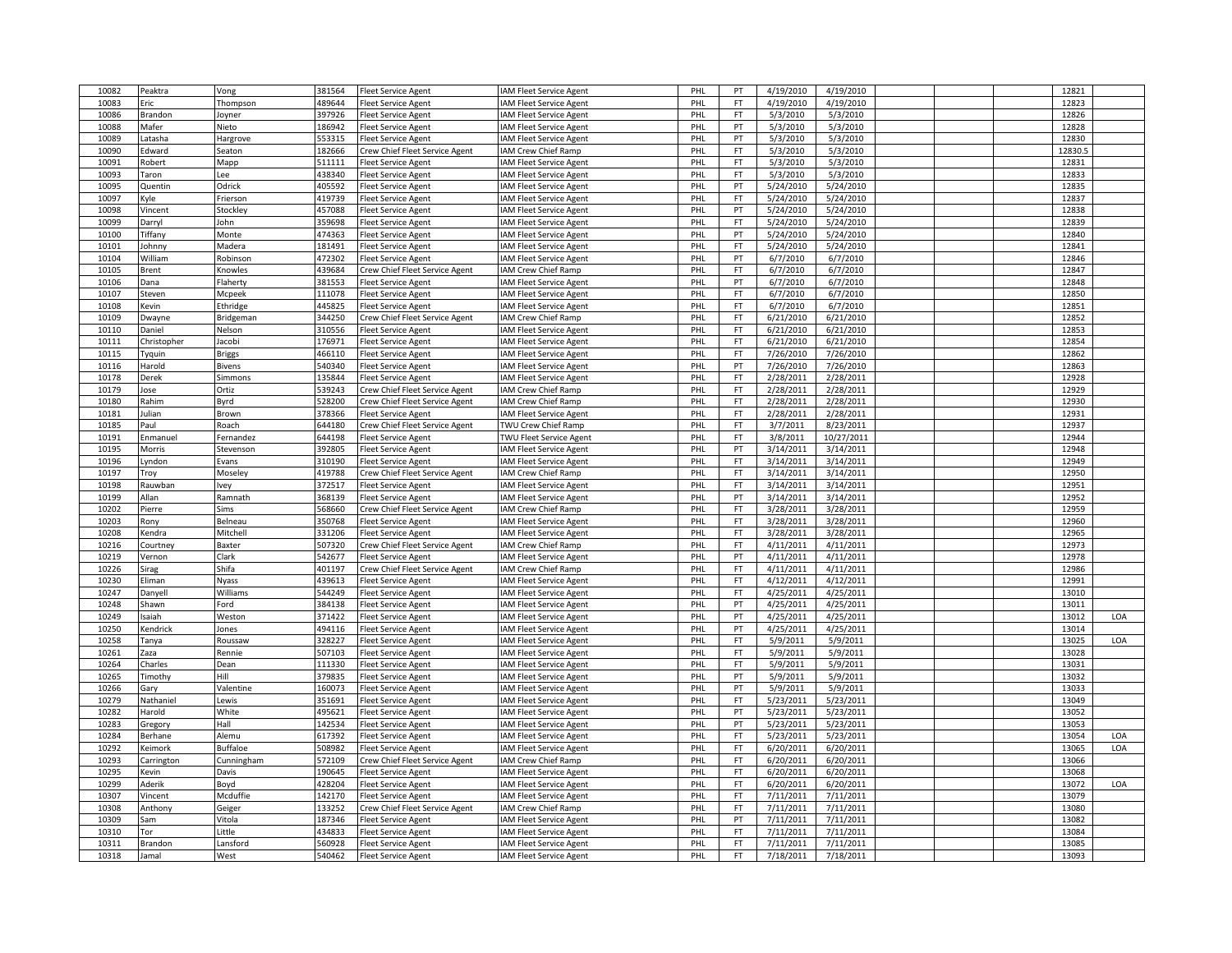| 10082 | Peaktra        | Vong            | 381564           | <b>Fleet Service Agent</b>     | <b>AM Fleet Service Agent</b>  | PHL | PT               | 4/19/2010 | 4/19/2010  |  | 12821   |     |
|-------|----------------|-----------------|------------------|--------------------------------|--------------------------------|-----|------------------|-----------|------------|--|---------|-----|
| 10083 | Eric           | Thompson        | 489644           | leet Service Agent             | <b>AM Fleet Service Agent</b>  | PHL | <b>FT</b>        | 4/19/2010 | 4/19/2010  |  | 12823   |     |
| 10086 | Brandon        | Joyner          | 397926           | Fleet Service Agent            | <b>IAM Fleet Service Agent</b> | PHL | <b>FT</b>        | 5/3/2010  | 5/3/2010   |  | 12826   |     |
| 10088 | Mafer          | Nieto           | 186942           | Fleet Service Agent            | <b>AM Fleet Service Agent</b>  | PHL | PT               | 5/3/2010  | 5/3/2010   |  | 12828   |     |
| 10089 | .atasha        | Hargrove        | 553315           | leet Service Agent             | <b>AM Fleet Service Agent</b>  | PHL | PT               | 5/3/2010  | 5/3/2010   |  | 12830   |     |
| 10090 | Edward         |                 | 182666           |                                |                                | PHL | FT.              | 5/3/2010  | 5/3/2010   |  | 12830.5 |     |
|       |                | Seaton          |                  | Crew Chief Fleet Service Agent | <b>AM Crew Chief Ramp</b>      |     |                  |           |            |  |         |     |
| 10091 | Robert         | Mapp            | 511111           | <b>Fleet Service Agent</b>     | <b>AM Fleet Service Agent</b>  | PHL | FT               | 5/3/2010  | 5/3/2010   |  | 12831   |     |
| 10093 | Taron          | Lee             | 438340           | Fleet Service Agent            | <b>AM Fleet Service Agent</b>  | PHL | FT               | 5/3/2010  | 5/3/2010   |  | 12833   |     |
| 10095 | Quentin        | Odrick          | 405592           | leet Service Agent             | <b>IAM Fleet Service Agent</b> | PHL | PT               | 5/24/2010 | 5/24/2010  |  | 12835   |     |
| 10097 | Kyle           | Frierson        | 419739           | leet Service Agent             | <b>IAM Fleet Service Agent</b> | PHL | FT               | 5/24/2010 | 5/24/2010  |  | 12837   |     |
| 10098 | Vincent        | Stockley        | 457088           | Fleet Service Agent            | <b>AM Fleet Service Agent</b>  | PHL | PT               | 5/24/2010 | 5/24/2010  |  | 12838   |     |
| 10099 | Darryl         | John            | 359698           | leet Service Agent             | AM Fleet Service Agent         | PHL | FT               | 5/24/2010 | 5/24/2010  |  | 12839   |     |
| 10100 | <b>Tiffany</b> | Monte           | 474363           | leet Service Agent             | AM Fleet Service Agent         | PHL | PT               | 5/24/2010 | 5/24/2010  |  | 12840   |     |
| 10101 | Johnny         | Madera          | 181491           | <b>Fleet Service Agent</b>     | <b>AM Fleet Service Agent</b>  | PHL | FT.              | 5/24/2010 | 5/24/2010  |  | 12841   |     |
| 10104 | William        | Robinson        | 472302           | <b>Fleet Service Agent</b>     | <b>AM Fleet Service Agent</b>  | PHL | PT               | 6/7/2010  | 6/7/2010   |  | 12846   |     |
| 10105 | Brent          | Knowles         | 439684           | Crew Chief Fleet Service Agent | <b>IAM Crew Chief Ramp</b>     | PHL | FT               | 6/7/2010  | 6/7/2010   |  | 12847   |     |
| 10106 | Dana           | Flaherty        | 381553           | <b>Fleet Service Agent</b>     | <b>IAM Fleet Service Agent</b> | PHL | PT               | 6/7/2010  | 6/7/2010   |  | 12848   |     |
| 10107 | Steven         | Mcpeek          | 111078           | <b>Fleet Service Agent</b>     | <b>IAM Fleet Service Agent</b> | PHL | FT               | 6/7/2010  | 6/7/2010   |  | 12850   |     |
| 10108 | Kevin          | Ethridge        | 445825           | Fleet Service Agent            | <b>AM Fleet Service Agent</b>  | PHL | FT.              | 6/7/2010  | 6/7/2010   |  | 12851   |     |
| 10109 | Dwayne         | Bridgeman       | 344250           | Crew Chief Fleet Service Agent | AM Crew Chief Ramp             | PHL | FT.              | 6/21/2010 | 6/21/2010  |  | 12852   |     |
| 10110 | Daniel         | Nelson          | 310556           | <b>Fleet Service Agent</b>     | <b>AM Fleet Service Agent</b>  | PHL | FT               | 6/21/2010 | 6/21/2010  |  | 12853   |     |
| 10111 | Christopher    | Jacobi          | 176971           | leet Service Agent             | <b>AM Fleet Service Agent</b>  | PHL | FT               | 6/21/2010 | 6/21/2010  |  | 12854   |     |
| 10115 | Tyquin         | <b>Briggs</b>   | 466110           | Fleet Service Agent            | AM Fleet Service Agent         | PHL | <b>FT</b>        | 7/26/2010 | 7/26/2010  |  | 12862   |     |
| 10116 | Harold         | Bivens          | 540340           | Fleet Service Agent            | <b>IAM Fleet Service Agent</b> | PHL | PT               | 7/26/2010 | 7/26/2010  |  | 12863   |     |
|       |                |                 | 135844           |                                |                                | PHL | FT               |           |            |  | 12928   |     |
| 10178 | Derek          | Simmons         |                  | leet Service Agent             | <b>AM Fleet Service Agent</b>  |     |                  | 2/28/2011 | 2/28/2011  |  |         |     |
| 10179 | lose           | Ortiz           | 539243           | Crew Chief Fleet Service Agent | <b>AM Crew Chief Ramp</b>      | PHL | FT               | 2/28/2011 | 2/28/2011  |  | 12929   |     |
| 10180 | Rahim          | Byrd            | 528200           | Crew Chief Fleet Service Agent | <b>AM Crew Chief Ramp</b>      | PHL | FT               | 2/28/2011 | 2/28/2011  |  | 12930   |     |
| 10181 | Julian         | Brown           | 378366           | <b>Fleet Service Agent</b>     | <b>AM Fleet Service Agent</b>  | PHL | FT               | 2/28/2011 | 2/28/2011  |  | 12931   |     |
| 10185 | Paul           | Roach           | 644180           | Crew Chief Fleet Service Agent | <b>TWU Crew Chief Ramp</b>     | PHL | FT               | 3/7/2011  | 8/23/2011  |  | 12937   |     |
| 10191 | Enmanuel       | Fernandez       | 644198           | Fleet Service Agent            | <b>TWU Fleet Service Agent</b> | PHL | <b>FT</b>        | 3/8/2011  | 10/27/2011 |  | 12944   |     |
| 10195 | Morris         | Stevenson       | 392805           | <b>Fleet Service Agent</b>     | <b>AM Fleet Service Agent</b>  | PHL | PT               | 3/14/2011 | 3/14/2011  |  | 12948   |     |
| 10196 | Lyndon         | Evans           | 310190           | leet Service Agent             | <b>AM Fleet Service Agent</b>  | PHL | FT               | 3/14/2011 | 3/14/2011  |  | 12949   |     |
| 10197 | Troy           | Moseley         | 419788           | Crew Chief Fleet Service Agent | <b>AM Crew Chief Ramp</b>      | PHL | FT.              | 3/14/2011 | 3/14/2011  |  | 12950   |     |
| 10198 | Rauwban        | Ivey            | 372517           | Fleet Service Agent            | <b>AM Fleet Service Agent</b>  | PHL | FT.              | 3/14/2011 | 3/14/2011  |  | 12951   |     |
| 10199 | Allan          | Ramnath         | 368139           | <b>Fleet Service Agent</b>     | <b>AM Fleet Service Agent</b>  | PHL | PT               | 3/14/2011 | 3/14/2011  |  | 12952   |     |
| 10202 | Pierre         | Sims            | 568660           | Crew Chief Fleet Service Agent | <b>AM Crew Chief Ramp</b>      | PHL | FT               | 3/28/2011 | 3/28/2011  |  | 12959   |     |
| 10203 | Rony           | Belneau         | 350768           | leet Service Agent             | <b>AM Fleet Service Agent</b>  | PHL | FT               | 3/28/2011 | 3/28/2011  |  | 12960   |     |
| 10208 | Kendra         | Mitchel         | 331206           | Fleet Service Agent            | <b>AM Fleet Service Agent</b>  | PHL | FT               | 3/28/2011 | 3/28/2011  |  | 12965   |     |
| 10216 | Courtney       | Baxter          | 507320           | Crew Chief Fleet Service Agent | <b>IAM Crew Chief Ramp</b>     | PHL | FT               | 4/11/2011 | 4/11/2011  |  | 12973   |     |
| 10219 | Vernon         | Clark           | 542677           | leet Service Agent             | <b>AM Fleet Service Agent</b>  | PHL | PT               | 4/11/2011 | 4/11/2011  |  | 12978   |     |
| 10226 | Sirag          | Shifa           | 401197           | Crew Chief Fleet Service Agent | <b>IAM Crew Chief Ramp</b>     | PHL | FT.              | 4/11/2011 | 4/11/2011  |  | 12986   |     |
| 10230 | Eliman         | Nyass           | 439613           | <b>Fleet Service Agent</b>     | AM Fleet Service Agent         | PHL | FT               | 4/12/2011 | 4/12/2011  |  | 12991   |     |
| 10247 | Danyell        | Williams        | 544249           | Fleet Service Agent            | <b>AM Fleet Service Agent</b>  | PHL | FT               | 4/25/2011 | 4/25/2011  |  | 13010   |     |
| 10248 | Shawn          | Ford            | 384138           | Fleet Service Agent            | <b>AM Fleet Service Agent</b>  | PHL | PT               | 4/25/2011 | 4/25/2011  |  | 13011   |     |
| 10249 | saiah          | Weston          | 371422           | Fleet Service Agent            | <b>IAM Fleet Service Agent</b> | PHL | PT               | 4/25/2011 | 4/25/2011  |  | 13012   | LOA |
| 10250 | Kendrick       | Jones           | 494116           | leet Service Agent             | <b>IAM Fleet Service Agent</b> | PHL | PT               | 4/25/2011 | 4/25/2011  |  | 13014   |     |
| 10258 | Tanya          | Roussaw         | 328227           | leet Service Agent             | <b>AM Fleet Service Agent</b>  | PHL | FT               | 5/9/2011  | 5/9/2011   |  | 13025   | LOA |
|       |                |                 |                  |                                |                                |     |                  |           |            |  |         |     |
| 10261 | Zaza           | Rennie          | 507103<br>111330 | <b>Fleet Service Agent</b>     | <b>AM Fleet Service Agent</b>  | PHL | FT.<br><b>FT</b> | 5/9/2011  | 5/9/2011   |  | 13028   |     |
| 10264 | Charles        | Dean            |                  | <b>Fleet Service Agent</b>     | AM Fleet Service Agent         | PHL |                  | 5/9/2011  | 5/9/2011   |  | 13031   |     |
| 10265 | Timothy        | Hill            | 379835           | Fleet Service Agent            | AM Fleet Service Agent         | PHL | PT               | 5/9/2011  | 5/9/2011   |  | 13032   |     |
| 10266 | Gary           | Valentine       | 160073           | Fleet Service Agent            | <b>AM Fleet Service Agent</b>  | PHL | PT               | 5/9/2011  | 5/9/2011   |  | 13033   |     |
| 10279 | Nathaniel      | Lewis           | 351691           | Fleet Service Agent            | <b>AM Fleet Service Agent</b>  | PHL | FT.              | 5/23/2011 | 5/23/2011  |  | 13049   |     |
| 10282 | Harold         | White           | 495621           | leet Service Agent             | <b>IAM Fleet Service Agent</b> | PHL | PT               | 5/23/2011 | 5/23/2011  |  | 13052   |     |
| 10283 | Gregory        | Hall            | 142534           | leet Service Agent             | <b>AM Fleet Service Agent</b>  | PHL | PT               | 5/23/2011 | 5/23/2011  |  | 13053   |     |
| 10284 | Berhane        | Alemu           | 617392           | Fleet Service Agent            | <b>IAM Fleet Service Agent</b> | PHL | FT               | 5/23/2011 | 5/23/2011  |  | 13054   | LOA |
| 10292 | Keimork        | <b>Buffaloe</b> | 508982           | leet Service Agent             | AM Fleet Service Agent         | PHL | <b>FT</b>        | 6/20/2011 | 6/20/2011  |  | 13065   | LOA |
| 10293 | Carrington     | Cunningham      | 572109           | Crew Chief Fleet Service Agent | <b>AM Crew Chief Ramp</b>      | PHL | FT               | 6/20/2011 | 6/20/2011  |  | 13066   |     |
| 10295 | Kevin          | Davis           | 190645           | Fleet Service Agent            | <b>AM Fleet Service Agent</b>  | PHL | FT               | 6/20/2011 | 6/20/2011  |  | 13068   |     |
| 10299 | Aderik         | Boyd            | 428204           | Fleet Service Agent            | AM Fleet Service Agent         | PHL | FT               | 6/20/2011 | 6/20/2011  |  | 13072   | LOA |
| 10307 | Vincent        | Mcduffie        | 142170           | leet Service Agent             | <b>IAM Fleet Service Agent</b> | PHL | FT               | 7/11/2011 | 7/11/2011  |  | 13079   |     |
| 10308 | Anthony        | Geiger          | 133252           | Crew Chief Fleet Service Agent | <b>AM Crew Chief Ramp</b>      | PHL | <b>FT</b>        | 7/11/2011 | 7/11/2011  |  | 13080   |     |
| 10309 | Sam            | Vitola          | 187346           | <b>Fleet Service Agent</b>     | <b>IAM Fleet Service Agent</b> | PHL | PT               | 7/11/2011 | 7/11/2011  |  | 13082   |     |
| 10310 | Tor            | Little          | 434833           | leet Service Agent             | <b>AM Fleet Service Agent</b>  | PHL | <b>FT</b>        | 7/11/2011 | 7/11/2011  |  | 13084   |     |
| 10311 | Brandon        | Lansford        | 560928           | Fleet Service Agent            | AM Fleet Service Agent         | PHL | FT.              | 7/11/2011 | 7/11/2011  |  | 13085   |     |
| 10318 | Jamal          | West            | 540462           | <b>Fleet Service Agent</b>     | <b>IAM Fleet Service Agent</b> | PHL | FT.              | 7/18/2011 | 7/18/2011  |  | 13093   |     |
|       |                |                 |                  |                                |                                |     |                  |           |            |  |         |     |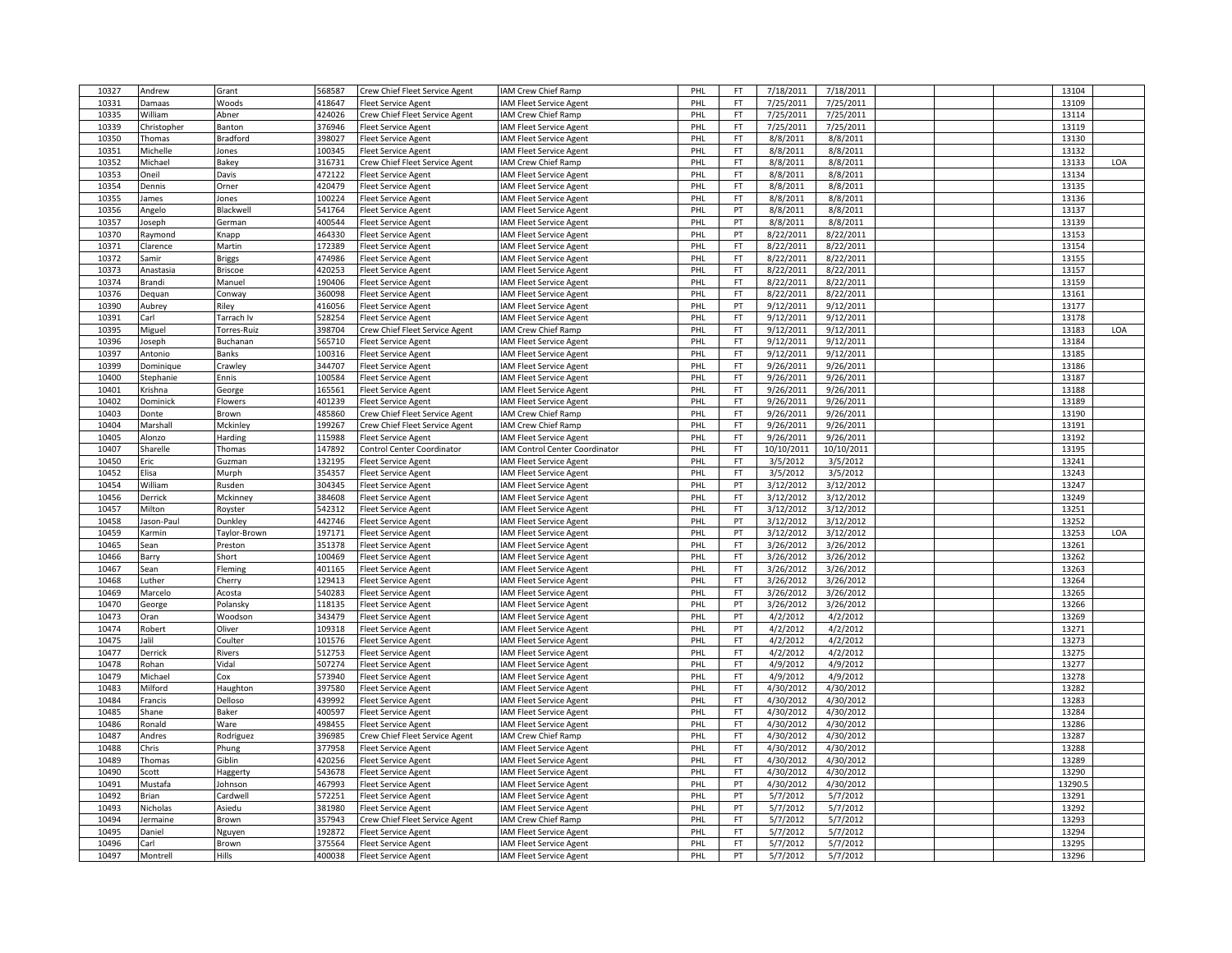| 10327 | Andrew               | Grant           | 568587 | Crew Chief Fleet Service Agent                           | IAM Crew Chief Ramp            | PHL | FT                     | 7/18/2011  | 7/18/2011  |  | 13104   |     |
|-------|----------------------|-----------------|--------|----------------------------------------------------------|--------------------------------|-----|------------------------|------------|------------|--|---------|-----|
| 10331 | Damaas               | Woods           | 418647 | <b>Fleet Service Agent</b>                               | <b>IAM Fleet Service Agent</b> | PHI | FT                     | 7/25/2011  | 7/25/2011  |  | 13109   |     |
| 10335 | William              | Abner           | 424026 | Crew Chief Fleet Service Agent                           | <b>IAM Crew Chief Ramp</b>     | PHL | <b>FT</b>              | 7/25/2011  | 7/25/2011  |  | 13114   |     |
| 10339 | Christopher          | Banton          | 376946 | <b>Fleet Service Agent</b>                               | IAM Fleet Service Agent        | PHL | <b>FT</b>              | 7/25/2011  | 7/25/2011  |  | 13119   |     |
| 10350 | Thomas               | <b>Bradford</b> | 398027 | <b>Fleet Service Agent</b>                               | IAM Fleet Service Agent        | PHL | <b>FT</b>              | 8/8/2011   | 8/8/2011   |  | 13130   |     |
| 10351 | Michelle             | Jones           | 100345 | <b>Fleet Service Agent</b>                               | <b>IAM Fleet Service Agent</b> | PHL | <b>FT</b>              | 8/8/2011   | 8/8/2011   |  | 13132   |     |
| 10352 | Michael              | Bakey           | 316731 | Crew Chief Fleet Service Agent                           | IAM Crew Chief Ramp            | PHL | FT                     | 8/8/2011   | 8/8/2011   |  | 13133   | LOA |
|       |                      |                 | 472122 |                                                          |                                | PHL | <b>FT</b>              |            |            |  | 13134   |     |
| 10353 | Oneil                | Davis           |        | <b>Fleet Service Agent</b>                               | <b>IAM Fleet Service Agent</b> |     |                        | 8/8/2011   | 8/8/2011   |  |         |     |
| 10354 | Dennis               | Orner           | 420479 | <b>Fleet Service Agent</b>                               | <b>IAM Fleet Service Agent</b> | PHL | <b>FT</b><br><b>FT</b> | 8/8/2011   | 8/8/2011   |  | 13135   |     |
| 10355 | James                | Jones           | 100224 | <b>Fleet Service Agent</b>                               | <b>IAM Fleet Service Agent</b> | PHL |                        | 8/8/2011   | 8/8/2011   |  | 13136   |     |
| 10356 | Angelo               | Blackwel        | 541764 | <b>Fleet Service Agent</b>                               | <b>IAM Fleet Service Agent</b> | PHL | PT                     | 8/8/2011   | 8/8/2011   |  | 13137   |     |
| 10357 | Joseph               | German          | 400544 | <b>Fleet Service Agent</b>                               | <b>IAM Fleet Service Agent</b> | PHL | PT                     | 8/8/2011   | 8/8/2011   |  | 13139   |     |
| 10370 | Raymond              | Knapp           | 464330 | <b>Fleet Service Agent</b>                               | <b>IAM Fleet Service Agent</b> | PHL | PT                     | 8/22/2011  | 8/22/2011  |  | 13153   |     |
| 10371 | Clarence             | Martin          | 172389 | <b>Fleet Service Agent</b>                               | <b>IAM Fleet Service Agent</b> | PHL | FT                     | 8/22/2011  | 8/22/2011  |  | 13154   |     |
| 10372 | Samir                | <b>Briggs</b>   | 474986 | <b>Fleet Service Agent</b>                               | IAM Fleet Service Agent        | PHL | <b>FT</b>              | 8/22/2011  | 8/22/2011  |  | 13155   |     |
| 10373 | Anastasia            | <b>Briscoe</b>  | 420253 | <b>Fleet Service Agent</b>                               | <b>IAM Fleet Service Agent</b> | PHL | <b>FT</b>              | 8/22/2011  | 8/22/2011  |  | 13157   |     |
| 10374 | Brandi               | Manuel          | 190406 | <b>Fleet Service Agent</b>                               | <b>IAM Fleet Service Agent</b> | PHL | <b>FT</b>              | 8/22/2011  | 8/22/2011  |  | 13159   |     |
| 10376 | Dequan               | Conway          | 360098 | <b>Fleet Service Agent</b>                               | IAM Fleet Service Agent        | PHL | <b>FT</b>              | 8/22/2011  | 8/22/2011  |  | 13161   |     |
| 10390 | Aubrey               | Riley           | 416056 | <b>Fleet Service Agent</b>                               | IAM Fleet Service Agent        | PHL | PT                     | 9/12/2011  | 9/12/2011  |  | 13177   |     |
| 10391 | Carl                 | Tarrach Iv      | 528254 | <b>Fleet Service Agent</b>                               | <b>IAM Fleet Service Agent</b> | PHL | FT                     | 9/12/2011  | 9/12/2011  |  | 13178   |     |
| 10395 | Miguel               | Torres-Ruiz     | 398704 | Crew Chief Fleet Service Agent                           | IAM Crew Chief Ramp            | PHL | <b>FT</b>              | 9/12/2011  | 9/12/2011  |  | 13183   | LOA |
| 10396 | Joseph               | Buchanan        | 565710 | <b>Fleet Service Agent</b>                               | IAM Fleet Service Agent        | PHL | FT                     | 9/12/2011  | 9/12/2011  |  | 13184   |     |
| 10397 | Antonio              | <b>Banks</b>    | 100316 | <b>Fleet Service Agent</b>                               | <b>IAM Fleet Service Agent</b> | PHL | <b>FT</b>              | 9/12/2011  | 9/12/2011  |  | 13185   |     |
| 10399 | Dominique            | Crawley         | 344707 | <b>Fleet Service Agent</b>                               | IAM Fleet Service Agent        | PHL | <b>FT</b>              | 9/26/2011  | 9/26/2011  |  | 13186   |     |
| 10400 | Stephanie            | Ennis           | 100584 | <b>Fleet Service Agent</b>                               | AM Fleet Service Agent         | PHI | <b>FT</b>              | 9/26/2011  | 9/26/2011  |  | 13187   |     |
| 10401 | Krishna              | George          | 165561 | <b>Fleet Service Agent</b>                               | <b>IAM Fleet Service Agent</b> | PHL | FT                     | 9/26/2011  | 9/26/2011  |  | 13188   |     |
| 10402 | Dominick             | Flowers         | 401239 | <b>Fleet Service Agent</b>                               | <b>IAM Fleet Service Agent</b> | PHL | FT                     | 9/26/2011  | 9/26/2011  |  | 13189   |     |
| 10403 | Donte                | Brown           | 485860 | Crew Chief Fleet Service Agent                           | IAM Crew Chief Ramp            | PHL | FT                     | 9/26/2011  | 9/26/2011  |  | 13190   |     |
| 10404 | Marshall             | Mckinley        | 199267 | Crew Chief Fleet Service Agent                           | IAM Crew Chief Ramp            | PHI | FT                     | 9/26/2011  | 9/26/2011  |  | 13191   |     |
| 10405 | Alonzo               | Harding         | 115988 | <b>Fleet Service Agent</b>                               | <b>IAM Fleet Service Agent</b> | PHL | <b>FT</b>              | 9/26/2011  | 9/26/2011  |  | 13192   |     |
| 10407 | Sharelle             | Thomas          | 147892 | <b>Control Center Coordinator</b>                        | IAM Control Center Coordinator | PHL | <b>FT</b>              | 10/10/2011 | 10/10/2011 |  | 13195   |     |
| 10450 | Eric                 | Guzman          | 132195 | <b>Fleet Service Agent</b>                               | IAM Fleet Service Agent        | PHL | <b>FT</b>              | 3/5/2012   | 3/5/2012   |  | 13241   |     |
| 10452 | Elisa                | Murph           | 354357 | <b>Fleet Service Agent</b>                               | IAM Fleet Service Agent        | PHL | <b>FT</b>              | 3/5/2012   | 3/5/2012   |  | 13243   |     |
| 10454 | William              | Rusden          | 304345 | <b>Fleet Service Agent</b>                               | <b>IAM Fleet Service Agent</b> | PHL | PT                     | 3/12/2012  | 3/12/2012  |  | 13247   |     |
| 10456 | Derrick              | Mckinney        | 384608 | <b>Fleet Service Agent</b>                               | <b>IAM Fleet Service Agent</b> | PHL | FT                     | 3/12/2012  | 3/12/2012  |  | 13249   |     |
| 10457 |                      |                 | 542312 |                                                          |                                | PHL | <b>FT</b>              | 3/12/2012  | 3/12/2012  |  | 13251   |     |
| 10458 | Milton<br>Jason-Paul | Royster         | 442746 | <b>Fleet Service Agent</b><br><b>Fleet Service Agent</b> | <b>IAM Fleet Service Agent</b> | PHL | PT                     | 3/12/2012  | 3/12/2012  |  | 13252   |     |
|       |                      | Dunkley         |        |                                                          | <b>IAM Fleet Service Agent</b> |     |                        |            |            |  |         |     |
| 10459 | Karmin               | Taylor-Brown    | 197171 | <b>Fleet Service Agent</b>                               | <b>IAM Fleet Service Agent</b> | PHL | PT                     | 3/12/2012  | 3/12/2012  |  | 13253   | LOA |
| 10465 | Sean                 | Preston         | 351378 | <b>Fleet Service Agent</b>                               | <b>IAM Fleet Service Agent</b> | PHI | FT                     | 3/26/2012  | 3/26/2012  |  | 13261   |     |
| 10466 | Barry                | Short           | 100469 | <b>Fleet Service Agent</b>                               | <b>IAM Fleet Service Agent</b> | PHL | <b>FT</b>              | 3/26/2012  | 3/26/2012  |  | 13262   |     |
| 10467 | Sean                 | Fleming         | 401165 | <b>Fleet Service Agent</b>                               | <b>IAM Fleet Service Agent</b> | PHL | FT.                    | 3/26/2012  | 3/26/2012  |  | 13263   |     |
| 10468 | Luther               | Cherry          | 129413 | <b>Fleet Service Agent</b>                               | <b>IAM</b> Fleet Service Agent | PHL | <b>FT</b>              | 3/26/2012  | 3/26/2012  |  | 13264   |     |
| 10469 | Marcelo              | Acosta          | 540283 | <b>Fleet Service Agent</b>                               | <b>IAM Fleet Service Agent</b> | PHL | <b>FT</b>              | 3/26/2012  | 3/26/2012  |  | 13265   |     |
| 10470 | George               | Polansky        | 118135 | <b>Fleet Service Agent</b>                               | <b>IAM Fleet Service Agent</b> | PHL | PT                     | 3/26/2012  | 3/26/2012  |  | 13266   |     |
| 10473 | Oran                 | Woodson         | 343479 | <b>Fleet Service Agent</b>                               | IAM Fleet Service Agent        | PHL | PT                     | 4/2/2012   | 4/2/2012   |  | 13269   |     |
| 10474 | Robert               | Oliver          | 109318 | <b>Fleet Service Agent</b>                               | <b>IAM Fleet Service Agent</b> | PHL | PT                     | 4/2/2012   | 4/2/2012   |  | 13271   |     |
| 10475 | Jalil                | Coulter         | 101576 | <b>Fleet Service Agent</b>                               | <b>IAM Fleet Service Agent</b> | PHL | <b>FT</b>              | 4/2/2012   | 4/2/2012   |  | 13273   |     |
| 10477 | Derrick              | Rivers          | 512753 | <b>Fleet Service Agent</b>                               | <b>IAM Fleet Service Agent</b> | PHL | FT.                    | 4/2/2012   | 4/2/2012   |  | 13275   |     |
| 10478 | Rohan                | Vidal           | 507274 | <b>Fleet Service Agent</b>                               | <b>IAM Fleet Service Agent</b> | PHI | <b>FT</b>              | 4/9/2012   | 4/9/2012   |  | 13277   |     |
| 10479 | Michael              | Cox             | 573940 | <b>Fleet Service Agent</b>                               | <b>IAM Fleet Service Agent</b> | PHL | <b>FT</b>              | 4/9/2012   | 4/9/2012   |  | 13278   |     |
| 10483 | Milford              | Haughton        | 397580 | <b>Fleet Service Agent</b>                               | <b>IAM Fleet Service Agent</b> | PHL | <b>FT</b>              | 4/30/2012  | 4/30/2012  |  | 13282   |     |
| 10484 | Francis              | Delloso         | 439992 | <b>Fleet Service Agent</b>                               | <b>IAM</b> Fleet Service Agent | PHL | <b>FT</b>              | 4/30/2012  | 4/30/2012  |  | 13283   |     |
| 10485 | Shane                | Baker           | 400597 | <b>Fleet Service Agent</b>                               | <b>IAM Fleet Service Agent</b> | PHL | FT                     | 4/30/2012  | 4/30/2012  |  | 13284   |     |
| 10486 | Ronald               | Ware            | 498455 | <b>Fleet Service Agent</b>                               | <b>IAM Fleet Service Agent</b> | PHL | FT                     | 4/30/2012  | 4/30/2012  |  | 13286   |     |
| 10487 | Andres               | Rodriguez       | 396985 | Crew Chief Fleet Service Agent                           | IAM Crew Chief Ramp            | PHL | <b>FT</b>              | 4/30/2012  | 4/30/2012  |  | 13287   |     |
| 10488 | Chris                | Phung           | 377958 | Fleet Service Agent                                      | IAM Fleet Service Agent        | PHI | <b>FT</b>              | 4/30/2012  | 4/30/2012  |  | 13288   |     |
| 10489 | Thomas               | Giblin          | 420256 | <b>Fleet Service Agent</b>                               | <b>IAM Fleet Service Agent</b> | PHL | <b>FT</b>              | 4/30/2012  | 4/30/2012  |  | 13289   |     |
| 10490 | Scott                | Haggerty        | 543678 | <b>Fleet Service Agent</b>                               | <b>IAM Fleet Service Agent</b> | PHL | <b>FT</b>              | 4/30/2012  | 4/30/2012  |  | 13290   |     |
| 10491 | Mustafa              | Johnson         | 467993 | <b>Fleet Service Agent</b>                               | <b>IAM Fleet Service Agent</b> | PHL | PT                     | 4/30/2012  | 4/30/2012  |  | 13290.5 |     |
| 10492 | Brian                | Cardwell        | 572251 | <b>Fleet Service Agent</b>                               | IAM Fleet Service Agent        | PHL | PT                     | 5/7/2012   | 5/7/2012   |  | 13291   |     |
| 10493 | Nicholas             | Asiedu          | 381980 | <b>Fleet Service Agent</b>                               | IAM Fleet Service Agent        | PHL | PT                     | 5/7/2012   | 5/7/2012   |  | 13292   |     |
| 10494 | Jermaine             | Brown           | 357943 | Crew Chief Fleet Service Agent                           | IAM Crew Chief Ramp            | PHL | FT                     | 5/7/2012   | 5/7/2012   |  | 13293   |     |
| 10495 | <b>Daniel</b>        | <b>Nguyen</b>   | 192872 | <b>Fleet Service Agent</b>                               | AM Fleet Service Agent         | PHI | FT                     | 5/7/2012   | 5/7/2012   |  | 13294   |     |
| 10496 | Carl                 | Brown           | 375564 | <b>Fleet Service Agent</b>                               | <b>IAM Fleet Service Agent</b> | PHL | FT.                    | 5/7/2012   | 5/7/2012   |  | 13295   |     |
| 10497 | Montrell             | Hills           | 400038 | <b>Fleet Service Agent</b>                               | IAM Fleet Service Agent        | PHL | PT                     | 5/7/2012   | 5/7/2012   |  | 13296   |     |
|       |                      |                 |        |                                                          |                                |     |                        |            |            |  |         |     |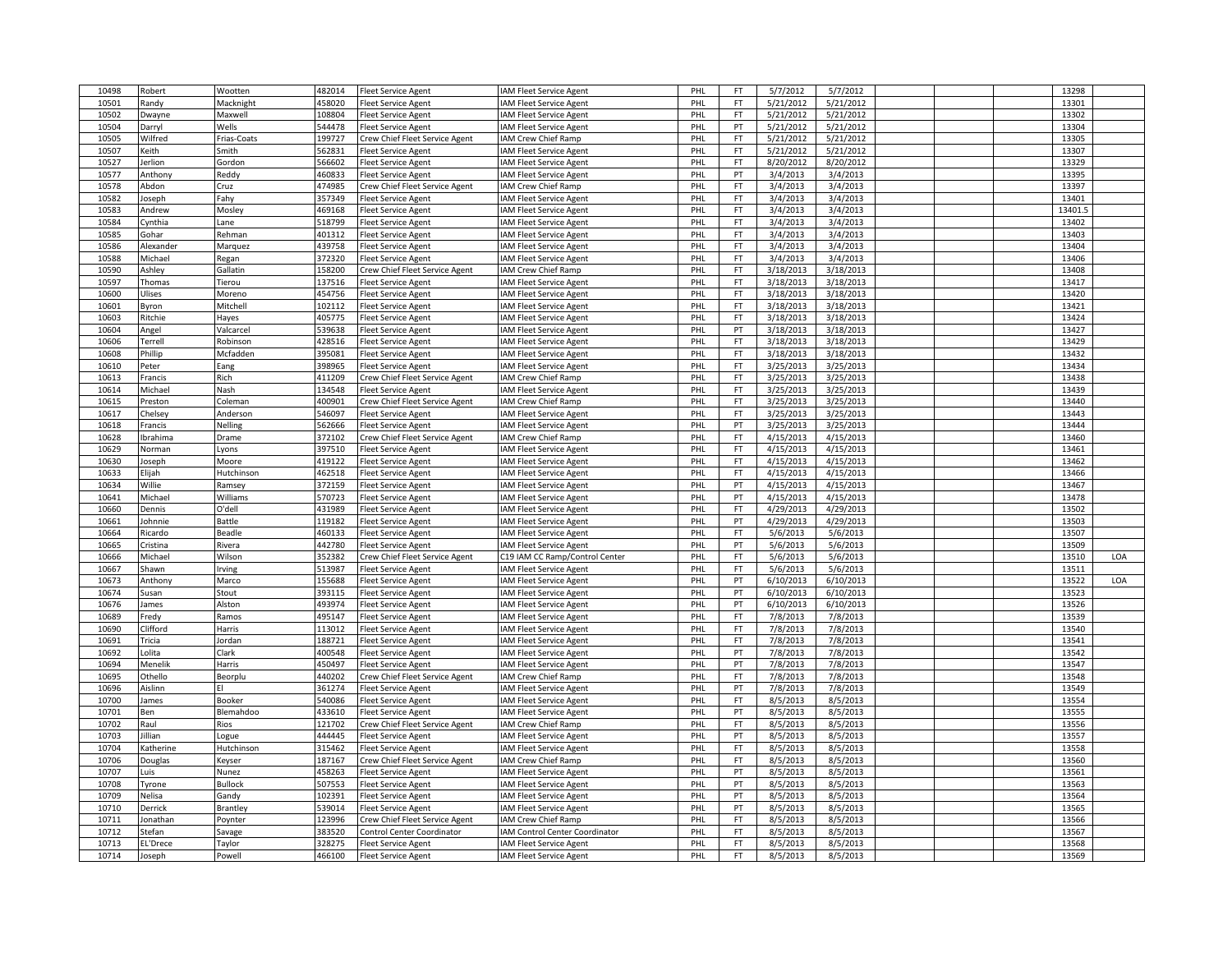| 10498 | Robert       | Wootten        | 482014 | <b>Fleet Service Agent</b>        | <b>AM Fleet Service Agent</b>         | PHL | FT.       | 5/7/2012  | 5/7/2012  |  | 13298   |     |
|-------|--------------|----------------|--------|-----------------------------------|---------------------------------------|-----|-----------|-----------|-----------|--|---------|-----|
| 10501 | Randy        | Macknight      | 458020 | Fleet Service Agent               | <b>AM Fleet Service Agent</b>         | PHL | <b>FT</b> | 5/21/2012 | 5/21/2012 |  | 13301   |     |
| 10502 | Dwayne       | Maxwell        | 108804 | Fleet Service Agent               | <b>IAM Fleet Service Agent</b>        | PHL | <b>FT</b> | 5/21/2012 | 5/21/2012 |  | 13302   |     |
| 10504 | Darryl       | Wells          | 544478 | <b>Fleet Service Agent</b>        | <b>AM Fleet Service Agent</b>         | PHL | PT        | 5/21/2012 | 5/21/2012 |  | 13304   |     |
| 10505 | Wilfred      | Frias-Coats    | 199727 |                                   | <b>AM Crew Chief Ramp</b>             | PHL | FT        | 5/21/2012 | 5/21/2012 |  | 13305   |     |
|       |              |                |        | Crew Chief Fleet Service Agent    |                                       |     | <b>FT</b> |           |           |  |         |     |
| 10507 | eith)        | Smith          | 562831 | Fleet Service Agent               | <b>AM Fleet Service Agent</b>         | PHL |           | 5/21/2012 | 5/21/2012 |  | 13307   |     |
| 10527 | lerlion      | Gordon         | 566602 | <b>Fleet Service Agent</b>        | <b>AM Fleet Service Agent</b>         | PHL | FT        | 8/20/2012 | 8/20/2012 |  | 13329   |     |
| 10577 | Anthony      | Reddy          | 460833 | Fleet Service Agent               | <b>AM Fleet Service Agent</b>         | PHL | PT        | 3/4/2013  | 3/4/2013  |  | 13395   |     |
| 10578 | Abdon        | Cruz           | 474985 | Crew Chief Fleet Service Agent    | <b>IAM Crew Chief Ramp</b>            | PHL | <b>FT</b> | 3/4/2013  | 3/4/2013  |  | 13397   |     |
| 10582 | Joseph       | Fahy           | 357349 | Fleet Service Agent               | <b>IAM Fleet Service Agent</b>        | PHL | FT        | 3/4/2013  | 3/4/2013  |  | 13401   |     |
| 10583 | Andrew       | Moslev         | 469168 | Fleet Service Agent               | <b>AM Fleet Service Agent</b>         | PHL | FT        | 3/4/2013  | 3/4/2013  |  | 13401.5 |     |
| 10584 | Cynthia      | Lane           | 518799 | leet Service Agent                | <b>AM Fleet Service Agent</b>         | PHL | FT        | 3/4/2013  | 3/4/2013  |  | 13402   |     |
| 10585 | Gohar        | Rehman         | 401312 | leet Service Agent                | AM Fleet Service Agent                | PHL | FT.       | 3/4/2013  | 3/4/2013  |  | 13403   |     |
| 10586 | Alexander    | Marquez        | 439758 | <b>Fleet Service Agent</b>        | <b>AM Fleet Service Agent</b>         | PHL | FT.       | 3/4/2013  | 3/4/2013  |  | 13404   |     |
| 10588 | Michael      | Regan          | 372320 | <b>Fleet Service Agent</b>        | <b>AM Fleet Service Agent</b>         | PHL | FT        | 3/4/2013  | 3/4/2013  |  | 13406   |     |
| 10590 | Ashley       | Gallatin       | 158200 | Crew Chief Fleet Service Agent    | <b>IAM Crew Chief Ramp</b>            | PHL | FT        | 3/18/2013 | 3/18/2013 |  | 13408   |     |
| 10597 | Thomas       | Tierou         | 137516 | Fleet Service Agent               | <b>IAM Fleet Service Agent</b>        | PHL | FT        | 3/18/2013 | 3/18/2013 |  | 13417   |     |
| 10600 | Ulises       | Moreno         | 454756 | Fleet Service Agent               | <b>AM Fleet Service Agent</b>         | PHL | FT        | 3/18/2013 | 3/18/2013 |  | 13420   |     |
|       |              |                |        |                                   |                                       |     | <b>FT</b> | 3/18/2013 |           |  |         |     |
| 10601 | <b>Byron</b> | Mitchell       | 102112 | Fleet Service Agent               | <b>AM Fleet Service Agent</b>         | PHL |           |           | 3/18/2013 |  | 13421   |     |
| 10603 | Ritchie      | Hayes          | 405775 | leet Service Agent                | AM Fleet Service Agent                | PHL | FT.       | 3/18/2013 | 3/18/2013 |  | 13424   |     |
| 10604 | Angel        | Valcarcel      | 539638 | <b>Fleet Service Agent</b>        | <b>AM Fleet Service Agent</b>         | PHL | PT        | 3/18/2013 | 3/18/2013 |  | 13427   |     |
| 10606 | Terrell      | Robinson       | 428516 | leet Service Agent                | AM Fleet Service Agent                | PHL | FT        | 3/18/2013 | 3/18/2013 |  | 13429   |     |
| 10608 | Phillip      | Mcfadden       | 395081 | Fleet Service Agent               | AM Fleet Service Agent                | PHL | <b>FT</b> | 3/18/2013 | 3/18/2013 |  | 13432   |     |
| 10610 | Peter        | Eang           | 398965 | Fleet Service Agent               | <b>IAM Fleet Service Agent</b>        | PHL | FT        | 3/25/2013 | 3/25/2013 |  | 13434   |     |
| 10613 | Francis      | Rich           | 411209 | Crew Chief Fleet Service Agent    | <b>AM Crew Chief Ramp</b>             | PHL | FT        | 3/25/2013 | 3/25/2013 |  | 13438   |     |
| 10614 | Michael      | Nash           | 134548 | Fleet Service Agent               | <b>AM Fleet Service Agent</b>         | PHL | FT        | 3/25/2013 | 3/25/2013 |  | 13439   |     |
| 10615 | Preston      | Coleman        | 400901 | Crew Chief Fleet Service Agent    | <b>AM Crew Chief Ramp</b>             | PHL | FT        | 3/25/2013 | 3/25/2013 |  | 13440   |     |
| 10617 | Chelsey      | Anderson       | 546097 | <b>Fleet Service Agent</b>        | <b>AM Fleet Service Agent</b>         | PHL | FT        | 3/25/2013 | 3/25/2013 |  | 13443   |     |
| 10618 | Francis      | Nelling        | 562666 | Fleet Service Agent               | AM Fleet Service Agent                | PHL | PT        | 3/25/2013 | 3/25/2013 |  | 13444   |     |
| 10628 | Ibrahima     | Drame          | 372102 | Crew Chief Fleet Service Agent    | AM Crew Chief Ramp                    | PHL | <b>FT</b> | 4/15/2013 | 4/15/2013 |  | 13460   |     |
| 10629 | Norman       | Lyons          | 397510 | Fleet Service Agent               | <b>AM Fleet Service Agent</b>         | PHL | FT        | 4/15/2013 | 4/15/2013 |  | 13461   |     |
|       |              |                | 419122 |                                   |                                       |     | FT        |           |           |  | 13462   |     |
| 10630 | Joseph       | Moore          |        | leet Service Agent                | <b>AM Fleet Service Agent</b>         | PHL |           | 4/15/2013 | 4/15/2013 |  |         |     |
| 10633 | Elijah       | Hutchinson     | 462518 | leet Service Agent                | <b>AM Fleet Service Agent</b>         | PHL | FT.       | 4/15/2013 | 4/15/2013 |  | 13466   |     |
| 10634 | Willie       | Ramsey         | 372159 | Fleet Service Agent               | <b>IAM Fleet Service Agent</b>        | PHL | PT        | 4/15/2013 | 4/15/2013 |  | 13467   |     |
| 10641 | Michael      | Williams       | 570723 | <b>Fleet Service Agent</b>        | <b>AM Fleet Service Agent</b>         | PHL | PT        | 4/15/2013 | 4/15/2013 |  | 13478   |     |
| 10660 | Dennis       | O'dell         | 431989 | leet Service Agent                | AM Fleet Service Agent                | PHL | FT        | 4/29/2013 | 4/29/2013 |  | 13502   |     |
| 10661 | Iohnnie      | Battle         | 119182 | leet Service Agent                | AM Fleet Service Agent                | PHL | PT        | 4/29/2013 | 4/29/2013 |  | 13503   |     |
| 10664 | Ricardo      | Beadle         | 460133 | Fleet Service Agent               | <b>AM Fleet Service Agent</b>         | PHL | FT        | 5/6/2013  | 5/6/2013  |  | 13507   |     |
| 10665 | Cristina     | Rivera         | 442780 | leet Service Agent                | <b>IAM Fleet Service Agent</b>        | PHL | PT        | 5/6/2013  | 5/6/2013  |  | 13509   |     |
| 10666 | Michael      | Wilson         | 352382 | Crew Chief Fleet Service Agent    | C19 IAM CC Ramp/Control Center        | PHL | <b>FT</b> | 5/6/2013  | 5/6/2013  |  | 13510   | LOA |
| 10667 | Shawn        | Irving         | 513987 | Fleet Service Agent               | <b>IAM Fleet Service Agent</b>        | PHL | FT.       | 5/6/2013  | 5/6/2013  |  | 13511   |     |
| 10673 | Anthony      | Marco          | 155688 | <b>Fleet Service Agent</b>        | AM Fleet Service Agent                | PHL | PT        | 6/10/2013 | 6/10/2013 |  | 13522   | LOA |
| 10674 | Susan        | Stout          | 393115 | Fleet Service Agent               | AM Fleet Service Agent                | PHL | PT        | 6/10/2013 | 6/10/2013 |  | 13523   |     |
| 10676 | James        | Alston         | 493974 | Fleet Service Agent               | <b>AM Fleet Service Agent</b>         | PHL | PT        | 6/10/2013 | 6/10/2013 |  | 13526   |     |
| 10689 | Fredy        | Ramos          | 495147 | Fleet Service Agent               | <b>IAM Fleet Service Agent</b>        | PHL | FT        | 7/8/2013  | 7/8/2013  |  | 13539   |     |
| 10690 | Clifford     | Harris         | 113012 |                                   | AM Fleet Service Agent                | PHL | FT        | 7/8/2013  | 7/8/2013  |  | 13540   |     |
|       | Tricia       | Jordan         |        | leet Service Agent                |                                       | PHL | FT        | 7/8/2013  | 7/8/2013  |  | 13541   |     |
| 10691 |              |                | 188721 | leet Service Agent                | <b>AM Fleet Service Agent</b>         |     |           |           |           |  |         |     |
| 10692 | Lolita       | Clark          | 400548 | <b>Fleet Service Agent</b>        | <b>AM Fleet Service Agent</b>         | PHL | PT        | 7/8/2013  | 7/8/2013  |  | 13542   |     |
| 10694 | Menelik      | Harris         | 450497 | <b>Fleet Service Agent</b>        | AM Fleet Service Agent                | PHL | PT        | 7/8/2013  | 7/8/2013  |  | 13547   |     |
| 10695 | Othello      | Beorplu        | 440202 | Crew Chief Fleet Service Agent    | <b>AM Crew Chief Ramp</b>             | PHL | FT        | 7/8/2013  | 7/8/2013  |  | 13548   |     |
| 10696 | Aislinn      | EI             | 361274 | Fleet Service Agent               | <b>AM Fleet Service Agent</b>         | PHL | PT        | 7/8/2013  | 7/8/2013  |  | 13549   |     |
| 10700 | lames        | Booker         | 540086 | Fleet Service Agent               | <b>AM Fleet Service Agent</b>         | PHL | FT.       | 8/5/2013  | 8/5/2013  |  | 13554   |     |
| 10701 | Ben          | Blemahdoo      | 433610 | leet Service Agent                | <b>IAM Fleet Service Agent</b>        | PHL | PT        | 8/5/2013  | 8/5/2013  |  | 13555   |     |
| 10702 | Raul         | Rios           | 121702 | Crew Chief Fleet Service Agent    | <b>AM Crew Chief Ramp</b>             | PHL | FT.       | 8/5/2013  | 8/5/2013  |  | 13556   |     |
| 10703 | illian       | Logue          | 444445 | <b>Fleet Service Agent</b>        | <b>AM Fleet Service Agent</b>         | PHL | PT        | 8/5/2013  | 8/5/2013  |  | 13557   |     |
| 10704 | Katherine    | Hutchinson     | 315462 | leet Service Agent                | AM Fleet Service Agent                | PHL | <b>FT</b> | 8/5/2013  | 8/5/2013  |  | 13558   |     |
| 10706 | Douglas      | Keyser         | 187167 | Crew Chief Fleet Service Agent    | <b>AM Crew Chief Ramp</b>             | PHL | FT        | 8/5/2013  | 8/5/2013  |  | 13560   |     |
| 10707 | Luis         | Nunez          | 458263 | Fleet Service Agent               | <b>AM Fleet Service Agent</b>         | PHL | PT        | 8/5/2013  | 8/5/2013  |  | 13561   |     |
| 10708 | Tyrone       | <b>Bullock</b> | 507553 | <b>Fleet Service Agent</b>        | AM Fleet Service Agent                | PHL | PT        | 8/5/2013  | 8/5/2013  |  | 13563   |     |
| 10709 | Nelisa       |                | 102391 |                                   |                                       | PHL | PT        | 8/5/2013  | 8/5/2013  |  | 13564   |     |
|       |              | Gandy          |        | leet Service Agent                | AM Fleet Service Agent                |     | PT        |           |           |  |         |     |
| 10710 | Derrick      | Brantley       | 539014 | Fleet Service Agent               | <b>AM Fleet Service Agent</b>         | PHL |           | 8/5/2013  | 8/5/2013  |  | 13565   |     |
| 10711 | Jonathan     | Poynter        | 123996 | Crew Chief Fleet Service Agent    | <b>AM Crew Chief Ramp</b>             | PHL | FT        | 8/5/2013  | 8/5/2013  |  | 13566   |     |
| 10712 | Stefan       | Savage         | 383520 | <b>Control Center Coordinator</b> | <b>IAM Control Center Coordinator</b> | PHL | <b>FT</b> | 8/5/2013  | 8/5/2013  |  | 13567   |     |
| 10713 | EL'Drece     | Taylor         | 328275 | Fleet Service Agent               | AM Fleet Service Agent                | PHL | FT.       | 8/5/2013  | 8/5/2013  |  | 13568   |     |
| 10714 | Joseph       | Powell         | 466100 | <b>Fleet Service Agent</b>        | <b>IAM Fleet Service Agent</b>        | PHL | FT.       | 8/5/2013  | 8/5/2013  |  | 13569   |     |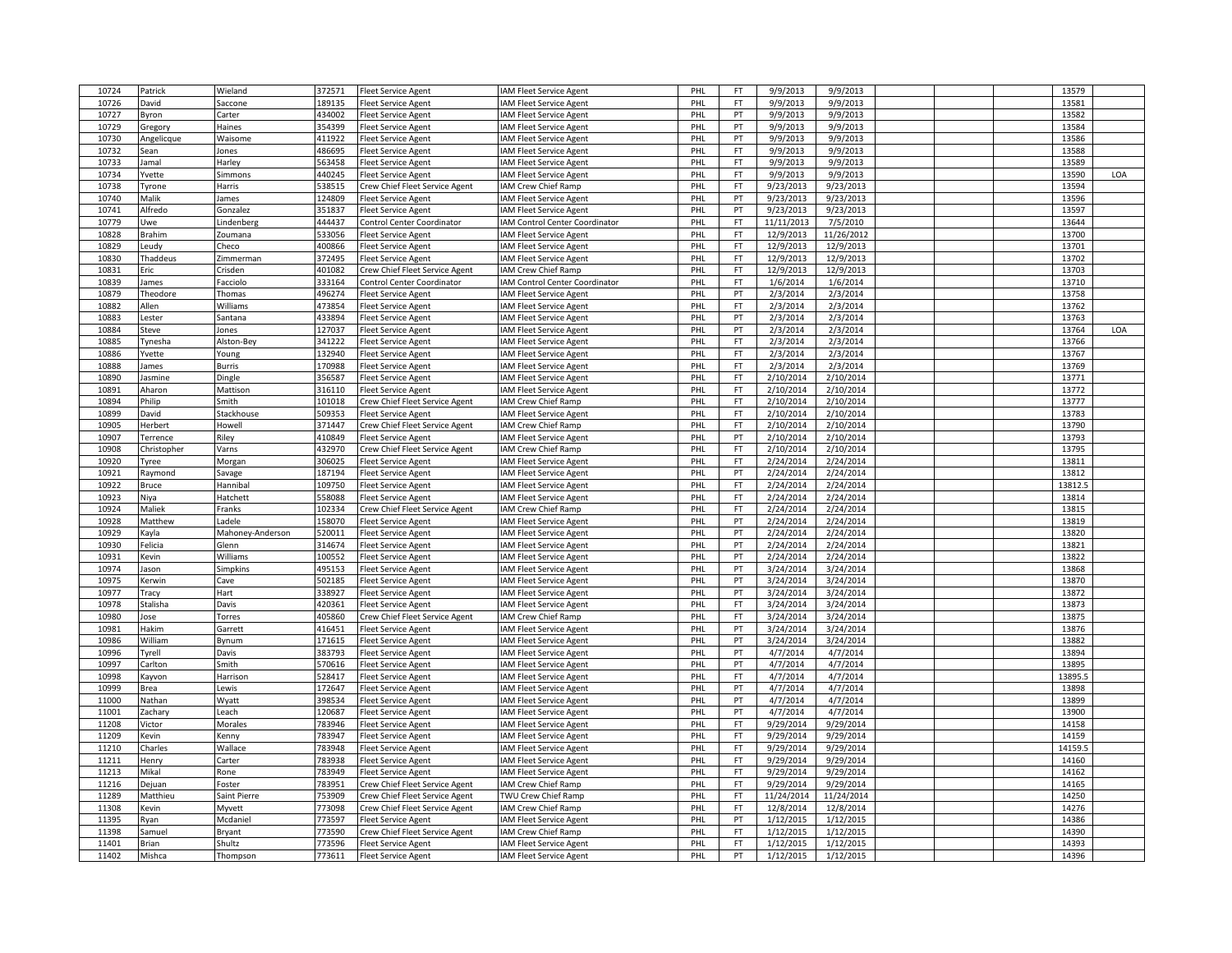| 10724          | Patrick          | Wieland                 | 372571           | <b>Fleet Service Agent</b>                            | <b>AM Fleet Service Agent</b>                | PHL        | FT        | 9/9/2013               | 9/9/2013               |  | 13579          |     |
|----------------|------------------|-------------------------|------------------|-------------------------------------------------------|----------------------------------------------|------------|-----------|------------------------|------------------------|--|----------------|-----|
| 10726          | David            | accone                  | 189135           | leet Service Agent                                    | AM Fleet Service Agent                       | PHL        | FT        | 9/9/2013               | 9/9/2013               |  | 13581          |     |
| 10727          | Byron            | Carter                  | 434002           | leet Service Agent                                    | AM Fleet Service Agent                       | PHL        | PT        | 9/9/2013               | 9/9/2013               |  | 13582          |     |
| 10729          | Gregory          | Haines                  | 354399           | Fleet Service Agent                                   | <b>AM Fleet Service Agent</b>                | PHL        | PT        | 9/9/2013               | 9/9/2013               |  | 13584          |     |
| 10730          | Angelicque       | Waisome                 | 411922           | leet Service Agent                                    | <b>AM Fleet Service Agent</b>                | PHL        | PT        | 9/9/2013               | 9/9/2013               |  | 13586          |     |
| 10732          | Sean             | Jones                   | 486695           | leet Service Agent                                    | AM Fleet Service Agent                       | PHL        | <b>FT</b> | 9/9/2013               | 9/9/2013               |  | 13588          |     |
| 10733          |                  |                         | 563458           |                                                       |                                              | PHL        | FT.       | 9/9/2013               | 9/9/2013               |  | 13589          |     |
|                | lamal            | Harley                  |                  | Fleet Service Agent                                   | <b>IAM Fleet Service Agent</b>               |            |           |                        |                        |  |                |     |
| 10734          | Yvette           | Simmons                 | 440245           | <b>Fleet Service Agent</b>                            | <b>AM Fleet Service Agent</b>                | PHL        | FT        | 9/9/2013               | 9/9/2013               |  | 13590          | LOA |
| 10738          | Tyrone           | Harris                  | 538515           | Crew Chief Fleet Service Agent                        | <b>AM Crew Chief Ramp</b>                    | PHL        | <b>FT</b> | 9/23/2013              | 9/23/2013              |  | 13594          |     |
| 10740          | Malik            | James                   | 124809           | Fleet Service Agent                                   | <b>AM Fleet Service Agent</b>                | PHL        | PT        | 9/23/2013              | 9/23/2013              |  | 13596          |     |
| 10741          | Alfredo          | Gonzalez                | 351837           | Fleet Service Agent                                   | <b>AM Fleet Service Agent</b>                | PHL        | PT        | 9/23/2013              | 9/23/2013              |  | 13597          |     |
| 10779          | Uwe              | Lindenberg              | 444437           | <b>Control Center Coordinator</b>                     | <b>IAM Control Center Coordinator</b>        | PHL        | FT        | 11/11/2013             | 7/5/2010               |  | 13644          |     |
| 10828          | Brahim           | Zoumana                 | 533056           | leet Service Agent                                    | AM Fleet Service Agent                       | PHL        | FT.       | 12/9/2013              | 11/26/2012             |  | 13700          |     |
| 10829          | Leudy            | Checo                   | 400866           | Fleet Service Agent                                   | <b>IAM Fleet Service Agent</b>               | PHL        | FT        | 12/9/2013              | 12/9/2013              |  | 13701          |     |
| 10830          | Thaddeus         | Zimmerman               | 372495           | <b>Fleet Service Agent</b>                            | AM Fleet Service Agent                       | PHL        | FT        | 12/9/2013              | 12/9/2013              |  | 13702          |     |
| 10831          | Eric             | Crisden                 | 401082           | Crew Chief Fleet Service Agent                        | <b>AM Crew Chief Ramp</b>                    | PHL        | <b>FT</b> | 12/9/2013              | 12/9/2013              |  | 13703          |     |
| 10839          | James            | Facciolo                | 333164           | Control Center Coordinator                            | <b>IAM Control Center Coordinator</b>        | PHL        | <b>FT</b> | 1/6/2014               | 1/6/2014               |  | 13710          |     |
| 10879          | Theodore         | Thomas                  | 496274           | <b>Fleet Service Agent</b>                            | <b>AM Fleet Service Agent</b>                | PHL        | PT        | 2/3/2014               | 2/3/2014               |  | 13758          |     |
| 10882          | Allen            | Williams                | 473854           | leet Service Agent                                    | <b>AM Fleet Service Agent</b>                | PHL        | FT        | 2/3/2014               | 2/3/2014               |  | 13762          |     |
| 10883          | Lester           | Santana                 | 433894           | leet Service Agent                                    | <b>AM Fleet Service Agent</b>                | PHL        | PT        | 2/3/2014               | 2/3/2014               |  | 13763          |     |
| 10884          | Steve            | Jones                   | 127037           | <b>Fleet Service Agent</b>                            | <b>IAM Fleet Service Agent</b>               | PHL        | PT        | 2/3/2014               | 2/3/2014               |  | 13764          | LOA |
| 10885          | Tynesha          | Alston-Bey              | 341222           | leet Service Agent                                    | <b>IAM Fleet Service Agent</b>               | PHL        | FT        | 2/3/2014               | 2/3/2014               |  | 13766          |     |
| 10886          | Yvette           | Young                   | 132940           | Fleet Service Agent                                   | AM Fleet Service Agent                       | PHL        | <b>FT</b> | 2/3/2014               | 2/3/2014               |  | 13767          |     |
| 10888          | lames            | <b>Burris</b>           | 170988           | Fleet Service Agent                                   | <b>IAM Fleet Service Agent</b>               | PHL        | FT        | 2/3/2014               | 2/3/2014               |  | 13769          |     |
| 10890          |                  | Dingle                  | 356587           | Fleet Service Agent                                   | AM Fleet Service Agent                       | PHL        | FT        | 2/10/2014              | 2/10/2014              |  | 13771          |     |
| 10891          | asmine<br>Aharon | Mattison                | 316110           | <b>Fleet Service Agent</b>                            | <b>AM Fleet Service Agent</b>                | PHL        | FT.       | 2/10/2014              | 2/10/2014              |  | 13772          |     |
|                |                  |                         |                  |                                                       |                                              |            |           |                        |                        |  |                |     |
| 10894          | Philip           | Smith                   | 101018           | Crew Chief Fleet Service Agent                        | <b>AM Crew Chief Ramp</b>                    | PHL        | FT        | 2/10/2014              | 2/10/2014              |  | 13777          |     |
| 10899          | David            | Stackhouse              | 509353           | <b>Fleet Service Agent</b>                            | IAM Fleet Service Agent                      | PHL        | FT.       | 2/10/2014              | 2/10/2014              |  | 13783          |     |
| 10905          | Herbert          | Howell                  | 371447           | Crew Chief Fleet Service Agent                        | <b>IAM Crew Chief Ramp</b>                   | PHL        | FT        | 2/10/2014              | 2/10/2014              |  | 13790          |     |
| 10907          | Terrence         | Riley                   | 410849           | leet Service Agent                                    | AM Fleet Service Agent                       | PHL        | PT        | 2/10/2014              | 2/10/2014              |  | 13793          |     |
| 10908          | Christopher      | Varns                   | 432970           | Crew Chief Fleet Service Agent                        | <b>AM Crew Chief Ramp</b>                    | PHL        | <b>FT</b> | 2/10/2014              | 2/10/2014              |  | 13795          |     |
| 10920          | Tyree            | Morgan                  | 306025<br>187194 | leet Service Agent                                    | <b>AM Fleet Service Agent</b>                | PHL        | FT<br>PT  | 2/24/2014              | 2/24/2014              |  | 13811<br>13812 |     |
| 10921<br>10922 | Raymond          | Savage                  | 109750           | leet Service Agent                                    | <b>AM Fleet Service Agent</b>                | PHL<br>PHL | FT        | 2/24/2014<br>2/24/2014 | 2/24/2014              |  | 13812.5        |     |
| 10923          | Bruce<br>Niya    | Hannibal<br>Hatchett    | 558088           | Fleet Service Agent                                   | <b>IAM Fleet Service Agent</b>               | PHL        | FT.       | 2/24/2014              | 2/24/2014<br>2/24/2014 |  | 13814          |     |
|                |                  |                         |                  | <b>Fleet Service Agent</b>                            | <b>AM Fleet Service Agent</b>                |            |           |                        |                        |  |                |     |
| 10924          | Maliek           | Franks                  | 102334           | Crew Chief Fleet Service Agent                        | AM Crew Chief Ramp                           | PHL<br>PHL | FT<br>PT  | 2/24/2014              | 2/24/2014              |  | 13815          |     |
| 10928          | Matthew          | Ladele                  | 158070           | Fleet Service Agent                                   | AM Fleet Service Agent                       |            |           | 2/24/2014              | 2/24/2014              |  | 13819          |     |
| 10929          | Kayla            | Mahoney-Anderson        | 520011           | Fleet Service Agent                                   | <b>IAM Fleet Service Agent</b>               | PHL        | PT<br>PT  | 2/24/2014              | 2/24/2014              |  | 13820          |     |
| 10930          | Felicia          | Glenn                   | 314674           | leet Service Agent                                    | AM Fleet Service Agent                       | PHL        |           | 2/24/2014              | 2/24/2014              |  | 13821          |     |
| 10931          | Kevin            | Williams                | 100552           | Fleet Service Agent                                   | <b>AM Fleet Service Agent</b>                | PHL        | PT        | 2/24/2014              | 2/24/2014              |  | 13822          |     |
| 10974          | lason            | Simpkins                | 495153           | Fleet Service Agent                                   | <b>IAM Fleet Service Agent</b>               | PHL        | PT        | 3/24/2014              | 3/24/2014              |  | 13868          |     |
| 10975          | <b>Kerwin</b>    | Cave                    | 502185           | Fleet Service Agent                                   | AM Fleet Service Agent                       | PHL        | PT        | 3/24/2014              | 3/24/2014              |  | 13870          |     |
| 10977          | Tracy            | Hart                    | 338927           | Fleet Service Agent                                   | AM Fleet Service Agent                       | PHL        | PT        | 3/24/2014              | 3/24/2014              |  | 13872          |     |
| 10978          | Stalisha         | Davis                   | 420361           | Fleet Service Agent                                   | <b>AM Fleet Service Agent</b>                | PHL        | <b>FT</b> | 3/24/2014              | 3/24/2014              |  | 13873          |     |
| 10980          | Jose             | Torres                  | 405860           | Crew Chief Fleet Service Agent                        | <b>AM Crew Chief Ramp</b>                    | PHL        | FT        | 3/24/2014              | 3/24/2014              |  | 13875          |     |
| 10981          | Hakim            | Garrett                 | 416451           | Fleet Service Agent                                   | <b>AM Fleet Service Agent</b>                | PHL        | PT        | 3/24/2014              | 3/24/2014              |  | 13876          |     |
| 10986          | William          | Bynum                   | 171615           | leet Service Agent                                    | AM Fleet Service Agent                       | PHL        | PT        | 3/24/2014              | 3/24/2014              |  | 13882          |     |
| 10996          | Tyrell           | Davis                   | 383793           | <b>Fleet Service Agent</b>                            | <b>AM Fleet Service Agent</b>                | PHL        | PT        | 4/7/2014               | 4/7/2014               |  | 13894          |     |
| 10997          | Carlton          | Smith                   | 570616           | leet Service Agent                                    | AM Fleet Service Agent                       | PHL        | PT        | 4/7/2014               | 4/7/2014               |  | 13895          |     |
| 10998          | Kayvon           | Harrison                | 528417           | leet Service Agent                                    | AM Fleet Service Agent                       | PHL        | <b>FT</b> | 4/7/2014               | 4/7/2014               |  | 13895.5        |     |
| 10999          | Brea             | Lewis                   | 172647           | leet Service Agent                                    | <b>IAM Fleet Service Agent</b>               | PHL        | PT        | 4/7/2014               | 4/7/2014               |  | 13898          |     |
| 11000          | Nathan           | Wyatt                   | 398534           | leet Service Agent                                    | AM Fleet Service Agent                       | PHL        | PT        | 4/7/2014               | 4/7/2014               |  | 13899          |     |
| 11001          | Zachary          | Leach                   | 120687           | leet Service Agent                                    | <b>AM Fleet Service Agent</b>                | PHL        | PT        | 4/7/2014               | 4/7/2014               |  | 13900          |     |
| 11208          | Victor           | Morales                 | 783946           | leet Service Agent                                    | <b>AM Fleet Service Agent</b>                | PHL        | FT        | 9/29/2014              | 9/29/2014              |  | 14158          |     |
| 11209          | Kevin            | Kenny                   | 783947           | Fleet Service Agent                                   | <b>AM Fleet Service Agent</b>                | PHL        | FT        | 9/29/2014              | 9/29/2014              |  | 14159          |     |
| 11210          | Charles          | Wallace                 | 783948           | Fleet Service Agent                                   | <b>IAM Fleet Service Agent</b>               | PHL        | FT        | 9/29/2014              | 9/29/2014              |  | 14159.5        |     |
| 11211          | Henry            | Carter                  | 783938           | leet Service Agent                                    | AM Fleet Service Agent                       | PHL        | <b>FT</b> | 9/29/2014              | 9/29/2014              |  | 14160          |     |
| 11213          | Mikal            | Rone                    | 783949           | Fleet Service Agent                                   | <b>AM Fleet Service Agent</b>                | PHL        | <b>FT</b> | 9/29/2014              | 9/29/2014              |  | 14162          |     |
| 11216          | Dejuan           | Foster                  | 783951           | Crew Chief Fleet Service Agent                        | <b>AM Crew Chief Ramp</b>                    | PHL        | FT        | 9/29/2014              | 9/29/2014              |  | 14165          |     |
| 11289          | Matthieu         | Saint Pierre            | 753909           | Crew Chief Fleet Service Agent                        | TWU Crew Chief Ramp                          | PHL        | FT        | 11/24/2014             | 11/24/2014             |  | 14250          |     |
| 11308          | Kevin            | Myvett                  | 773098           | Crew Chief Fleet Service Agent                        | <b>AM Crew Chief Ramp</b>                    | PHL        | FT        | 12/8/2014              | 12/8/2014              |  | 14276          |     |
| 11395          | Ryan             | Mcdaniel                | 773597           | <b>Fleet Service Agent</b>                            | <b>AM Fleet Service Agent</b>                | PHL        | PT        | 1/12/2015              | 1/12/2015              |  | 14386          |     |
| 11398          | iamuel           |                         | 773590           |                                                       |                                              | PHL        | FT        | 1/12/2015              | 1/12/2015              |  | 14390          |     |
| 11401          | <b>Brian</b>     | <b>Bryant</b><br>Shultz | 773596           | Crew Chief Fleet Service Agent<br>Fleet Service Agent | AM Crew Chief Ramp<br>AM Fleet Service Agent | PHL        | FT        | 1/12/2015              | 1/12/2015              |  | 14393          |     |
|                | Mishca           | Thompson                | 773611           | Fleet Service Agent                                   | IAM Fleet Service Agent                      | PHL        | PT        | 1/12/2015              | 1/12/2015              |  | 14396          |     |
| 11402          |                  |                         |                  |                                                       |                                              |            |           |                        |                        |  |                |     |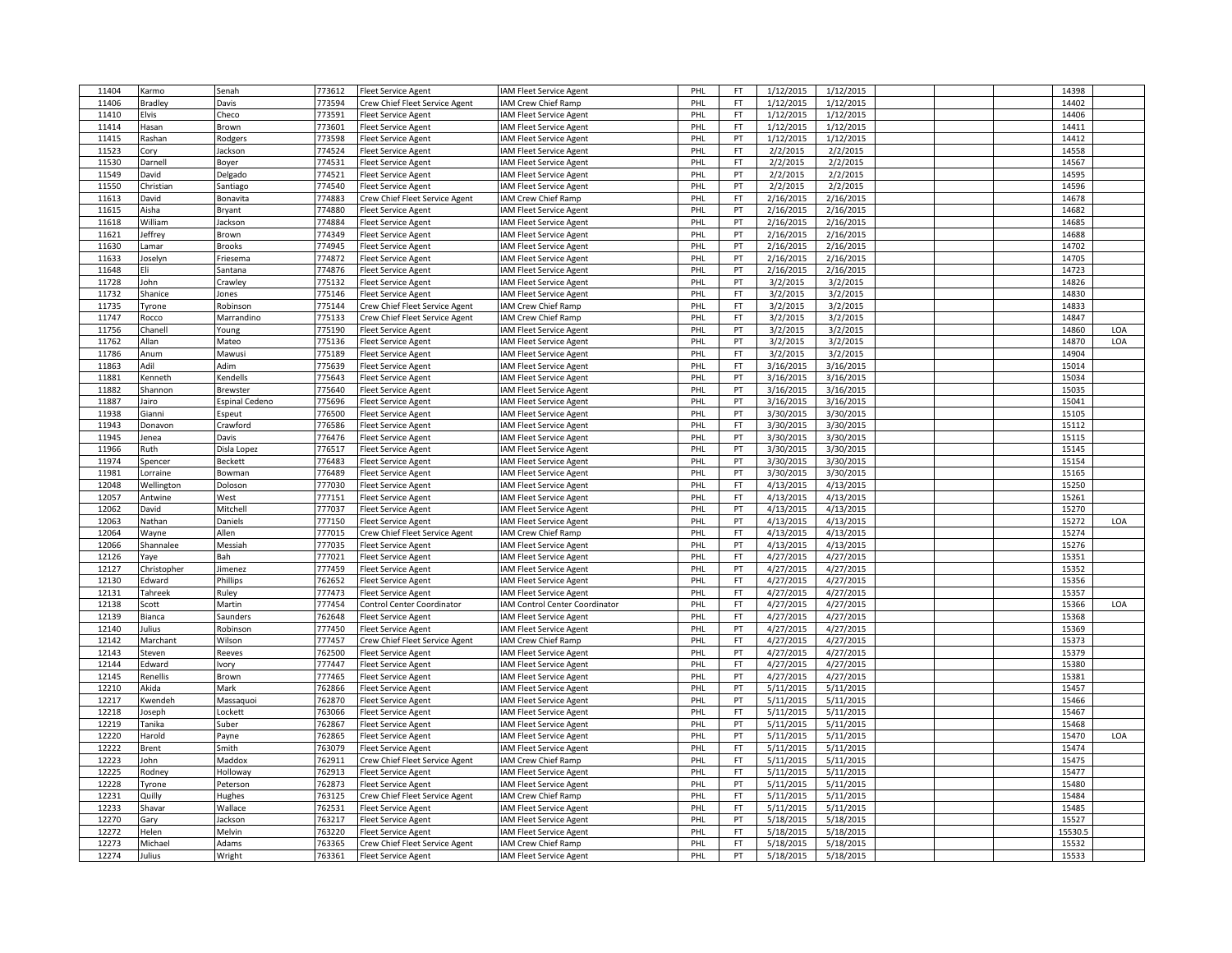| 11404 | Karmo          | Senah           | 773612 | <b>Fleet Service Agent</b>     | IAM Fleet Service Agent               | PHL | FT        | 1/12/2015 | 1/12/2015 |  | 14398  |     |
|-------|----------------|-----------------|--------|--------------------------------|---------------------------------------|-----|-----------|-----------|-----------|--|--------|-----|
| 11406 | <b>Bradley</b> | Davis           | 773594 | Crew Chief Fleet Service Agent | AM Crew Chief Ramp                    | PHL | FT        | 1/12/2015 | 1/12/2015 |  | 14402  |     |
| 11410 | Elvis          | Checo           | 773591 | leet Service Agent             | <b>AM Fleet Service Agent</b>         | PHL | FT        | 1/12/2015 | 1/12/2015 |  | 14406  |     |
| 11414 | Hasan          | Brown           | 773601 | Fleet Service Agent            | <b>AM Fleet Service Agent</b>         | PHL | <b>FT</b> | 1/12/2015 | 1/12/2015 |  | 14411  |     |
| 11415 | Rashan         | Rodgers         | 773598 | Fleet Service Agent            | <b>AM Fleet Service Agent</b>         | PHL | PT        | 1/12/2015 | 1/12/2015 |  | 14412  |     |
| 11523 | Cory           | Jackson         | 774524 | leet Service Agent             | <b>AM Fleet Service Agent</b>         | PHL | <b>FT</b> | 2/2/2015  | 2/2/2015  |  | 14558  |     |
| 11530 | Darnell        |                 | 774531 |                                |                                       | PHL | FT        | 2/2/2015  | 2/2/2015  |  | 14567  |     |
|       |                | Boyer           |        | Fleet Service Agent            | <b>AM Fleet Service Agent</b>         |     |           |           |           |  |        |     |
| 11549 | David          | Delgado         | 774521 | <b>Fleet Service Agent</b>     | AM Fleet Service Agent                | PHL | PT        | 2/2/2015  | 2/2/2015  |  | 14595  |     |
| 11550 | Christian      | Santiago        | 774540 | Fleet Service Agent            | <b>AM Fleet Service Agent</b>         | PHL | PT        | 2/2/2015  | 2/2/2015  |  | 14596  |     |
| 11613 | David          | Bonavita        | 774883 | Crew Chief Fleet Service Agent | <b>AM Crew Chief Ramp</b>             | PHL | <b>FT</b> | 2/16/2015 | 2/16/2015 |  | 14678  |     |
| 11615 | Aisha          | Bryant          | 774880 | Fleet Service Agent            | <b>AM Fleet Service Agent</b>         | PHL | PT        | 2/16/2015 | 2/16/2015 |  | 14682  |     |
| 11618 | William        | Jackson         | 774884 | leet Service Agent             | <b>IAM Fleet Service Agent</b>        | PHL | PT        | 2/16/2015 | 2/16/2015 |  | 14685  |     |
| 11621 | leffrey        | Brown           | 774349 | Fleet Service Agent            | <b>AM Fleet Service Agent</b>         | PHL | PT        | 2/16/2015 | 2/16/2015 |  | 14688  |     |
| 11630 | Lamar          | <b>Brooks</b>   | 774945 | Fleet Service Agent            | <b>IAM Fleet Service Agent</b>        | PHL | PT        | 2/16/2015 | 2/16/2015 |  | 14702  |     |
| 11633 | Joselyn        | Friesema        | 774872 | Fleet Service Agent            | AM Fleet Service Agent                | PHL | PT        | 2/16/2015 | 2/16/2015 |  | 14705  |     |
| 11648 | Eli            | Santana         | 774876 | <b>Fleet Service Agent</b>     | AM Fleet Service Agent                | PHL | PT        | 2/16/2015 | 2/16/2015 |  | 14723  |     |
| 11728 | John           | Crawley         | 775132 | leet Service Agent             | <b>AM Fleet Service Agent</b>         | PHL | PT        | 3/2/2015  | 3/2/2015  |  | 14826  |     |
| 11732 | Shanice        | Jones           | 775146 | <b>Fleet Service Agent</b>     | <b>AM Fleet Service Agent</b>         | PHL | <b>FT</b> | 3/2/2015  | 3/2/2015  |  | 14830  |     |
| 11735 | Tyrone         | Robinson        | 775144 | Crew Chief Fleet Service Agent | <b>AM Crew Chief Ramp</b>             | PHL | FT        | 3/2/2015  | 3/2/2015  |  | 14833  |     |
| 11747 | Rocco          | Marrandino      | 775133 | Crew Chief Fleet Service Agent | <b>AM Crew Chief Ramp</b>             | PHL | FT        | 3/2/2015  | 3/2/2015  |  | 14847  |     |
| 11756 | Chanell        | Young           | 775190 | <b>Fleet Service Agent</b>     | <b>AM Fleet Service Agent</b>         | PHL | PT        | 3/2/2015  | 3/2/2015  |  | 14860  | LOA |
| 11762 | Allan          | Mateo           | 775136 | leet Service Agent             | <b>IAM Fleet Service Agent</b>        | PHL | PT        | 3/2/2015  | 3/2/2015  |  | 14870  | LOA |
| 11786 | Anum           | Mawusi          | 775189 | Fleet Service Agent            | AM Fleet Service Agent                | PHL | <b>FT</b> | 3/2/2015  | 3/2/2015  |  | 14904  |     |
| 11863 | Adil           | Adim            | 775639 | Fleet Service Agent            | <b>IAM Fleet Service Agent</b>        | PHL | FT        | 3/16/2015 | 3/16/2015 |  | 15014  |     |
|       |                |                 |        |                                |                                       | PHL | PT        |           | 3/16/2015 |  | 15034  |     |
| 11881 | Kenneth        | Kendells        | 775643 | leet Service Agent             | AM Fleet Service Agent                |     | PT        | 3/16/2015 |           |  |        |     |
| 11882 | Shannon        | <b>Brewster</b> | 775640 | <b>Fleet Service Agent</b>     | <b>AM Fleet Service Agent</b>         | PHL |           | 3/16/2015 | 3/16/2015 |  | 15035  |     |
| 11887 | Jairo          | Espinal Cedeno  | 775696 | Fleet Service Agent            | <b>AM Fleet Service Agent</b>         | PHL | PT        | 3/16/2015 | 3/16/2015 |  | 15041  |     |
| 11938 | Gianni         | Espeut          | 776500 | <b>Fleet Service Agent</b>     | <b>AM Fleet Service Agent</b>         | PHL | PT        | 3/30/2015 | 3/30/2015 |  | 15105  |     |
| 11943 | Donavon        | Crawford        | 776586 | leet Service Agent             | <b>IAM Fleet Service Agent</b>        | PHL | FT        | 3/30/2015 | 3/30/2015 |  | 15112  |     |
| 11945 | lenea          | Davis           | 776476 | leet Service Agent             | <b>AM Fleet Service Agent</b>         | PHL | PT        | 3/30/2015 | 3/30/2015 |  | 15115  |     |
| 11966 | Ruth           | Disla Lopez     | 776517 | Fleet Service Agent            | <b>AM Fleet Service Agent</b>         | PHL | PT        | 3/30/2015 | 3/30/2015 |  | 15145  |     |
| 11974 | Spencer        | Beckett         | 776483 | leet Service Agent             | <b>AM Fleet Service Agent</b>         | PHL | PT        | 3/30/2015 | 3/30/2015 |  | 15154  |     |
| 11981 | Lorraine       | Bowman          | 776489 | leet Service Agent             | <b>AM Fleet Service Agent</b>         | PHL | PT        | 3/30/2015 | 3/30/2015 |  | 15165  |     |
| 12048 | Wellington     | Doloson         | 777030 | leet Service Agent             | <b>AM Fleet Service Agent</b>         | PHL | FT        | 4/13/2015 | 4/13/2015 |  | 15250  |     |
| 12057 | Antwine        | West            | 777151 | <b>Fleet Service Agent</b>     | <b>AM Fleet Service Agent</b>         | PHL | FT.       | 4/13/2015 | 4/13/2015 |  | 15261  |     |
| 12062 | David          | Mitchell        | 777037 | Fleet Service Agent            | AM Fleet Service Agent                | PHL | PT        | 4/13/2015 | 4/13/2015 |  | 15270  |     |
| 12063 | Nathan         | Daniels         | 777150 | Fleet Service Agent            | AM Fleet Service Agent                | PHL | PT        | 4/13/2015 | 4/13/2015 |  | 15272  | LOA |
| 12064 | Wayne          | Allen           | 777015 | Crew Chief Fleet Service Agent | <b>AM Crew Chief Ramp</b>             | PHL | FT        | 4/13/2015 | 4/13/2015 |  | 15274  |     |
| 12066 | Shannalee      | Messiah         | 777035 | leet Service Agent             | <b>IAM Fleet Service Agent</b>        | PHL | PT        | 4/13/2015 | 4/13/2015 |  | 15276  |     |
| 12126 | Yaye           | Bah             | 777021 | Fleet Service Agent            | <b>AM Fleet Service Agent</b>         | PHL | <b>FT</b> | 4/27/2015 | 4/27/2015 |  | 15351  |     |
| 12127 | Christopher    | Jimenez         | 777459 | Fleet Service Agent            | <b>IAM Fleet Service Agent</b>        | PHL | PT        | 4/27/2015 | 4/27/2015 |  | 15352  |     |
| 12130 | Edward         | Phillips        | 762652 | Fleet Service Agent            | AM Fleet Service Agent                | PHL | FT        | 4/27/2015 | 4/27/2015 |  | 15356  |     |
| 12131 | Tahreek        | Ruley           | 777473 | Fleet Service Agent            | <b>AM Fleet Service Agent</b>         | PHL | FT        | 4/27/2015 | 4/27/2015 |  | 15357  |     |
| 12138 | Scott          | Martin          | 777454 | Control Center Coordinator     | <b>IAM Control Center Coordinator</b> | PHL | <b>FT</b> | 4/27/2015 | 4/27/2015 |  | 15366  | LOA |
| 12139 | Bianca         | Saunders        | 762648 | <b>Fleet Service Agent</b>     | <b>AM Fleet Service Agent</b>         | PHL | FT        | 4/27/2015 | 4/27/2015 |  | 15368  |     |
| 12140 |                |                 | 777450 |                                |                                       | PHL | PT        | 4/27/2015 | 4/27/2015 |  | 15369  |     |
|       | lulius         | Robinson        | 777457 | Fleet Service Agent            | <b>AM Fleet Service Agent</b>         |     | FT        |           |           |  |        |     |
| 12142 | Marchant       | Wilson          |        | Crew Chief Fleet Service Agent | <b>AM Crew Chief Ramp</b>             | PHL |           | 4/27/2015 | 4/27/2015 |  | 15373  |     |
| 12143 | Steven         | Reeves          | 762500 | <b>Fleet Service Agent</b>     | <b>AM Fleet Service Agent</b>         | PHL | PT        | 4/27/2015 | 4/27/2015 |  | 15379  |     |
| 12144 | Edward         | Ivory           | 777447 | leet Service Agent             | <b>AM Fleet Service Agent</b>         | PHL | FT        | 4/27/2015 | 4/27/2015 |  | 15380  |     |
| 12145 | Renellis       | Brown           | 777465 | Fleet Service Agent            | AM Fleet Service Agent                | PHL | PT        | 4/27/2015 | 4/27/2015 |  | 15381  |     |
| 12210 | Akida          | Mark            | 762866 | leet Service Agent             | <b>AM Fleet Service Agent</b>         | PHL | PT        | 5/11/2015 | 5/11/2015 |  | 15457  |     |
| 12217 | (wendeh        | Massaquoi       | 762870 | leet Service Agent             | AM Fleet Service Agent                | PHL | PT        | 5/11/2015 | 5/11/2015 |  | 15466  |     |
| 12218 | loseph         | Lockett         | 763066 | Fleet Service Agent            | <b>AM Fleet Service Agent</b>         | PHL | FT        | 5/11/2015 | 5/11/2015 |  | 15467  |     |
| 12219 | Tanika         | Suber           | 762867 | leet Service Agent             | <b>AM Fleet Service Agent</b>         | PHL | PT        | 5/11/2015 | 5/11/2015 |  | 15468  |     |
| 12220 | Harold         | Payne           | 762865 | <b>Fleet Service Agent</b>     | <b>AM Fleet Service Agent</b>         | PHL | PT        | 5/11/2015 | 5/11/2015 |  | 15470  | LOA |
| 12222 | Brent          | Smith           | 763079 | Fleet Service Agent            | AM Fleet Service Agent                | PHL | FT        | 5/11/2015 | 5/11/2015 |  | 15474  |     |
| 12223 | John           | Maddox          | 762911 | Crew Chief Fleet Service Agent | AM Crew Chief Ramp                    | PHL | <b>FT</b> | 5/11/2015 | 5/11/2015 |  | 15475  |     |
| 12225 | Rodney         | Holloway        | 762913 | <b>Fleet Service Agent</b>     | <b>AM Fleet Service Agent</b>         | PHL | <b>FT</b> | 5/11/2015 | 5/11/2015 |  | 15477  |     |
| 12228 | Tyrone         | Peterson        | 762873 | leet Service Agent             | <b>AM Fleet Service Agent</b>         | PHL | PT        | 5/11/2015 | 5/11/2015 |  | 15480  |     |
| 12231 | Quilly         | Hughes          | 763125 | Crew Chief Fleet Service Agent | <b>AM Crew Chief Ramp</b>             | PHL | FT        | 5/11/2015 | 5/11/2015 |  | 15484  |     |
| 12233 | Shavar         | Wallace         | 762531 | Fleet Service Agent            | <b>AM Fleet Service Agent</b>         | PHL | FT        | 5/11/2015 | 5/11/2015 |  | 15485  |     |
| 12270 | Gary           | Jackson         | 763217 | <b>Fleet Service Agent</b>     | <b>AM Fleet Service Agent</b>         | PHL | PT        | 5/18/2015 | 5/18/2015 |  | 15527  |     |
| 12272 | Helen          | Melvin          | 763220 | leet Service Agent             | AM Fleet Service Agent                | PHL | FT        | 5/18/2015 | 5/18/2015 |  | 15530. |     |
| 12273 | Michael        | Adams           | 763365 | Crew Chief Fleet Service Agent | AM Crew Chief Ramp                    | PHL | FT        | 5/18/2015 | 5/18/2015 |  | 15532  |     |
| 12274 | Julius         | Wright          | 763361 | Fleet Service Agent            | IAM Fleet Service Agent               | PHL | PT        | 5/18/2015 | 5/18/2015 |  | 15533  |     |
|       |                |                 |        |                                |                                       |     |           |           |           |  |        |     |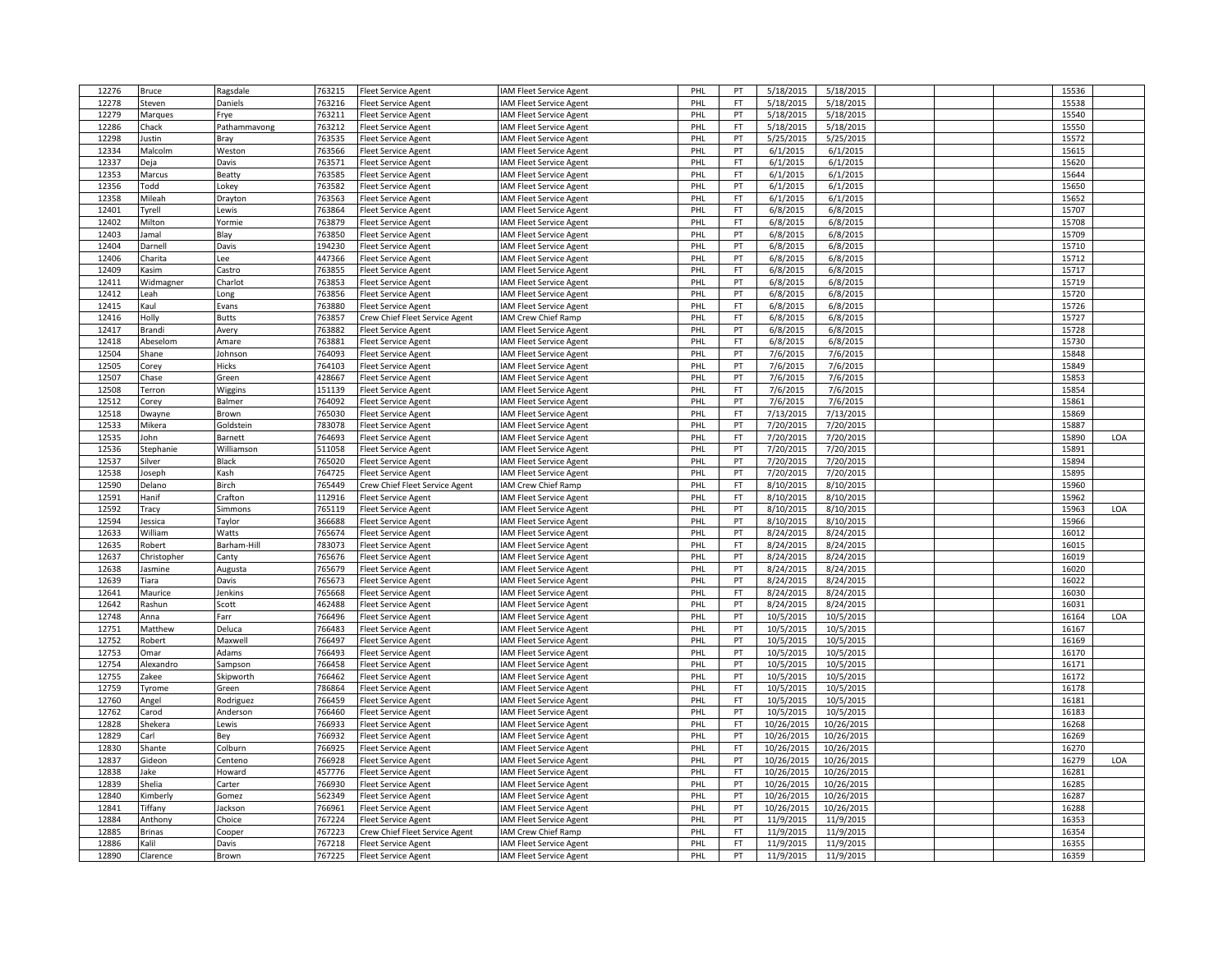| 12276 | Bruce           | Ragsdale     | 763215 | <b>Fleet Service Agent</b>     | <b>AM Fleet Service Agent</b>  | PHL | PT        | 5/18/2015  | 5/18/2015  |  | 15536 |     |
|-------|-----------------|--------------|--------|--------------------------------|--------------------------------|-----|-----------|------------|------------|--|-------|-----|
| 12278 | Steven          | Daniels      | 763216 | leet Service Agent             | AM Fleet Service Agent         | PHL | FT        | 5/18/2015  | 5/18/2015  |  | 15538 |     |
| 12279 | Marques         | Frye         | 763211 | leet Service Agent             | AM Fleet Service Agent         | PHL | PT        | 5/18/2015  | 5/18/2015  |  | 15540 |     |
| 12286 | Chack           | Pathammavong | 763212 | Fleet Service Agent            | <b>AM Fleet Service Agent</b>  | PHL | <b>FT</b> | 5/18/2015  | 5/18/2015  |  | 15550 |     |
| 12298 | Justin          | Bray         | 763535 | leet Service Agent             | <b>AM Fleet Service Agent</b>  | PHL | PT        | 5/25/2015  | 5/25/2015  |  | 15572 |     |
| 12334 | Malcolm         | Weston       | 763566 | leet Service Agent             | <b>AM Fleet Service Agent</b>  | PHL | PT        | 6/1/2015   | 6/1/2015   |  | 15615 |     |
| 12337 |                 | Davis        | 763571 |                                |                                | PHL | FT.       | 6/1/2015   | 6/1/2015   |  | 15620 |     |
|       | Deja            |              |        | Fleet Service Agent            | <b>IAM Fleet Service Agent</b> |     |           |            |            |  |       |     |
| 12353 | Marcus          | Beatty       | 763585 | <b>Fleet Service Agent</b>     | AM Fleet Service Agent         | PHL | <b>FT</b> | 6/1/2015   | 6/1/2015   |  | 15644 |     |
| 12356 | Todd            | Lokey        | 763582 | Fleet Service Agent            | <b>AM Fleet Service Agent</b>  | PHL | PT        | 6/1/2015   | 6/1/2015   |  | 15650 |     |
| 12358 | Mileah          | Drayton      | 763563 | Fleet Service Agent            | AM Fleet Service Agent         | PHL | FT.       | 6/1/2015   | 6/1/2015   |  | 15652 |     |
| 12401 | Tyrell          | Lewis        | 763864 | Fleet Service Agent            | <b>AM Fleet Service Agent</b>  | PHL | FT        | 6/8/2015   | 6/8/2015   |  | 15707 |     |
| 12402 | Milton          | Yormie       | 763879 | leet Service Agent             | <b>IAM Fleet Service Agent</b> | PHL | FT        | 6/8/2015   | 6/8/2015   |  | 15708 |     |
| 12403 | lamal           | Blay         | 763850 | leet Service Agent             | <b>AM Fleet Service Agent</b>  | PHL | PT        | 6/8/2015   | 6/8/2015   |  | 15709 |     |
| 12404 | Darnell         | Davis        | 194230 | Fleet Service Agent            | <b>IAM Fleet Service Agent</b> | PHL | PT        | 6/8/2015   | 6/8/2015   |  | 15710 |     |
| 12406 | Charita         | Lee          | 447366 | Fleet Service Agent            | AM Fleet Service Agent         | PHL | PT        | 6/8/2015   | 6/8/2015   |  | 15712 |     |
| 12409 | Kasim           | Castro       | 763855 | <b>Fleet Service Agent</b>     | <b>AM Fleet Service Agent</b>  | PHL | <b>FT</b> | 6/8/2015   | 6/8/2015   |  | 15717 |     |
| 12411 | Widmagner       | Charlot      | 763853 | Fleet Service Agent            | <b>AM Fleet Service Agent</b>  | PHL | PT        | 6/8/2015   | 6/8/2015   |  | 15719 |     |
| 12412 | Leah            | Long         | 763856 | <b>Fleet Service Agent</b>     | <b>AM Fleet Service Agent</b>  | PHL | PT        | 6/8/2015   | 6/8/2015   |  | 15720 |     |
| 12415 | Kaul            | Evans        | 763880 | leet Service Agent             | <b>AM Fleet Service Agent</b>  | PHL | FT        | 6/8/2015   | 6/8/2015   |  | 15726 |     |
| 12416 | Holly           | <b>Butts</b> | 763857 | Crew Chief Fleet Service Agent | <b>IAM Crew Chief Ramp</b>     | PHL | FT        | 6/8/2015   | 6/8/2015   |  | 15727 |     |
| 12417 |                 |              | 763882 | <b>Fleet Service Agent</b>     | <b>AM Fleet Service Agent</b>  | PHL | PT        | 6/8/2015   | 6/8/2015   |  | 15728 |     |
|       | Brandi          | Avery        | 763881 |                                |                                |     | FT        |            |            |  | 15730 |     |
| 12418 | Abeselom        | Amare        |        | leet Service Agent             | <b>IAM Fleet Service Agent</b> | PHL |           | 6/8/2015   | 6/8/2015   |  |       |     |
| 12504 | Shane           | Johnson      | 764093 | leet Service Agent             | AM Fleet Service Agent         | PHL | PT        | 7/6/2015   | 7/6/2015   |  | 15848 |     |
| 12505 | Corey           | Hicks        | 764103 | Fleet Service Agent            | <b>IAM Fleet Service Agent</b> | PHL | PT        | 7/6/2015   | 7/6/2015   |  | 15849 |     |
| 12507 | Chase           | Green        | 428667 | leet Service Agent             | AM Fleet Service Agent         | PHL | PT        | 7/6/2015   | 7/6/2015   |  | 15853 |     |
| 12508 | Terron          | Wiggins      | 151139 | <b>Fleet Service Agent</b>     | <b>AM Fleet Service Agent</b>  | PHL | FT.       | 7/6/2015   | 7/6/2015   |  | 15854 |     |
| 12512 | Corey           | Balmer       | 764092 | Fleet Service Agent            | <b>AM Fleet Service Agent</b>  | PHL | PT        | 7/6/2015   | 7/6/2015   |  | 15861 |     |
| 12518 | Dwayne          | Brown        | 765030 | <b>Fleet Service Agent</b>     | <b>AM Fleet Service Agent</b>  | PHL | FT.       | 7/13/2015  | 7/13/2015  |  | 15869 |     |
| 12533 | Mikera          | Goldstein    | 783078 | leet Service Agent             | <b>IAM Fleet Service Agent</b> | PHL | PT        | 7/20/2015  | 7/20/2015  |  | 15887 |     |
| 12535 | lohn            | Barnett      | 764693 | leet Service Agent             | <b>AM Fleet Service Agent</b>  | PHL | <b>FT</b> | 7/20/2015  | 7/20/2015  |  | 15890 | LOA |
| 12536 | Stephanie       | Williamson   | 511058 | Fleet Service Agent            | <b>AM Fleet Service Agent</b>  | PHL | PT        | 7/20/2015  | 7/20/2015  |  | 15891 |     |
| 12537 | Silver          | Black        | 765020 | leet Service Agent             | <b>AM Fleet Service Agent</b>  | PHL | PT        | 7/20/2015  | 7/20/2015  |  | 15894 |     |
| 12538 | Joseph          | Kash         | 764725 | leet Service Agent             | <b>AM Fleet Service Agent</b>  | PHL | PT        | 7/20/2015  | 7/20/2015  |  | 15895 |     |
| 12590 | Delano          | Birch        | 765449 | Crew Chief Fleet Service Agent | <b>AM Crew Chief Ramp</b>      | PHL | FT        | 8/10/2015  | 8/10/2015  |  | 15960 |     |
| 12591 | Hanif           | Crafton      | 112916 | <b>Fleet Service Agent</b>     | <b>AM Fleet Service Agent</b>  | PHL | FT.       | 8/10/2015  | 8/10/2015  |  | 15962 |     |
| 12592 | Tracy           | Simmons      | 765119 | Fleet Service Agent            | AM Fleet Service Agent         | PHL | PT        | 8/10/2015  | 8/10/2015  |  | 15963 | LOA |
| 12594 | Jessica         | Taylor       | 366688 | Fleet Service Agent            | AM Fleet Service Agent         | PHL | PT        | 8/10/2015  | 8/10/2015  |  | 15966 |     |
| 12633 | William         | Watts        | 765674 |                                | <b>AM Fleet Service Agent</b>  | PHL | PT        | 8/24/2015  | 8/24/2015  |  | 16012 |     |
|       |                 |              |        | Fleet Service Agent            |                                |     |           |            |            |  |       |     |
| 12635 | Robert          | Barham-Hill  | 783073 | leet Service Agent             | AM Fleet Service Agent         | PHL | FT        | 8/24/2015  | 8/24/2015  |  | 16015 |     |
| 12637 | Christopher     | Canty        | 765676 | Fleet Service Agent            | <b>AM Fleet Service Agent</b>  | PHL | PT        | 8/24/2015  | 8/24/2015  |  | 16019 |     |
| 12638 | lasmine         | Augusta      | 765679 | Fleet Service Agent            | <b>IAM Fleet Service Agent</b> | PHL | PT        | 8/24/2015  | 8/24/2015  |  | 16020 |     |
| 12639 | Tiara           | Davis        | 765673 | Fleet Service Agent            | AM Fleet Service Agent         | PHL | PT        | 8/24/2015  | 8/24/2015  |  | 16022 |     |
| 12641 | Maurice         | Jenkins      | 765668 | Fleet Service Agent            | <b>AM Fleet Service Agent</b>  | PHL | FT        | 8/24/2015  | 8/24/2015  |  | 16030 |     |
| 12642 | Rashun          | Scott        | 462488 | Fleet Service Agent            | <b>AM Fleet Service Agent</b>  | PHL | PT        | 8/24/2015  | 8/24/2015  |  | 16031 |     |
| 12748 | Anna            | Farr         | 766496 | Fleet Service Agent            | <b>AM Fleet Service Agent</b>  | PHL | PT        | 10/5/2015  | 10/5/2015  |  | 16164 | LOA |
| 12751 | Matthew         | Deluca       | 766483 | leet Service Agent             | <b>AM Fleet Service Agent</b>  | PHL | PT        | 10/5/2015  | 10/5/2015  |  | 16167 |     |
| 12752 | Robert          | Maxwell      | 766497 | leet Service Agent             | AM Fleet Service Agent         | PHL | PT        | 10/5/2015  | 10/5/2015  |  | 16169 |     |
| 12753 | Omar            | Adams        | 766493 | <b>Fleet Service Agent</b>     | <b>AM Fleet Service Agent</b>  | PHL | PT        | 10/5/2015  | 10/5/2015  |  | 16170 |     |
| 12754 | Alexandro       | Sampson      | 766458 | leet Service Agent             | <b>AM Fleet Service Agent</b>  | PHL | PT        | 10/5/2015  | 10/5/2015  |  | 16171 |     |
| 12755 | Zakee           | Skipworth    | 766462 | leet Service Agent             | AM Fleet Service Agent         | PHL | PT        | 10/5/2015  | 10/5/2015  |  | 16172 |     |
| 12759 | Tyrome          | Green        | 786864 | leet Service Agent             | <b>IAM Fleet Service Agent</b> | PHL | FT        | 10/5/2015  | 10/5/2015  |  | 16178 |     |
| 12760 | Angel           | Rodriguez    | 766459 | leet Service Agent             | AM Fleet Service Agent         | PHL | FT        | 10/5/2015  | 10/5/2015  |  | 16181 |     |
| 12762 | Carod           | Anderson     | 766460 | Fleet Service Agent            | <b>AM Fleet Service Agent</b>  | PHL | PT        | 10/5/2015  | 10/5/2015  |  | 16183 |     |
| 12828 |                 |              | 766933 |                                |                                | PHL | FT        | 10/26/2015 | 10/26/2015 |  | 16268 |     |
| 12829 | Shekera<br>Carl | Lewis        | 766932 | leet Service Agent             | <b>AM Fleet Service Agent</b>  | PHL | PT        | 10/26/2015 | 10/26/2015 |  | 16269 |     |
|       |                 | Bey          |        | <b>Fleet Service Agent</b>     | <b>AM Fleet Service Agent</b>  |     |           |            |            |  |       |     |
| 12830 | Shante          | Colburn      | 766925 | Fleet Service Agent            | <b>IAM Fleet Service Agent</b> | PHL | FT        | 10/26/2015 | 10/26/2015 |  | 16270 |     |
| 12837 | Gideon          | Centeno      | 766928 | leet Service Agent             | AM Fleet Service Agent         | PHL | PT        | 10/26/2015 | 10/26/2015 |  | 16279 | LOA |
| 12838 | Jake            | Howard       | 457776 | Fleet Service Agent            | <b>AM Fleet Service Agent</b>  | PHL | <b>FT</b> | 10/26/2015 | 10/26/2015 |  | 16281 |     |
| 12839 | Shelia          | Carter       | 766930 | leet Service Agent             | <b>AM Fleet Service Agent</b>  | PHL | PT        | 10/26/2015 | 10/26/2015 |  | 16285 |     |
| 12840 | Kimberly        | Gomez        | 562349 | Fleet Service Agent            | <b>AM Fleet Service Agent</b>  | PHL | PT        | 10/26/2015 | 10/26/2015 |  | 16287 |     |
| 12841 | Tiffany         | Jackson      | 766961 | Fleet Service Agent            | <b>AM Fleet Service Agent</b>  | PHL | PT        | 10/26/2015 | 10/26/2015 |  | 16288 |     |
| 12884 | Anthony         | Choice       | 767224 | Fleet Service Agent            | <b>AM Fleet Service Agent</b>  | PHL | PT        | 11/9/2015  | 11/9/2015  |  | 16353 |     |
| 12885 | <b>Brinas</b>   | Cooper       | 767223 | Crew Chief Fleet Service Agent | AM Crew Chief Ramp             | PHL | FT        | 11/9/2015  | 11/9/2015  |  | 16354 |     |
| 12886 | alil)           | Davis        | 767218 | <b>Fleet Service Agent</b>     | AM Fleet Service Agent         | PHL | FT.       | 11/9/2015  | 11/9/2015  |  | 16355 |     |
| 12890 | Clarence        | Brown        | 767225 | Fleet Service Agent            | IAM Fleet Service Agent        | PHL | PT        | 11/9/2015  | 11/9/2015  |  | 16359 |     |
|       |                 |              |        |                                |                                |     |           |            |            |  |       |     |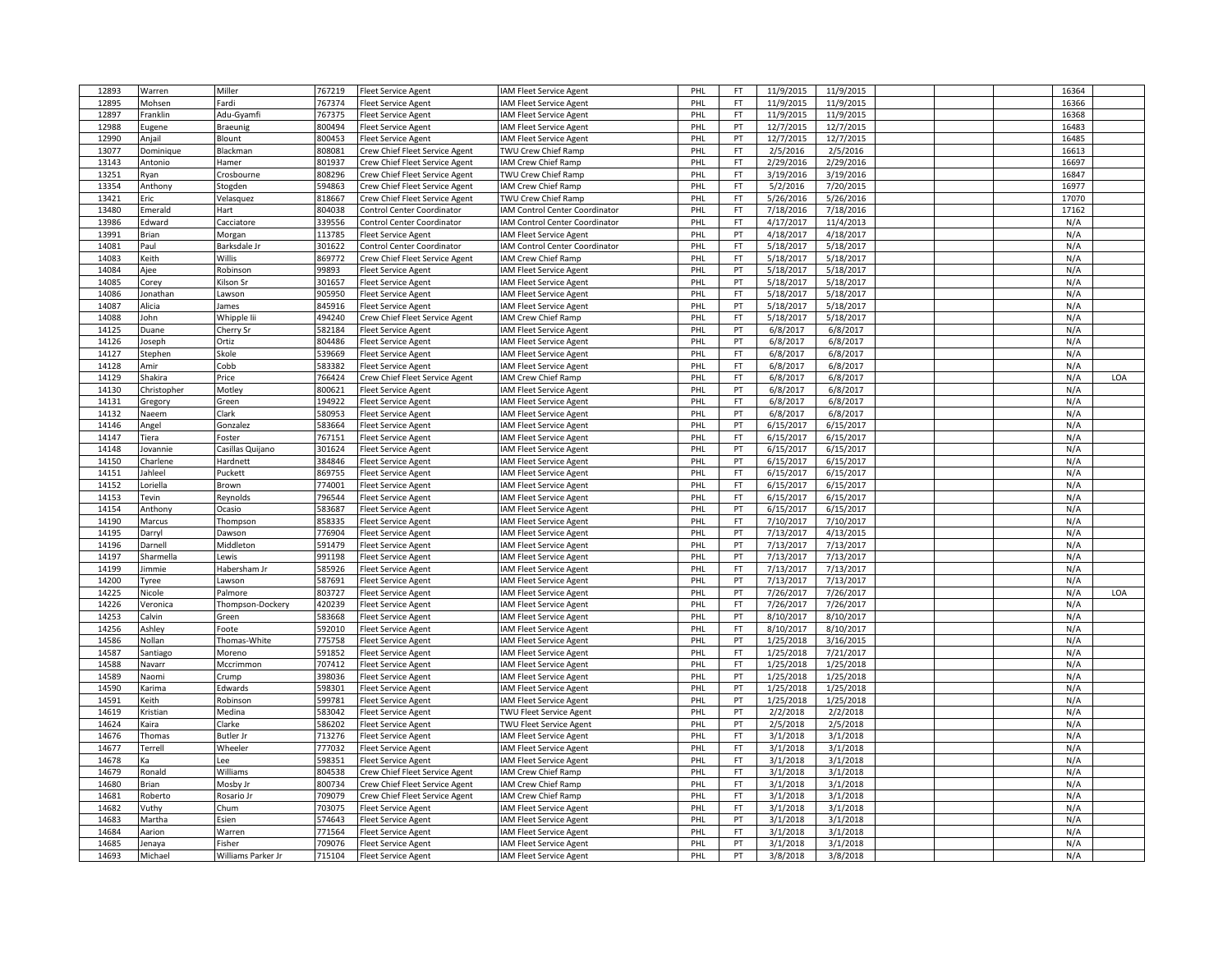| 12893 | Warren      | Miller             | 767219 | Fleet Service Agent               | IAM Fleet Service Agent        | PHL        | FT.       | 11/9/2015 | 11/9/2015 |  | 16364 |     |
|-------|-------------|--------------------|--------|-----------------------------------|--------------------------------|------------|-----------|-----------|-----------|--|-------|-----|
| 12895 | Mohsen      | Fardi              | 767374 | leet Service Agent                | <b>IAM Fleet Service Agent</b> | PHI        | FT        | 11/9/2015 | 11/9/2015 |  | 16366 |     |
| 12897 | Franklin    | Adu-Gyamfi         | 767375 | Fleet Service Agent               | IAM Fleet Service Agent        | PHL        | <b>FT</b> | 11/9/2015 | 11/9/2015 |  | 16368 |     |
| 12988 | Eugene      | Braeunig           | 800494 | Fleet Service Agent               | IAM Fleet Service Agent        | PHL        | PT        | 12/7/2015 | 12/7/2015 |  | 16483 |     |
| 12990 | Anjail      | Blount             | 800453 | Fleet Service Agent               | IAM Fleet Service Agent        | PHL        | PT        | 12/7/2015 | 12/7/2015 |  | 16485 |     |
| 13077 | Dominique   | Blackman           | 808081 | Crew Chief Fleet Service Agent    | TWU Crew Chief Ramp            | PHL        | FT.       | 2/5/2016  | 2/5/2016  |  | 16613 |     |
| 13143 | Antonio     | Hamer              | 801937 | Crew Chief Fleet Service Agent    | IAM Crew Chief Ramp            | PHL        | FT        | 2/29/2016 | 2/29/2016 |  | 16697 |     |
| 13251 | Ryan        | Crosbourne         | 808296 | Crew Chief Fleet Service Agent    | TWU Crew Chief Ramp            | PHL        | <b>FT</b> | 3/19/2016 | 3/19/2016 |  | 16847 |     |
| 13354 | Anthony     | Stogden            | 594863 | Crew Chief Fleet Service Agent    | IAM Crew Chief Ramp            | PHI        | <b>FT</b> | 5/2/2016  | 7/20/2015 |  | 16977 |     |
| 13421 | Eric        | Velasquez          | 818667 | Crew Chief Fleet Service Agent    | TWU Crew Chief Ramp            | PHL        | FT        | 5/26/2016 | 5/26/2016 |  | 17070 |     |
| 13480 | Emerald     | Hart               | 804038 | Control Center Coordinator        | IAM Control Center Coordinator | PHL        | FT        | 7/18/2016 | 7/18/2016 |  | 17162 |     |
| 13986 | Edward      | Cacciatore         | 339556 | <b>Control Center Coordinator</b> | IAM Control Center Coordinator | PHL        | FT        | 4/17/2017 | 11/4/2013 |  | N/A   |     |
| 13991 | Brian       | Morgan             | 113785 | leet Service Agent                | IAM Fleet Service Agent        | PHL        | PT        | 4/18/2017 | 4/18/2017 |  | N/A   |     |
| 14081 | Paul        | Barksdale Jr       | 301622 | Control Center Coordinator        | IAM Control Center Coordinator | PHL        | FT        | 5/18/2017 | 5/18/2017 |  | N/A   |     |
| 14083 | Keith       | Willis             | 869772 | Crew Chief Fleet Service Agent    | IAM Crew Chief Ramp            | PHI        | <b>FT</b> | 5/18/2017 | 5/18/2017 |  | N/A   |     |
| 14084 | Ajee        | Robinson           | 99893  | Fleet Service Agent               | IAM Fleet Service Agent        | PHL        | PT        | 5/18/2017 | 5/18/2017 |  | N/A   |     |
| 14085 | Corey       | Kilson Sr          | 301657 | Fleet Service Agent               | IAM Fleet Service Agent        | PHL        | PT        | 5/18/2017 | 5/18/2017 |  | N/A   |     |
| 14086 | Jonathan    | Lawson             | 905950 | leet Service Agent                | IAM Fleet Service Agent        | PHL        | FT.       | 5/18/2017 | 5/18/2017 |  | N/A   |     |
| 14087 | Alicia      | James              | 845916 | leet Service Agent                | IAM Fleet Service Agent        | PHI        | PT        | 5/18/2017 | 5/18/2017 |  | N/A   |     |
| 14088 | John        | Whipple lii        | 494240 | Crew Chief Fleet Service Agent    | IAM Crew Chief Ramp            | PHL        | FT        | 5/18/2017 | 5/18/2017 |  | N/A   |     |
| 14125 | Duane       | Cherry Sr          | 582184 | Fleet Service Agent               | IAM Fleet Service Agent        | <b>PHL</b> | PT        | 6/8/2017  | 6/8/2017  |  | N/A   |     |
| 14126 | Joseph      | Ortiz              | 804486 | Fleet Service Agent               | IAM Fleet Service Agent        | PHI        | PT        | 6/8/2017  | 6/8/2017  |  | N/A   |     |
| 14127 | Stephen     | Skole              | 539669 | leet Service Agent                | IAM Fleet Service Agent        | PHL        | <b>FT</b> | 6/8/2017  | 6/8/2017  |  | N/A   |     |
| 14128 | Amir        | Cobb               | 583382 |                                   | IAM Fleet Service Agent        | PHL        | FT        | 6/8/2017  | 6/8/2017  |  | N/A   |     |
| 14129 | Shakira     | Price              | 766424 | leet Service Agent                |                                | PHI        | <b>FT</b> | 6/8/2017  | 6/8/2017  |  | N/A   | LOA |
|       |             |                    |        | Crew Chief Fleet Service Agent    | IAM Crew Chief Ramp            | PHL        | PT        |           |           |  | N/A   |     |
| 14130 | Christopher | Motley             | 800621 | leet Service Agent                | IAM Fleet Service Agent        |            |           | 6/8/2017  | 6/8/2017  |  |       |     |
| 14131 | Gregory     | Green              | 194922 | leet Service Agent                | IAM Fleet Service Agent        | PHL        | FT        | 6/8/2017  | 6/8/2017  |  | N/A   |     |
| 14132 | Naeem       | Clark              | 580953 | leet Service Agent                | IAM Fleet Service Agent        | PHL        | PT        | 6/8/2017  | 6/8/2017  |  | N/A   |     |
| 14146 | Angel       | Gonzalez           | 583664 | leet Service Agent                | <b>IAM Fleet Service Agent</b> | PHI        | PT        | 6/15/2017 | 6/15/2017 |  | N/A   |     |
| 14147 | Tiera       | Foster             | 767151 | leet Service Agent                | IAM Fleet Service Agent        | PHL        | <b>FT</b> | 6/15/2017 | 6/15/2017 |  | N/A   |     |
| 14148 | Jovannie    | Casillas Quijano   | 301624 | leet Service Agent                | IAM Fleet Service Agent        | PHI        | PT        | 6/15/2017 | 6/15/2017 |  | N/A   |     |
| 14150 | Charlene    | Hardnett           | 384846 | leet Service Agent                | IAM Fleet Service Agent        | PHI        | PT        | 6/15/2017 | 6/15/2017 |  | N/A   |     |
| 14151 | Jahleel     | Puckett            | 869755 | leet Service Agent                | IAM Fleet Service Agent        | PHL        | FT.       | 6/15/2017 | 6/15/2017 |  | N/A   |     |
| 14152 | Loriella    | Brown              | 774001 | leet Service Agent                | <b>IAM Fleet Service Agent</b> | PHL        | FT.       | 6/15/2017 | 6/15/2017 |  | N/A   |     |
| 14153 | Tevin       | Reynolds           | 796544 | leet Service Agent                | IAM Fleet Service Agent        | PHL        | <b>FT</b> | 6/15/2017 | 6/15/2017 |  | N/A   |     |
| 14154 | Anthony     | Ocasio             | 583687 | leet Service Agent                | IAM Fleet Service Agent        | PHI        | PT        | 6/15/2017 | 6/15/2017 |  | N/A   |     |
| 14190 | Marcus      | Thompson           | 858335 | leet Service Agent                | IAM Fleet Service Agent        | PHL        | FT        | 7/10/2017 | 7/10/2017 |  | N/A   |     |
| 14195 | Darryl      | Dawson             | 776904 | leet Service Agent                | IAM Fleet Service Agent        | PHL        | PT        | 7/13/2017 | 4/13/2015 |  | N/A   |     |
| 14196 | Darnell     | Middleton          | 591479 | leet Service Agent                | IAM Fleet Service Agent        | PHL        | PT        | 7/13/2017 | 7/13/2017 |  | N/A   |     |
| 14197 | Sharmella   | Lewis              | 991198 | leet Service Agent                | IAM Fleet Service Agent        | PHL        | PT        | 7/13/2017 | 7/13/2017 |  | N/A   |     |
| 14199 | Jimmie      | Habersham Jr       | 585926 | leet Service Agent                | IAM Fleet Service Agent        | PHL        | FT        | 7/13/2017 | 7/13/2017 |  | N/A   |     |
| 14200 | Tyree       | Lawson             | 587691 | <b>Fleet Service Agent</b>        | IAM Fleet Service Agent        | PHI        | PT        | 7/13/2017 | 7/13/2017 |  | N/A   |     |
| 14225 | Nicole      | Palmore            | 803727 | leet Service Agent                | IAM Fleet Service Agent        | PHL        | PT        | 7/26/2017 | 7/26/2017 |  | N/A   | LOA |
| 14226 | Veronica    | Thompson-Dockery   | 420239 | leet Service Agent                | IAM Fleet Service Agent        | PHL        | <b>FT</b> | 7/26/2017 | 7/26/2017 |  | N/A   |     |
| 14253 | Calvin      | Green              | 583668 | leet Service Agent                | IAM Fleet Service Agent        | PHL        | PT        | 8/10/2017 | 8/10/2017 |  | N/A   |     |
| 14256 | Ashley      | Foote              | 592010 | leet Service Agent                | IAM Fleet Service Agent        | PHI        | FT        | 8/10/2017 | 8/10/2017 |  | N/A   |     |
| 14586 | Nollan      | Thomas-White       | 775758 | leet Service Agent                | IAM Fleet Service Agent        | PHL        | PT        | 1/25/2018 | 3/16/2015 |  | N/A   |     |
| 14587 | Santiago    | Moreno             | 591852 | leet Service Agent                | IAM Fleet Service Agent        | PHI        | FT        | 1/25/2018 | 7/21/2017 |  | N/A   |     |
| 14588 | Navarr      | Mccrimmon          | 707412 | leet Service Agent                | IAM Fleet Service Agent        | PHI        | <b>FT</b> | 1/25/2018 | 1/25/2018 |  | N/A   |     |
| 14589 | Naomi       | Crump              | 398036 | leet Service Agent                | IAM Fleet Service Agent        | PHL        | PT        | 1/25/2018 | 1/25/2018 |  | N/A   |     |
| 14590 | Karima      | Edwards            | 598301 | leet Service Agent                | IAM Fleet Service Agent        | PHL        | PT        | 1/25/2018 | 1/25/2018 |  | N/A   |     |
| 14591 | Keith       | Robinson           | 599781 | leet Service Agent                | <b>IAM Fleet Service Agent</b> | PHL        | PT        | 1/25/2018 | 1/25/2018 |  | N/A   |     |
| 14619 | Kristian    | Medina             | 583042 | leet Service Agent                | TWU Fleet Service Agent        | PHL        | PT        | 2/2/2018  | 2/2/2018  |  | N/A   |     |
| 14624 | Kaira       | Clarke             | 586202 | leet Service Agent                | TWU Fleet Service Agent        | PHL        | PT        | 2/5/2018  | 2/5/2018  |  | N/A   |     |
| 14676 | Thomas      | <b>Butler Jr</b>   | 713276 | leet Service Agent                | IAM Fleet Service Agent        | PHL        | <b>FT</b> | 3/1/2018  | 3/1/2018  |  | N/A   |     |
| 14677 | Terrell     | Wheeler            | 777032 | leet Service Agent                | <b>IAM Fleet Service Agent</b> | PHI        | FT        | 3/1/2018  | 3/1/2018  |  | N/A   |     |
| 14678 | Ka          | Lee                | 598351 | Fleet Service Agent               | IAM Fleet Service Agent        | PHL        | <b>FT</b> | 3/1/2018  | 3/1/2018  |  | N/A   |     |
| 14679 | Ronald      | Williams           | 804538 | Crew Chief Fleet Service Agent    | IAM Crew Chief Ramp            | PHI        | FT        | 3/1/2018  | 3/1/2018  |  | N/A   |     |
| 14680 | Brian       | Mosby Jr           | 800734 | Crew Chief Fleet Service Agent    | IAM Crew Chief Ramp            | PHI        | FT        | 3/1/2018  | 3/1/2018  |  | N/A   |     |
| 14681 | Roberto     | Rosario Jr         | 709079 | Crew Chief Fleet Service Agent    | IAM Crew Chief Ramp            | PHL        | FT        | 3/1/2018  | 3/1/2018  |  | N/A   |     |
| 14682 | Vuthy       | Chum               | 703075 | Fleet Service Agent               | <b>IAM Fleet Service Agent</b> | PHL        | FT        | 3/1/2018  | 3/1/2018  |  | N/A   |     |
| 14683 | Martha      | Esien              | 574643 | leet Service Agent                | IAM Fleet Service Agent        | PHL        | PT        | 3/1/2018  | 3/1/2018  |  | N/A   |     |
| 14684 | Aarion      | Warren             | 771564 | leet Service Agent                | AM Fleet Service Agent         | PHI        | FT        | 3/1/2018  | 3/1/2018  |  | N/A   |     |
| 14685 | lenaya      | Fisher             | 709076 | Fleet Service Agent               | IAM Fleet Service Agent        | PHL        | PT        | 3/1/2018  | 3/1/2018  |  | N/A   |     |
| 14693 | Michael     | Williams Parker Jr | 715104 | <b>Fleet Service Agent</b>        | IAM Fleet Service Agent        | PHL        | PT        | 3/8/2018  | 3/8/2018  |  | N/A   |     |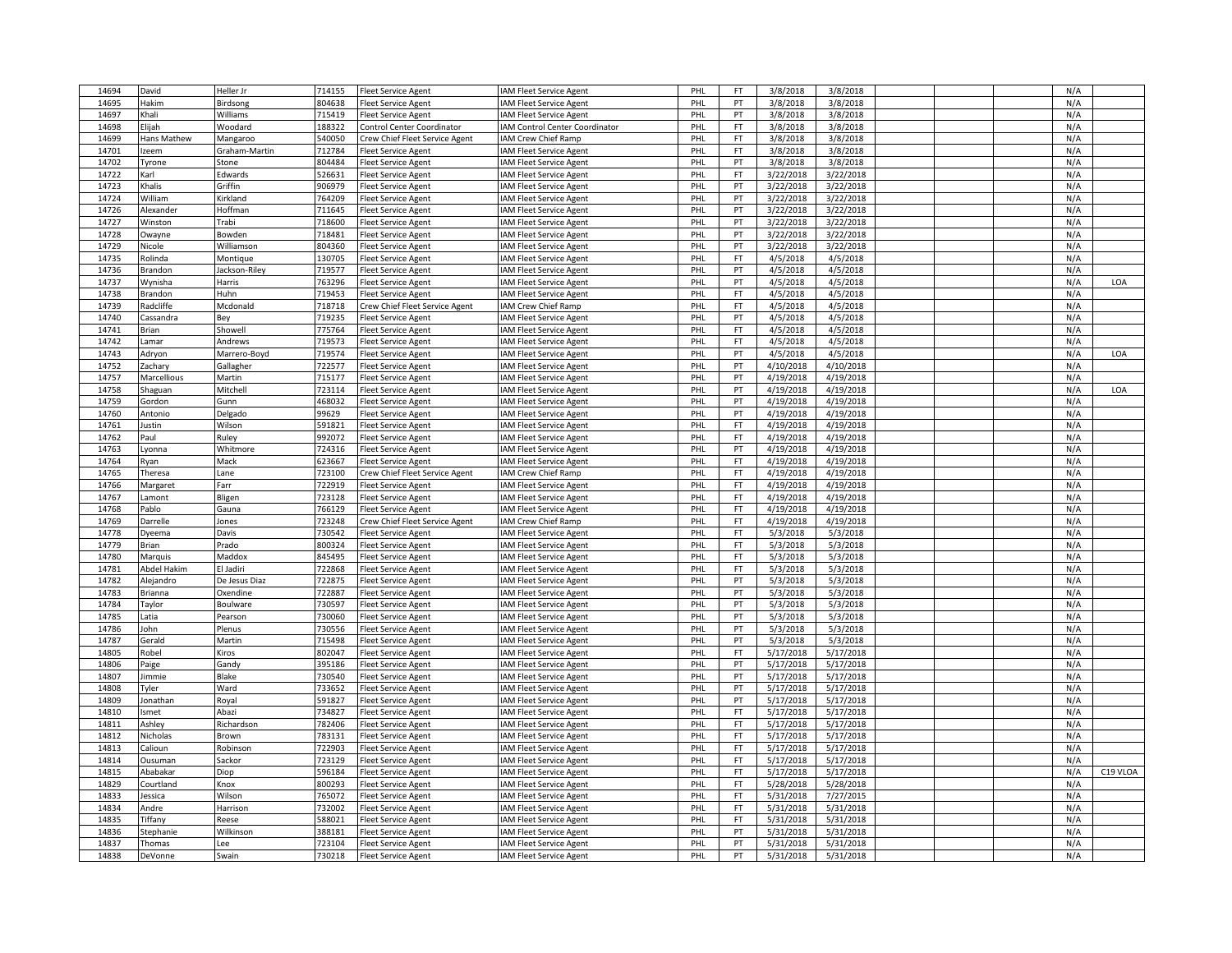| 14694          | David              | Heller Jr     | 714155           | <b>Fleet Service Agent</b>     | IAM Fleet Service Agent        | PHL        | FT                     | 3/8/2018               | 3/8/2018  |  | N/A        |          |
|----------------|--------------------|---------------|------------------|--------------------------------|--------------------------------|------------|------------------------|------------------------|-----------|--|------------|----------|
| 14695          | Hakim              | Birdsong      | 804638           | <b>Fleet Service Agent</b>     | IAM Fleet Service Agent        | PHL        | PT                     | 3/8/2018               | 3/8/2018  |  | N/A        |          |
| 14697          | Khali              | Williams      | 715419           | <b>Fleet Service Agent</b>     | IAM Fleet Service Agent        | PHL        | PT                     | 3/8/2018               | 3/8/2018  |  | N/A        |          |
| 14698          | Eliiah             | Woodard       | 188322           | Control Center Coordinator     | IAM Control Center Coordinator | PHI        | <b>FT</b>              | 3/8/2018               | 3/8/2018  |  | N/A        |          |
| 14699          | Hans Mathew        | Mangaroo      | 540050           | Crew Chief Fleet Service Agent | IAM Crew Chief Ramp            | PHI        | <b>FT</b>              | 3/8/2018               | 3/8/2018  |  | N/A        |          |
| 14701          | Izeem              | Graham-Martin | 712784           | <b>Fleet Service Agent</b>     | IAM Fleet Service Agent        | PHL        | <b>FT</b>              | 3/8/2018               | 3/8/2018  |  | N/A        |          |
| 14702          | Tyrone             | Stone         | 804484           | <b>Fleet Service Agent</b>     | IAM Fleet Service Agent        | PHI        | PT                     | 3/8/2018               | 3/8/2018  |  | N/A        |          |
| 14722          | Karl               | Edwards       | 526631           | <b>Fleet Service Agent</b>     | IAM Fleet Service Agent        | PHI        | <b>FT</b>              | 3/22/2018              | 3/22/2018 |  | N/A        |          |
| 14723          | Khalis             | Griffin       | 906979           | <b>Fleet Service Agent</b>     | IAM Fleet Service Agent        | PHL        | PT                     | 3/22/2018              | 3/22/2018 |  | N/A        |          |
| 14724          | William            | Kirkland      | 764209           | <b>Fleet Service Agent</b>     | IAM Fleet Service Agent        | PHL        | PT                     | 3/22/2018              | 3/22/2018 |  | N/A        |          |
| 14726          | Alexander          | Hoffman       | 711645           | <b>Fleet Service Agent</b>     | IAM Fleet Service Agent        | PHI        | PT                     | 3/22/2018              | 3/22/2018 |  | N/A        |          |
| 14727          | Winston            | <b>Trabi</b>  | 718600           | Fleet Service Agent            | IAM Fleet Service Agent        | PHI        | PT                     | 3/22/2018              | 3/22/2018 |  | N/A        |          |
| 14728          | Owayne             | Bowden        | 718481           | <b>Fleet Service Agent</b>     | IAM Fleet Service Agent        | PHL        | PT                     | 3/22/2018              | 3/22/2018 |  | N/A        |          |
| 14729          | Nicole             | Williamson    | 804360           | <b>Fleet Service Agent</b>     | IAM Fleet Service Agent        | PHI        | PT                     | 3/22/2018              | 3/22/2018 |  | N/A        |          |
| 14735          | Rolinda            | Montique      | 130705           | <b>Fleet Service Agent</b>     | IAM Fleet Service Agent        | PHL        | <b>FT</b>              | 4/5/2018               | 4/5/2018  |  | N/A        |          |
| 14736          | Brandon            | Jackson-Riley | 719577           | <b>Fleet Service Agent</b>     | IAM Fleet Service Agent        | PHL        | PT                     | 4/5/2018               | 4/5/2018  |  | N/A        |          |
| 14737          | Wynisha            | Harris        | 763296           | <b>Fleet Service Agent</b>     | IAM Fleet Service Agent        | PHI        | PT                     | 4/5/2018               | 4/5/2018  |  | N/A        | LOA      |
| 14738          | Brandon            | Huhn          | 719453           | <b>Fleet Service Agent</b>     | IAM Fleet Service Agent        | PHI        | <b>FT</b>              | 4/5/2018               | 4/5/2018  |  | N/A        |          |
| 14739          | Radcliffe          | Mcdonald      | 718718           | Crew Chief Fleet Service Agent | IAM Crew Chief Ramp            | PHL        | <b>FT</b>              | 4/5/2018               | 4/5/2018  |  | N/A        |          |
| 14740          | Cassandra          | Bey           | 719235           | <b>Fleet Service Agent</b>     | IAM Fleet Service Agent        | PHL        | PT                     | 4/5/2018               | 4/5/2018  |  | N/A        |          |
| 14741          | Brian              | Showell       | 775764           | <b>Fleet Service Agent</b>     | IAM Fleet Service Agent        | PHI        | <b>FT</b>              | 4/5/2018               | 4/5/2018  |  | N/A        |          |
| 14742          | .amar              | Andrews       | 719573           | <b>Fleet Service Agent</b>     | IAM Fleet Service Agent        | PHI        | <b>FT</b>              | 4/5/2018               | 4/5/2018  |  | N/A        |          |
| 14743          | Adryon             | Marrero-Boyd  | 719574           | <b>Fleet Service Agent</b>     | <b>AM Fleet Service Agent</b>  | PHL        | PT                     | 4/5/2018               | 4/5/2018  |  | N/A        | LOA      |
| 14752          | Zachary            | Gallagher     | 722577           | <b>Fleet Service Agent</b>     | IAM Fleet Service Agent        | PHI        | PT                     | 4/10/2018              | 4/10/2018 |  | N/A        |          |
| 14757          | Marcellious        | Martin        | 715177           | <b>Fleet Service Agent</b>     | IAM Fleet Service Agent        | PHI        | PT                     | 4/19/2018              | 4/19/2018 |  | N/A        |          |
| 14758          | Shaguan            | Mitchell      | 723114           | <b>Fleet Service Agent</b>     | IAM Fleet Service Agent        | PHL        | PT                     | 4/19/2018              | 4/19/2018 |  | N/A        | LOA      |
| 14759          | Gordon             | Gunn          | 468032           | <b>Fleet Service Agent</b>     | IAM Fleet Service Agent        | PHL        | PT                     | 4/19/2018              | 4/19/2018 |  | N/A        |          |
| 14760          | Antonio            | Delgado       | 99629            |                                |                                | PHI        | PT                     | 4/19/2018              | 4/19/2018 |  | N/A        |          |
|                |                    |               |                  | <b>Fleet Service Agent</b>     | IAM Fleet Service Agent        | PHL        | <b>FT</b>              |                        |           |  |            |          |
| 14761<br>14762 | lustin<br>Paul     | Wilson        | 591821<br>992072 | <b>Fleet Service Agent</b>     | IAM Fleet Service Agent        | PHL        | <b>FT</b>              | 4/19/2018<br>4/19/2018 | 4/19/2018 |  | N/A<br>N/A |          |
|                |                    | Ruley         | 724316           | <b>Fleet Service Agent</b>     | IAM Fleet Service Agent        |            | PT                     |                        | 4/19/2018 |  |            |          |
| 14763          | Lyonna             | Whitmore      |                  | <b>Fleet Service Agent</b>     | IAM Fleet Service Agent        | PHI        | FT                     | 4/19/2018              | 4/19/2018 |  | N/A<br>N/A |          |
| 14764          | Ryan               | Mack          | 623667           | <b>Fleet Service Agent</b>     | IAM Fleet Service Agent        | PHI        |                        | 4/19/2018              | 4/19/2018 |  |            |          |
| 14765          | Theresa            | Lane          | 723100<br>722919 | Crew Chief Fleet Service Agent | IAM Crew Chief Ramp            | PHL<br>PHL | <b>FT</b><br><b>FT</b> | 4/19/2018              | 4/19/2018 |  | N/A        |          |
| 14766          | Margaret           | Farr          |                  | <b>Fleet Service Agent</b>     | IAM Fleet Service Agent        |            | <b>FT</b>              | 4/19/2018              | 4/19/2018 |  | N/A        |          |
| 14767          | Lamont             | Bligen        | 723128           | <b>Fleet Service Agent</b>     | IAM Fleet Service Agent        | PHI        |                        | 4/19/2018              | 4/19/2018 |  | N/A        |          |
| 14768          | Pablo              | Gauna         | 766129           | <b>Fleet Service Agent</b>     | IAM Fleet Service Agent        | PHL        | <b>FT</b>              | 4/19/2018              | 4/19/2018 |  | N/A        |          |
| 14769          | Darrelle           | Jones         | 723248           | Crew Chief Fleet Service Agent | IAM Crew Chief Ramp            | PHL        | <b>FT</b><br><b>FT</b> | 4/19/2018              | 4/19/2018 |  | N/A        |          |
| 14778          | Dyeema             | Davis         | 730542           | <b>Fleet Service Agent</b>     | IAM Fleet Service Agent        | PHI        |                        | 5/3/2018               | 5/3/2018  |  | N/A        |          |
| 14779          | Brian              | Prado         | 800324           | <b>Fleet Service Agent</b>     | IAM Fleet Service Agent        | PHI        | FT                     | 5/3/2018               | 5/3/2018  |  | N/A        |          |
| 14780          | Marquis            | Maddox        | 845495           | <b>Fleet Service Agent</b>     | IAM Fleet Service Agent        | PHL        | <b>FT</b>              | 5/3/2018               | 5/3/2018  |  | N/A        |          |
| 14781          | <b>Abdel Hakim</b> | El Jadiri     | 722868           | <b>Fleet Service Agent</b>     | IAM Fleet Service Agent        | PHI        | <b>FT</b>              | 5/3/2018               | 5/3/2018  |  | N/A        |          |
| 14782          | Alejandro          | De Jesus Diaz | 722875           | <b>Fleet Service Agent</b>     | IAM Fleet Service Agent        | PHI        | PT                     | 5/3/2018               | 5/3/2018  |  | N/A        |          |
| 14783          | Brianna            | Oxendine      | 722887           | <b>Fleet Service Agent</b>     | IAM Fleet Service Agent        | PHL        | PT                     | 5/3/2018               | 5/3/2018  |  | N/A        |          |
| 14784          | Taylor             | Boulware      | 730597           | <b>Fleet Service Agent</b>     | IAM Fleet Service Agent        | PHI        | PT                     | 5/3/2018               | 5/3/2018  |  | N/A        |          |
| 14785          | Latia              | Pearson       | 730060           | <b>Fleet Service Agent</b>     | IAM Fleet Service Agent        | PHI        | PT                     | 5/3/2018               | 5/3/2018  |  | N/A        |          |
| 14786          | John               | Plenus        | 730556           | <b>Fleet Service Agent</b>     | IAM Fleet Service Agent        | PHL        | PT                     | 5/3/2018               | 5/3/2018  |  | N/A        |          |
| 14787          | Gerald             | Martin        | 715498           | <b>Fleet Service Agent</b>     | IAM Fleet Service Agent        | PHL        | PT                     | 5/3/2018               | 5/3/2018  |  | N/A        |          |
| 14805          | Robel              | Kiros         | 802047           | <b>Fleet Service Agent</b>     | IAM Fleet Service Agent        | PHL        | <b>FT</b>              | 5/17/2018              | 5/17/2018 |  | N/A        |          |
| 14806          | Paige              | Gandy         | 395186           | <b>Fleet Service Agent</b>     | IAM Fleet Service Agent        | PHI        | PT                     | 5/17/2018              | 5/17/2018 |  | N/A        |          |
| 14807          | Jimmie             | Blake         | 730540           | <b>Fleet Service Agent</b>     | <b>AM Fleet Service Agent</b>  | PHL        | PT                     | 5/17/2018              | 5/17/2018 |  | N/A        |          |
| 14808          | Tyler              | Ward          | 733652           | <b>Fleet Service Agent</b>     | IAM Fleet Service Agent        | PHI        | PT                     | 5/17/2018              | 5/17/2018 |  | N/A        |          |
| 14809          | Jonathan           | Royal         | 591827           | <b>Fleet Service Agent</b>     | IAM Fleet Service Agent        | PHI        | PT                     | 5/17/2018              | 5/17/2018 |  | N/A        |          |
| 14810          | Ismet              | Abazi         | 734827           | <b>Fleet Service Agent</b>     | IAM Fleet Service Agent        | PHL        | <b>FT</b>              | 5/17/2018              | 5/17/2018 |  | N/A        |          |
| 14811          | Ashley             | Richardson    | 782406           | <b>Fleet Service Agent</b>     | IAM Fleet Service Agent        | PHL        | <b>FT</b>              | 5/17/2018              | 5/17/2018 |  | N/A        |          |
| 14812          | Nicholas           | Brown         | 783131           | <b>Fleet Service Agent</b>     | IAM Fleet Service Agent        | PHL        | <b>FT</b>              | 5/17/2018              | 5/17/2018 |  | N/A        |          |
| 14813          | Calioun            | Robinson      | 722903           | <b>Fleet Service Agent</b>     | IAM Fleet Service Agent        | PHL        | <b>FT</b>              | 5/17/2018              | 5/17/2018 |  | N/A        |          |
| 14814          | Ousuman            | Sackor        | 723129           | <b>Fleet Service Agent</b>     | IAM Fleet Service Agent        | PHL        | <b>FT</b>              | 5/17/2018              | 5/17/2018 |  | N/A        |          |
| 14815          | Ababakar           | Diop          | 596184           | <b>Fleet Service Agent</b>     | IAM Fleet Service Agent        | PHI        | <b>FT</b>              | 5/17/2018              | 5/17/2018 |  | N/A        | C19 VLOA |
| 14829          | Courtland          | Knox          | 800293           | <b>Fleet Service Agent</b>     | <b>IAM Fleet Service Agent</b> | PHI        | FT                     | 5/28/2018              | 5/28/2018 |  | N/A        |          |
| 14833          | Jessica            | Wilson        | 765072           | <b>Fleet Service Agent</b>     | IAM Fleet Service Agent        | PHL        | <b>FT</b>              | 5/31/2018              | 7/27/2015 |  | N/A        |          |
| 14834          | Andre              | Harrison      | 732002           | <b>Fleet Service Agent</b>     | IAM Fleet Service Agent        | PHL        | <b>FT</b>              | 5/31/2018              | 5/31/2018 |  | N/A        |          |
| 14835          | Tiffany            | Reese         | 588021           | <b>Fleet Service Agent</b>     | IAM Fleet Service Agent        | PHI        | <b>FT</b>              | 5/31/2018              | 5/31/2018 |  | N/A        |          |
| 14836          | stephanie          | Wilkinson     | 388181           | <b>Fleet Service Agent</b>     | IAM Fleet Service Agent        | PHI        | PT                     | 5/31/2018              | 5/31/2018 |  | N/A        |          |
| 14837          | Thomas             | Lee           | 723104           | <b>Fleet Service Agent</b>     | IAM Fleet Service Agent        | PHL        | PT                     | 5/31/2018              | 5/31/2018 |  | N/A        |          |
| 14838          | DeVonne            | Swain         | 730218           | <b>Fleet Service Agent</b>     | IAM Fleet Service Agent        | PHL        | PT                     | 5/31/2018              | 5/31/2018 |  | N/A        |          |